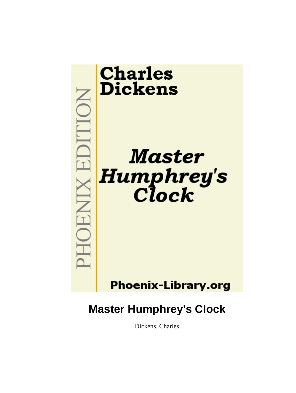

Dickens, Charles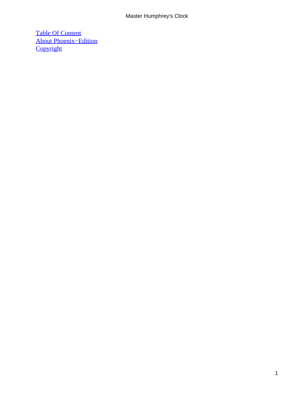[Table Of Content](#page-93-0) [About Phoenix−Edition](#page-94-0) **[Copyright](#page-97-0)**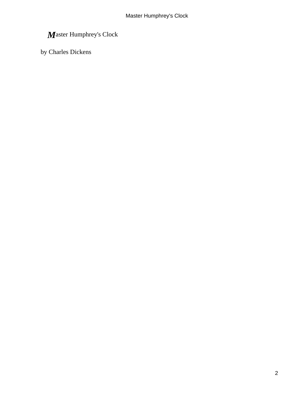by Charles Dickens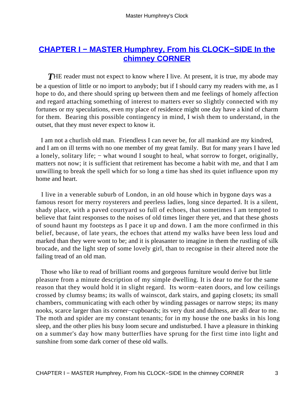# **[CHAPTER I − MASTER Humphrey, From his CLOCK−SIDE In the](#page-93-0) [chimney CORNER](#page-93-0)**

**THE reader must not expect to know where I live. At present, it is true, my abode may** be a question of little or no import to anybody; but if I should carry my readers with me, as I hope to do, and there should spring up between them and me feelings of homely affection and regard attaching something of interest to matters ever so slightly connected with my fortunes or my speculations, even my place of residence might one day have a kind of charm for them. Bearing this possible contingency in mind, I wish them to understand, in the outset, that they must never expect to know it.

 I am not a churlish old man. Friendless I can never be, for all mankind are my kindred, and I am on ill terms with no one member of my great family. But for many years I have led a lonely, solitary life; − what wound I sought to heal, what sorrow to forget, originally, matters not now; it is sufficient that retirement has become a habit with me, and that I am unwilling to break the spell which for so long a time has shed its quiet influence upon my home and heart.

 I live in a venerable suburb of London, in an old house which in bygone days was a famous resort for merry roysterers and peerless ladies, long since departed. It is a silent, shady place, with a paved courtyard so full of echoes, that sometimes I am tempted to believe that faint responses to the noises of old times linger there yet, and that these ghosts of sound haunt my footsteps as I pace it up and down. I am the more confirmed in this belief, because, of late years, the echoes that attend my walks have been less loud and marked than they were wont to be; and it is pleasanter to imagine in them the rustling of silk brocade, and the light step of some lovely girl, than to recognise in their altered note the failing tread of an old man.

 Those who like to read of brilliant rooms and gorgeous furniture would derive but little pleasure from a minute description of my simple dwelling. It is dear to me for the same reason that they would hold it in slight regard. Its worm−eaten doors, and low ceilings crossed by clumsy beams; its walls of wainscot, dark stairs, and gaping closets; its small chambers, communicating with each other by winding passages or narrow steps; its many nooks, scarce larger than its corner−cupboards; its very dust and dulness, are all dear to me. The moth and spider are my constant tenants; for in my house the one basks in his long sleep, and the other plies his busy loom secure and undisturbed. I have a pleasure in thinking on a summer's day how many butterflies have sprung for the first time into light and sunshine from some dark corner of these old walls.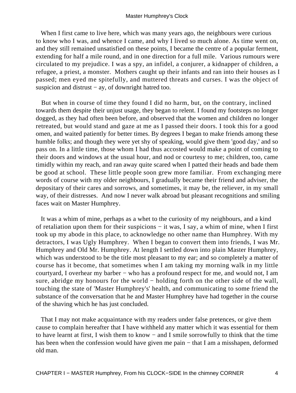When I first came to live here, which was many years ago, the neighbours were curious to know who I was, and whence I came, and why I lived so much alone. As time went on, and they still remained unsatisfied on these points, I became the centre of a popular ferment, extending for half a mile round, and in one direction for a full mile. Various rumours were circulated to my prejudice. I was a spy, an infidel, a conjurer, a kidnapper of children, a refugee, a priest, a monster. Mothers caught up their infants and ran into their houses as I passed; men eyed me spitefully, and muttered threats and curses. I was the object of suspicion and distrust  $- ay$ , of downright hatred too.

 But when in course of time they found I did no harm, but, on the contrary, inclined towards them despite their unjust usage, they began to relent. I found my footsteps no longer dogged, as they had often been before, and observed that the women and children no longer retreated, but would stand and gaze at me as I passed their doors. I took this for a good omen, and waited patiently for better times. By degrees I began to make friends among these humble folks; and though they were yet shy of speaking, would give them 'good day,' and so pass on. In a little time, those whom I had thus accosted would make a point of coming to their doors and windows at the usual hour, and nod or courtesy to me; children, too, came timidly within my reach, and ran away quite scared when I patted their heads and bade them be good at school. These little people soon grew more familiar. From exchanging mere words of course with my older neighbours, I gradually became their friend and adviser, the depositary of their cares and sorrows, and sometimes, it may be, the reliever, in my small way, of their distresses. And now I never walk abroad but pleasant recognitions and smiling faces wait on Master Humphrey.

 It was a whim of mine, perhaps as a whet to the curiosity of my neighbours, and a kind of retaliation upon them for their suspicions − it was, I say, a whim of mine, when I first took up my abode in this place, to acknowledge no other name than Humphrey. With my detractors, I was Ugly Humphrey. When I began to convert them into friends, I was Mr. Humphrey and Old Mr. Humphrey. At length I settled down into plain Master Humphrey, which was understood to be the title most pleasant to my ear; and so completely a matter of course has it become, that sometimes when I am taking my morning walk in my little courtyard, I overhear my barber − who has a profound respect for me, and would not, I am sure, abridge my honours for the world – holding forth on the other side of the wall, touching the state of 'Master Humphrey's' health, and communicating to some friend the substance of the conversation that he and Master Humphrey have had together in the course of the shaving which he has just concluded.

 That I may not make acquaintance with my readers under false pretences, or give them cause to complain hereafter that I have withheld any matter which it was essential for them to have learnt at first, I wish them to know − and I smile sorrowfully to think that the time has been when the confession would have given me pain – that I am a misshapen, deformed old man.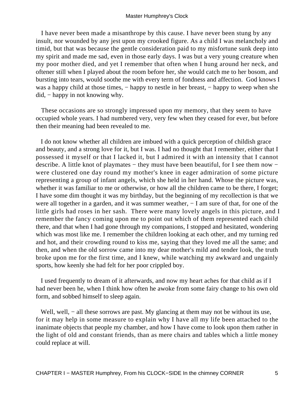I have never been made a misanthrope by this cause. I have never been stung by any insult, nor wounded by any jest upon my crooked figure. As a child I was melancholy and timid, but that was because the gentle consideration paid to my misfortune sunk deep into my spirit and made me sad, even in those early days. I was but a very young creature when my poor mother died, and yet I remember that often when I hung around her neck, and oftener still when I played about the room before her, she would catch me to her bosom, and bursting into tears, would soothe me with every term of fondness and affection. God knows I was a happy child at those times, – happy to nestle in her breast, – happy to weep when she did, − happy in not knowing why.

 These occasions are so strongly impressed upon my memory, that they seem to have occupied whole years. I had numbered very, very few when they ceased for ever, but before then their meaning had been revealed to me.

 I do not know whether all children are imbued with a quick perception of childish grace and beauty, and a strong love for it, but I was. I had no thought that I remember, either that I possessed it myself or that I lacked it, but I admired it with an intensity that I cannot describe. A little knot of playmates – they must have been beautiful, for I see them now – were clustered one day round my mother's knee in eager admiration of some picture representing a group of infant angels, which she held in her hand. Whose the picture was, whether it was familiar to me or otherwise, or how all the children came to be there, I forget; I have some dim thought it was my birthday, but the beginning of my recollection is that we were all together in a garden, and it was summer weather,  $- I$  am sure of that, for one of the little girls had roses in her sash. There were many lovely angels in this picture, and I remember the fancy coming upon me to point out which of them represented each child there, and that when I had gone through my companions, I stopped and hesitated, wondering which was most like me. I remember the children looking at each other, and my turning red and hot, and their crowding round to kiss me, saying that they loved me all the same; and then, and when the old sorrow came into my dear mother's mild and tender look, the truth broke upon me for the first time, and I knew, while watching my awkward and ungainly sports, how keenly she had felt for her poor crippled boy.

 I used frequently to dream of it afterwards, and now my heart aches for that child as if I had never been he, when I think how often he awoke from some fairy change to his own old form, and sobbed himself to sleep again.

Well, well, – all these sorrows are past. My glancing at them may not be without its use, for it may help in some measure to explain why I have all my life been attached to the inanimate objects that people my chamber, and how I have come to look upon them rather in the light of old and constant friends, than as mere chairs and tables which a little money could replace at will.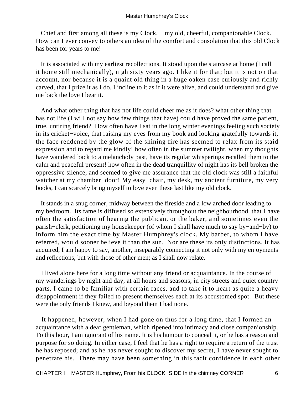Chief and first among all these is my Clock, − my old, cheerful, companionable Clock. How can I ever convey to others an idea of the comfort and consolation that this old Clock has been for years to me!

 It is associated with my earliest recollections. It stood upon the staircase at home (I call it home still mechanically), nigh sixty years ago. I like it for that; but it is not on that account, nor because it is a quaint old thing in a huge oaken case curiously and richly carved, that I prize it as I do. I incline to it as if it were alive, and could understand and give me back the love I bear it.

 And what other thing that has not life could cheer me as it does? what other thing that has not life (I will not say how few things that have) could have proved the same patient, true, untiring friend? How often have I sat in the long winter evenings feeling such society in its cricket−voice, that raising my eyes from my book and looking gratefully towards it, the face reddened by the glow of the shining fire has seemed to relax from its staid expression and to regard me kindly! how often in the summer twilight, when my thoughts have wandered back to a melancholy past, have its regular whisperings recalled them to the calm and peaceful present! how often in the dead tranquillity of night has its bell broken the oppressive silence, and seemed to give me assurance that the old clock was still a faithful watcher at my chamber−door! My easy−chair, my desk, my ancient furniture, my very books, I can scarcely bring myself to love even these last like my old clock.

 It stands in a snug corner, midway between the fireside and a low arched door leading to my bedroom. Its fame is diffused so extensively throughout the neighbourhood, that I have often the satisfaction of hearing the publican, or the baker, and sometimes even the parish−clerk, petitioning my housekeeper (of whom I shall have much to say by−and−by) to inform him the exact time by Master Humphrey's clock. My barber, to whom I have referred, would sooner believe it than the sun. Nor are these its only distinctions. It has acquired, I am happy to say, another, inseparably connecting it not only with my enjoyments and reflections, but with those of other men; as I shall now relate.

 I lived alone here for a long time without any friend or acquaintance. In the course of my wanderings by night and day, at all hours and seasons, in city streets and quiet country parts, I came to be familiar with certain faces, and to take it to heart as quite a heavy disappointment if they failed to present themselves each at its accustomed spot. But these were the only friends I knew, and beyond them I had none.

 It happened, however, when I had gone on thus for a long time, that I formed an acquaintance with a deaf gentleman, which ripened into intimacy and close companionship. To this hour, I am ignorant of his name. It is his humour to conceal it, or he has a reason and purpose for so doing. In either case, I feel that he has a right to require a return of the trust he has reposed; and as he has never sought to discover my secret, I have never sought to penetrate his. There may have been something in this tacit confidence in each other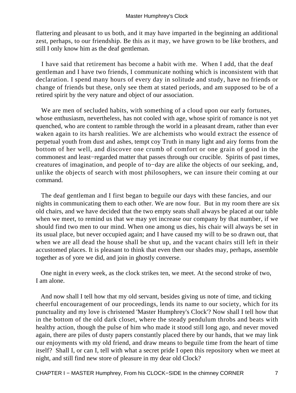flattering and pleasant to us both, and it may have imparted in the beginning an additional zest, perhaps, to our friendship. Be this as it may, we have grown to be like brothers, and still I only know him as the deaf gentleman.

 I have said that retirement has become a habit with me. When I add, that the deaf gentleman and I have two friends, I communicate nothing which is inconsistent with that declaration. I spend many hours of every day in solitude and study, have no friends or change of friends but these, only see them at stated periods, and am supposed to be of a retired spirit by the very nature and object of our association.

We are men of secluded habits, with something of a cloud upon our early fortunes, whose enthusiasm, nevertheless, has not cooled with age, whose spirit of romance is not yet quenched, who are content to ramble through the world in a pleasant dream, rather than ever waken again to its harsh realities. We are alchemists who would extract the essence of perpetual youth from dust and ashes, tempt coy Truth in many light and airy forms from the bottom of her well, and discover one crumb of comfort or one grain of good in the commonest and least−regarded matter that passes through our crucible. Spirits of past times, creatures of imagination, and people of to−day are alike the objects of our seeking, and, unlike the objects of search with most philosophers, we can insure their coming at our command.

 The deaf gentleman and I first began to beguile our days with these fancies, and our nights in communicating them to each other. We are now four. But in my room there are six old chairs, and we have decided that the two empty seats shall always be placed at our table when we meet, to remind us that we may yet increase our company by that number, if we should find two men to our mind. When one among us dies, his chair will always be set in its usual place, but never occupied again; and I have caused my will to be so drawn out, that when we are all dead the house shall be shut up, and the vacant chairs still left in their accustomed places. It is pleasant to think that even then our shades may, perhaps, assemble together as of yore we did, and join in ghostly converse.

 One night in every week, as the clock strikes ten, we meet. At the second stroke of two, I am alone.

 And now shall I tell how that my old servant, besides giving us note of time, and ticking cheerful encouragement of our proceedings, lends its name to our society, which for its punctuality and my love is christened 'Master Humphrey's Clock'? Now shall I tell how that in the bottom of the old dark closet, where the steady pendulum throbs and beats with healthy action, though the pulse of him who made it stood still long ago, and never moved again, there are piles of dusty papers constantly placed there by our hands, that we may link our enjoyments with my old friend, and draw means to beguile time from the heart of time itself? Shall I, or can I, tell with what a secret pride I open this repository when we meet at night, and still find new store of pleasure in my dear old Clock?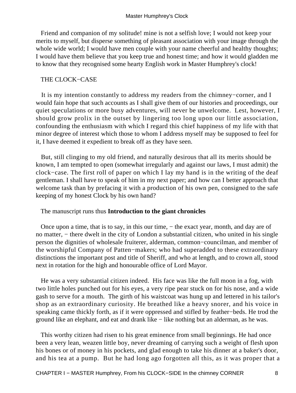Friend and companion of my solitude! mine is not a selfish love; I would not keep your merits to myself, but disperse something of pleasant association with your image through the whole wide world; I would have men couple with your name cheerful and healthy thoughts; I would have them believe that you keep true and honest time; and how it would gladden me to know that they recognised some hearty English work in Master Humphrey's clock!

#### THE CLOCK−CASE

 It is my intention constantly to address my readers from the chimney−corner, and I would fain hope that such accounts as I shall give them of our histories and proceedings, our quiet speculations or more busy adventures, will never be unwelcome. Lest, however, I should grow prolix in the outset by lingering too long upon our little association, confounding the enthusiasm with which I regard this chief happiness of my life with that minor degree of interest which those to whom I address myself may be supposed to feel for it, I have deemed it expedient to break off as they have seen.

 But, still clinging to my old friend, and naturally desirous that all its merits should be known, I am tempted to open (somewhat irregularly and against our laws, I must admit) the clock−case. The first roll of paper on which I lay my hand is in the writing of the deaf gentleman. I shall have to speak of him in my next paper; and how can I better approach that welcome task than by prefacing it with a production of his own pen, consigned to the safe keeping of my honest Clock by his own hand?

The manuscript runs thus **Introduction to the giant chronicles**

 Once upon a time, that is to say, in this our time, − the exact year, month, and day are of no matter, – there dwelt in the city of London a substantial citizen, who united in his single person the dignities of wholesale fruiterer, alderman, common−councilman, and member of the worshipful Company of Patten−makers; who had superadded to these extraordinary distinctions the important post and title of Sheriff, and who at length, and to crown all, stood next in rotation for the high and honourable office of Lord Mayor.

 He was a very substantial citizen indeed. His face was like the full moon in a fog, with two little holes punched out for his eyes, a very ripe pear stuck on for his nose, and a wide gash to serve for a mouth. The girth of his waistcoat was hung up and lettered in his tailor's shop as an extraordinary curiosity. He breathed like a heavy snorer, and his voice in speaking came thickly forth, as if it were oppressed and stifled by feather−beds. He trod the ground like an elephant, and eat and drank like − like nothing but an alderman, as he was.

 This worthy citizen had risen to his great eminence from small beginnings. He had once been a very lean, weazen little boy, never dreaming of carrying such a weight of flesh upon his bones or of money in his pockets, and glad enough to take his dinner at a baker's door, and his tea at a pump. But he had long ago forgotten all this, as it was proper that a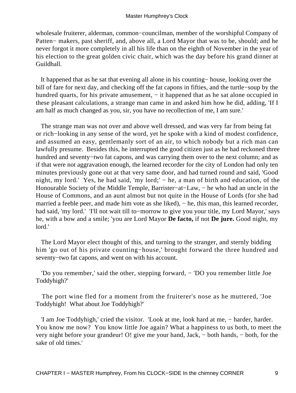wholesale fruiterer, alderman, common−councilman, member of the worshipful Company of Patten− makers, past sheriff, and, above all, a Lord Mayor that was to be, should; and he never forgot it more completely in all his life than on the eighth of November in the year of his election to the great golden civic chair, which was the day before his grand dinner at Guildhall.

 It happened that as he sat that evening all alone in his counting− house, looking over the bill of fare for next day, and checking off the fat capons in fifties, and the turtle−soup by the hundred quarts, for his private amusement, − it happened that as he sat alone occupied in these pleasant calculations, a strange man came in and asked him how he did, adding, 'If I am half as much changed as you, sir, you have no recollection of me, I am sure.'

 The strange man was not over and above well dressed, and was very far from being fat or rich−looking in any sense of the word, yet he spoke with a kind of modest confidence, and assumed an easy, gentlemanly sort of an air, to which nobody but a rich man can lawfully presume. Besides this, he interrupted the good citizen just as he had reckoned three hundred and seventy−two fat capons, and was carrying them over to the next column; and as if that were not aggravation enough, the learned recorder for the city of London had only ten minutes previously gone out at that very same door, and had turned round and said, 'Good night, my lord.' Yes, he had said, 'my lord;' − he, a man of birth and education, of the Honourable Society of the Middle Temple, Barrister−at−Law, − he who had an uncle in the House of Commons, and an aunt almost but not quite in the House of Lords (for she had married a feeble peer, and made him vote as she liked), – he, this man, this learned recorder, had said, 'my lord.' 'I'll not wait till to−morrow to give you your title, my Lord Mayor,' says he, with a bow and a smile; 'you are Lord Mayor **De facto,** if not **De jure.** Good night, my lord.'

 The Lord Mayor elect thought of this, and turning to the stranger, and sternly bidding him 'go out of his private counting−house,' brought forward the three hundred and seventy−two fat capons, and went on with his account.

 'Do you remember,' said the other, stepping forward, − 'DO you remember little Joe Toddyhigh?'

 The port wine fled for a moment from the fruiterer's nose as he muttered, 'Joe Toddyhigh! What about Joe Toddyhigh?'

 'I am Joe Toddyhigh,' cried the visitor. 'Look at me, look hard at me, − harder, harder. You know me now? You know little Joe again? What a happiness to us both, to meet the very night before your grandeur! O! give me your hand, Jack, − both hands, − both, for the sake of old times.'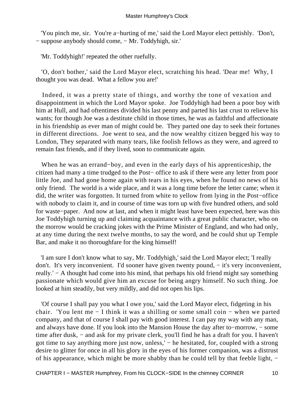'You pinch me, sir. You're a−hurting of me,' said the Lord Mayor elect pettishly. 'Don't, − suppose anybody should come, − Mr. Toddyhigh, sir.'

'Mr. Toddyhigh!' repeated the other ruefully.

 'O, don't bother,' said the Lord Mayor elect, scratching his head. 'Dear me! Why, I thought you was dead. What a fellow you are!'

 Indeed, it was a pretty state of things, and worthy the tone of vexation and disappointment in which the Lord Mayor spoke. Joe Toddyhigh had been a poor boy with him at Hull, and had oftentimes divided his last penny and parted his last crust to relieve his wants; for though Joe was a destitute child in those times, he was as faithful and affectionate in his friendship as ever man of might could be. They parted one day to seek their fortunes in different directions. Joe went to sea, and the now wealthy citizen begged his way to London, They separated with many tears, like foolish fellows as they were, and agreed to remain fast friends, and if they lived, soon to communicate again.

 When he was an errand−boy, and even in the early days of his apprenticeship, the citizen had many a time trudged to the Post− office to ask if there were any letter from poor little Joe, and had gone home again with tears in his eyes, when he found no news of his only friend. The world is a wide place, and it was a long time before the letter came; when it did, the writer was forgotten. It turned from white to yellow from lying in the Post−office with nobody to claim it, and in course of time was torn up with five hundred others, and sold for waste−paper. And now at last, and when it might least have been expected, here was this Joe Toddyhigh turning up and claiming acquaintance with a great public character, who on the morrow would be cracking jokes with the Prime Minister of England, and who had only, at any time during the next twelve months, to say the word, and he could shut up Temple Bar, and make it no thoroughfare for the king himself!

 'I am sure I don't know what to say, Mr. Toddyhigh,' said the Lord Mayor elect; 'I really don't. It's very inconvenient. I'd sooner have given twenty pound, − it's very inconvenient, really.' − A thought had come into his mind, that perhaps his old friend might say something passionate which would give him an excuse for being angry himself. No such thing. Joe looked at him steadily, but very mildly, and did not open his lips.

 'Of course I shall pay you what I owe you,' said the Lord Mayor elect, fidgeting in his chair. 'You lent me − I think it was a shilling or some small coin − when we parted company, and that of course I shall pay with good interest. I can pay my way with any man, and always have done. If you look into the Mansion House the day after to−morrow, − some time after dusk, − and ask for my private clerk, you'll find he has a draft for you. I haven't got time to say anything more just now, unless,' − he hesitated, for, coupled with a strong desire to glitter for once in all his glory in the eyes of his former companion, was a distrust of his appearance, which might be more shabby than he could tell by that feeble light, −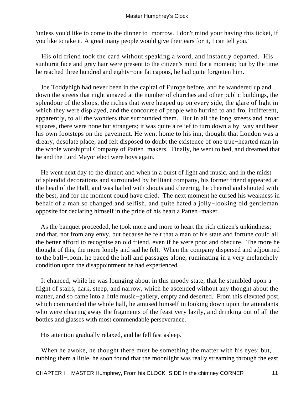'unless you'd like to come to the dinner to−morrow. I don't mind your having this ticket, if you like to take it. A great many people would give their ears for it, I can tell you.'

 His old friend took the card without speaking a word, and instantly departed. His sunburnt face and gray hair were present to the citizen's mind for a moment; but by the time he reached three hundred and eighty−one fat capons, he had quite forgotten him.

 Joe Toddyhigh had never been in the capital of Europe before, and he wandered up and down the streets that night amazed at the number of churches and other public buildings, the splendour of the shops, the riches that were heaped up on every side, the glare of light in which they were displayed, and the concourse of people who hurried to and fro, indifferent, apparently, to all the wonders that surrounded them. But in all the long streets and broad squares, there were none but strangers; it was quite a relief to turn down a by−way and hear his own footsteps on the pavement. He went home to his inn, thought that London was a dreary, desolate place, and felt disposed to doubt the existence of one true−hearted man in the whole worshipful Company of Patten−makers. Finally, he went to bed, and dreamed that he and the Lord Mayor elect were boys again.

 He went next day to the dinner; and when in a burst of light and music, and in the midst of splendid decorations and surrounded by brilliant company, his former friend appeared at the head of the Hall, and was hailed with shouts and cheering, he cheered and shouted with the best, and for the moment could have cried. The next moment he cursed his weakness in behalf of a man so changed and selfish, and quite hated a jolly−looking old gentleman opposite for declaring himself in the pride of his heart a Patten−maker.

 As the banquet proceeded, he took more and more to heart the rich citizen's unkindness; and that, not from any envy, but because he felt that a man of his state and fortune could all the better afford to recognise an old friend, even if he were poor and obscure. The more he thought of this, the more lonely and sad he felt. When the company dispersed and adjourned to the ball−room, he paced the hall and passages alone, ruminating in a very melancholy condition upon the disappointment he had experienced.

 It chanced, while he was lounging about in this moody state, that he stumbled upon a flight of stairs, dark, steep, and narrow, which he ascended without any thought about the matter, and so came into a little music−gallery, empty and deserted. From this elevated post, which commanded the whole hall, he amused himself in looking down upon the attendants who were clearing away the fragments of the feast very lazily, and drinking out of all the bottles and glasses with most commendable perseverance.

His attention gradually relaxed, and he fell fast asleep.

 When he awoke, he thought there must be something the matter with his eyes; but, rubbing them a little, he soon found that the moonlight was really streaming through the east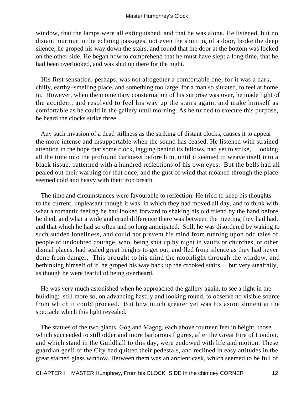window, that the lamps were all extinguished, and that he was alone. He listened, but no distant murmur in the echoing passages, not even the shutting of a door, broke the deep silence; he groped his way down the stairs, and found that the door at the bottom was locked on the other side. He began now to comprehend that he must have slept a long time, that he had been overlooked, and was shut up there for the night.

 His first sensation, perhaps, was not altogether a comfortable one, for it was a dark, chilly, earthy−smelling place, and something too large, for a man so situated, to feel at home in. However, when the momentary consternation of his surprise was over, he made light of the accident, and resolved to feel his way up the stairs again, and make himself as comfortable as he could in the gallery until morning. As he turned to execute this purpose, he heard the clocks strike three.

 Any such invasion of a dead stillness as the striking of distant clocks, causes it to appear the more intense and insupportable when the sound has ceased. He listened with strained attention in the hope that some clock, lagging behind its fellows, had yet to strike, − looking all the time into the profound darkness before him, until it seemed to weave itself into a black tissue, patterned with a hundred reflections of his own eyes. But the bells had all pealed out their warning for that once, and the gust of wind that moaned through the place seemed cold and heavy with their iron breath.

 The time and circumstances were favourable to reflection. He tried to keep his thoughts to the current, unpleasant though it was, in which they had moved all day, and to think with what a romantic feeling he had looked forward to shaking his old friend by the hand before he died, and what a wide and cruel difference there was between the meeting they had had, and that which he had so often and so long anticipated. Still, he was disordered by waking to such sudden loneliness, and could not prevent his mind from running upon odd tales of people of undoubted courage, who, being shut up by night in vaults or churches, or other dismal places, had scaled great heights to get out, and fled from silence as they had never done from danger. This brought to his mind the moonlight through the window, and bethinking himself of it, he groped his way back up the crooked stairs, − but very stealthily, as though he were fearful of being overheard.

 He was very much astonished when he approached the gallery again, to see a light in the building: still more so, on advancing hastily and looking round, to observe no visible source from which it could proceed. But how much greater yet was his astonishment at the spectacle which this light revealed.

 The statues of the two giants, Gog and Magog, each above fourteen feet in height, those which succeeded to still older and more barbarous figures, after the Great Fire of London, and which stand in the Guildhall to this day, were endowed with life and motion. These guardian genii of the City had quitted their pedestals, and reclined in easy attitudes in the great stained glass window. Between them was an ancient cask, which seemed to be full of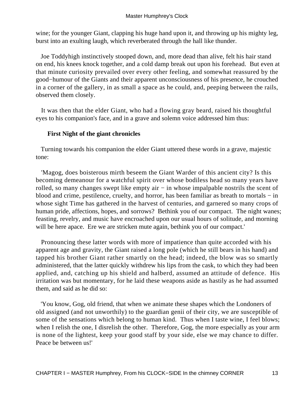wine; for the younger Giant, clapping his huge hand upon it, and throwing up his mighty leg, burst into an exulting laugh, which reverberated through the hall like thunder.

 Joe Toddyhigh instinctively stooped down, and, more dead than alive, felt his hair stand on end, his knees knock together, and a cold damp break out upon his forehead. But even at that minute curiosity prevailed over every other feeling, and somewhat reassured by the good−humour of the Giants and their apparent unconsciousness of his presence, he crouched in a corner of the gallery, in as small a space as he could, and, peeping between the rails, observed them closely.

 It was then that the elder Giant, who had a flowing gray beard, raised his thoughtful eyes to his companion's face, and in a grave and solemn voice addressed him thus:

### **First Night of the giant chronicles**

 Turning towards his companion the elder Giant uttered these words in a grave, majestic tone:

 'Magog, does boisterous mirth beseem the Giant Warder of this ancient city? Is this becoming demeanour for a watchful spirit over whose bodiless head so many years have rolled, so many changes swept like empty air − in whose impalpable nostrils the scent of blood and crime, pestilence, cruelty, and horror, has been familiar as breath to mortals − in whose sight Time has gathered in the harvest of centuries, and garnered so many crops of human pride, affections, hopes, and sorrows? Bethink you of our compact. The night wanes; feasting, revelry, and music have encroached upon our usual hours of solitude, and morning will be here apace. Ere we are stricken mute again, bethink you of our compact.'

 Pronouncing these latter words with more of impatience than quite accorded with his apparent age and gravity, the Giant raised a long pole (which he still bears in his hand) and tapped his brother Giant rather smartly on the head; indeed, the blow was so smartly administered, that the latter quickly withdrew his lips from the cask, to which they had been applied, and, catching up his shield and halberd, assumed an attitude of defence. His irritation was but momentary, for he laid these weapons aside as hastily as he had assumed them, and said as he did so:

 'You know, Gog, old friend, that when we animate these shapes which the Londoners of old assigned (and not unworthily) to the guardian genii of their city, we are susceptible of some of the sensations which belong to human kind. Thus when I taste wine, I feel blows; when I relish the one, I disrelish the other. Therefore, Gog, the more especially as your arm is none of the lightest, keep your good staff by your side, else we may chance to differ. Peace be between us!'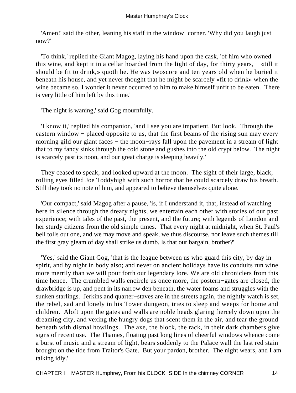'Amen!' said the other, leaning his staff in the window−corner. 'Why did you laugh just now?'

 'To think,' replied the Giant Magog, laying his hand upon the cask, 'of him who owned this wine, and kept it in a cellar hoarded from the light of day, for thirty years, – «till it should be fit to drink,» quoth he. He was twoscore and ten years old when he buried it beneath his house, and yet never thought that he might be scarcely «fit to drink» when the wine became so. I wonder it never occurred to him to make himself unfit to be eaten. There is very little of him left by this time.'

'The night is waning,' said Gog mournfully.

 'I know it,' replied his companion, 'and I see you are impatient. But look. Through the eastern window – placed opposite to us, that the first beams of the rising sun may every morning gild our giant faces – the moon–rays fall upon the pavement in a stream of light that to my fancy sinks through the cold stone and gushes into the old crypt below. The night is scarcely past its noon, and our great charge is sleeping heavily.'

 They ceased to speak, and looked upward at the moon. The sight of their large, black, rolling eyes filled Joe Toddyhigh with such horror that he could scarcely draw his breath. Still they took no note of him, and appeared to believe themselves quite alone.

 'Our compact,' said Magog after a pause, 'is, if I understand it, that, instead of watching here in silence through the dreary nights, we entertain each other with stories of our past experience; with tales of the past, the present, and the future; with legends of London and her sturdy citizens from the old simple times. That every night at midnight, when St. Paul's bell tolls out one, and we may move and speak, we thus discourse, nor leave such themes till the first gray gleam of day shall strike us dumb. Is that our bargain, brother?'

 'Yes,' said the Giant Gog, 'that is the league between us who guard this city, by day in spirit, and by night in body also; and never on ancient holidays have its conduits run wine more merrily than we will pour forth our legendary lore. We are old chroniclers from this time hence. The crumbled walls encircle us once more, the postern−gates are closed, the drawbridge is up, and pent in its narrow den beneath, the water foams and struggles with the sunken starlings. Jerkins and quarter−staves are in the streets again, the nightly watch is set, the rebel, sad and lonely in his Tower dungeon, tries to sleep and weeps for home and children. Aloft upon the gates and walls are noble heads glaring fiercely down upon the dreaming city, and vexing the hungry dogs that scent them in the air, and tear the ground beneath with dismal howlings. The axe, the block, the rack, in their dark chambers give signs of recent use. The Thames, floating past long lines of cheerful windows whence come a burst of music and a stream of light, bears suddenly to the Palace wall the last red stain brought on the tide from Traitor's Gate. But your pardon, brother. The night wears, and I am talking idly.'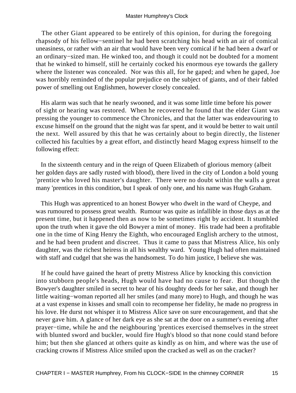The other Giant appeared to be entirely of this opinion, for during the foregoing rhapsody of his fellow−sentinel he had been scratching his head with an air of comical uneasiness, or rather with an air that would have been very comical if he had been a dwarf or an ordinary−sized man. He winked too, and though it could not be doubted for a moment that he winked to himself, still he certainly cocked his enormous eye towards the gallery where the listener was concealed. Nor was this all, for he gaped; and when he gaped, Joe was horribly reminded of the popular prejudice on the subject of giants, and of their fabled power of smelling out Englishmen, however closely concealed.

 His alarm was such that he nearly swooned, and it was some little time before his power of sight or hearing was restored. When he recovered he found that the elder Giant was pressing the younger to commence the Chronicles, and that the latter was endeavouring to excuse himself on the ground that the night was far spent, and it would be better to wait until the next. Well assured by this that he was certainly about to begin directly, the listener collected his faculties by a great effort, and distinctly heard Magog express himself to the following effect:

 In the sixteenth century and in the reign of Queen Elizabeth of glorious memory (albeit her golden days are sadly rusted with blood), there lived in the city of London a bold young 'prentice who loved his master's daughter. There were no doubt within the walls a great many 'prentices in this condition, but I speak of only one, and his name was Hugh Graham.

 This Hugh was apprenticed to an honest Bowyer who dwelt in the ward of Cheype, and was rumoured to possess great wealth. Rumour was quite as infallible in those days as at the present time, but it happened then as now to be sometimes right by accident. It stumbled upon the truth when it gave the old Bowyer a mint of money. His trade had been a profitable one in the time of King Henry the Eighth, who encouraged English archery to the utmost, and he had been prudent and discreet. Thus it came to pass that Mistress Alice, his only daughter, was the richest heiress in all his wealthy ward. Young Hugh had often maintained with staff and cudgel that she was the handsomest. To do him justice, I believe she was.

 If he could have gained the heart of pretty Mistress Alice by knocking this conviction into stubborn people's heads, Hugh would have had no cause to fear. But though the Bowyer's daughter smiled in secret to hear of his doughty deeds for her sake, and though her little waiting−woman reported all her smiles (and many more) to Hugh, and though he was at a vast expense in kisses and small coin to recompense her fidelity, he made no progress in his love. He durst not whisper it to Mistress Alice save on sure encouragement, and that she never gave him. A glance of her dark eye as she sat at the door on a summer's evening after prayer−time, while he and the neighbouring 'prentices exercised themselves in the street with blunted sword and buckler, would fire Hugh's blood so that none could stand before him; but then she glanced at others quite as kindly as on him, and where was the use of cracking crowns if Mistress Alice smiled upon the cracked as well as on the cracker?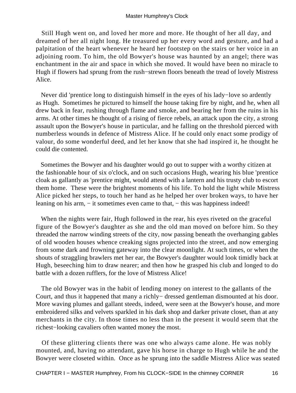Still Hugh went on, and loved her more and more. He thought of her all day, and dreamed of her all night long. He treasured up her every word and gesture, and had a palpitation of the heart whenever he heard her footstep on the stairs or her voice in an adjoining room. To him, the old Bowyer's house was haunted by an angel; there was enchantment in the air and space in which she moved. It would have been no miracle to Hugh if flowers had sprung from the rush−strewn floors beneath the tread of lovely Mistress Alice.

 Never did 'prentice long to distinguish himself in the eyes of his lady−love so ardently as Hugh. Sometimes he pictured to himself the house taking fire by night, and he, when all drew back in fear, rushing through flame and smoke, and bearing her from the ruins in his arms. At other times he thought of a rising of fierce rebels, an attack upon the city, a strong assault upon the Bowyer's house in particular, and he falling on the threshold pierced with numberless wounds in defence of Mistress Alice. If he could only enact some prodigy of valour, do some wonderful deed, and let her know that she had inspired it, he thought he could die contented.

 Sometimes the Bowyer and his daughter would go out to supper with a worthy citizen at the fashionable hour of six o'clock, and on such occasions Hugh, wearing his blue 'prentice cloak as gallantly as 'prentice might, would attend with a lantern and his trusty club to escort them home. These were the brightest moments of his life. To hold the light while Mistress Alice picked her steps, to touch her hand as he helped her over broken ways, to have her leaning on his arm, – it sometimes even came to that, – this was happiness indeed!

 When the nights were fair, Hugh followed in the rear, his eyes riveted on the graceful figure of the Bowyer's daughter as she and the old man moved on before him. So they threaded the narrow winding streets of the city, now passing beneath the overhanging gables of old wooden houses whence creaking signs projected into the street, and now emerging from some dark and frowning gateway into the clear moonlight. At such times, or when the shouts of straggling brawlers met her ear, the Bowyer's daughter would look timidly back at Hugh, beseeching him to draw nearer; and then how he grasped his club and longed to do battle with a dozen rufflers, for the love of Mistress Alice!

 The old Bowyer was in the habit of lending money on interest to the gallants of the Court, and thus it happened that many a richly− dressed gentleman dismounted at his door. More waving plumes and gallant steeds, indeed, were seen at the Bowyer's house, and more embroidered silks and velvets sparkled in his dark shop and darker private closet, than at any merchants in the city. In those times no less than in the present it would seem that the richest−looking cavaliers often wanted money the most.

 Of these glittering clients there was one who always came alone. He was nobly mounted, and, having no attendant, gave his horse in charge to Hugh while he and the Bowyer were closeted within. Once as he sprung into the saddle Mistress Alice was seated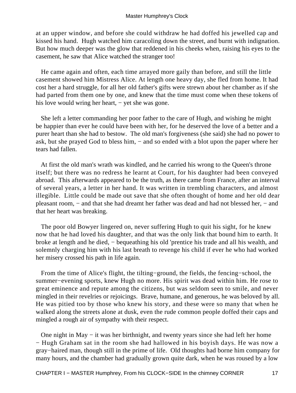at an upper window, and before she could withdraw he had doffed his jewelled cap and kissed his hand. Hugh watched him caracoling down the street, and burnt with indignation. But how much deeper was the glow that reddened in his cheeks when, raising his eyes to the casement, he saw that Alice watched the stranger too!

 He came again and often, each time arrayed more gaily than before, and still the little casement showed him Mistress Alice. At length one heavy day, she fled from home. It had cost her a hard struggle, for all her old father's gifts were strewn about her chamber as if she had parted from them one by one, and knew that the time must come when these tokens of his love would wring her heart, – yet she was gone.

 She left a letter commanding her poor father to the care of Hugh, and wishing he might be happier than ever he could have been with her, for he deserved the love of a better and a purer heart than she had to bestow. The old man's forgiveness (she said) she had no power to ask, but she prayed God to bless him, − and so ended with a blot upon the paper where her tears had fallen.

 At first the old man's wrath was kindled, and he carried his wrong to the Queen's throne itself; but there was no redress he learnt at Court, for his daughter had been conveyed abroad. This afterwards appeared to be the truth, as there came from France, after an interval of several years, a letter in her hand. It was written in trembling characters, and almost illegible. Little could be made out save that she often thought of home and her old dear pleasant room, − and that she had dreamt her father was dead and had not blessed her, − and that her heart was breaking.

 The poor old Bowyer lingered on, never suffering Hugh to quit his sight, for he knew now that he had loved his daughter, and that was the only link that bound him to earth. It broke at length and he died, − bequeathing his old 'prentice his trade and all his wealth, and solemnly charging him with his last breath to revenge his child if ever he who had worked her misery crossed his path in life again.

 From the time of Alice's flight, the tilting−ground, the fields, the fencing−school, the summer−evening sports, knew Hugh no more. His spirit was dead within him. He rose to great eminence and repute among the citizens, but was seldom seen to smile, and never mingled in their revelries or rejoicings. Brave, humane, and generous, he was beloved by all. He was pitied too by those who knew his story, and these were so many that when he walked along the streets alone at dusk, even the rude common people doffed their caps and mingled a rough air of sympathy with their respect.

 One night in May − it was her birthnight, and twenty years since she had left her home − Hugh Graham sat in the room she had hallowed in his boyish days. He was now a gray−haired man, though still in the prime of life. Old thoughts had borne him company for many hours, and the chamber had gradually grown quite dark, when he was roused by a low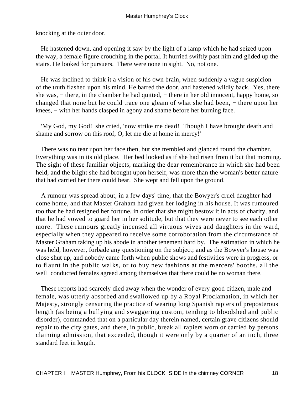knocking at the outer door.

 He hastened down, and opening it saw by the light of a lamp which he had seized upon the way, a female figure crouching in the portal. It hurried swiftly past him and glided up the stairs. He looked for pursuers. There were none in sight. No, not one.

 He was inclined to think it a vision of his own brain, when suddenly a vague suspicion of the truth flashed upon his mind. He barred the door, and hastened wildly back. Yes, there she was, – there, in the chamber he had quitted, – there in her old innocent, happy home, so changed that none but he could trace one gleam of what she had been, − there upon her knees, − with her hands clasped in agony and shame before her burning face.

 'My God, my God!' she cried, 'now strike me dead! Though I have brought death and shame and sorrow on this roof, O, let me die at home in mercy!'

 There was no tear upon her face then, but she trembled and glanced round the chamber. Everything was in its old place. Her bed looked as if she had risen from it but that morning. The sight of these familiar objects, marking the dear remembrance in which she had been held, and the blight she had brought upon herself, was more than the woman's better nature that had carried her there could bear. She wept and fell upon the ground.

 A rumour was spread about, in a few days' time, that the Bowyer's cruel daughter had come home, and that Master Graham had given her lodging in his house. It was rumoured too that he had resigned her fortune, in order that she might bestow it in acts of charity, and that he had vowed to guard her in her solitude, but that they were never to see each other more. These rumours greatly incensed all virtuous wives and daughters in the ward, especially when they appeared to receive some corroboration from the circumstance of Master Graham taking up his abode in another tenement hard by. The estimation in which he was held, however, forbade any questioning on the subject; and as the Bowyer's house was close shut up, and nobody came forth when public shows and festivities were in progress, or to flaunt in the public walks, or to buy new fashions at the mercers' booths, all the well−conducted females agreed among themselves that there could be no woman there.

 These reports had scarcely died away when the wonder of every good citizen, male and female, was utterly absorbed and swallowed up by a Royal Proclamation, in which her Majesty, strongly censuring the practice of wearing long Spanish rapiers of preposterous length (as being a bullying and swaggering custom, tending to bloodshed and public disorder), commanded that on a particular day therein named, certain grave citizens should repair to the city gates, and there, in public, break all rapiers worn or carried by persons claiming admission, that exceeded, though it were only by a quarter of an inch, three standard feet in length.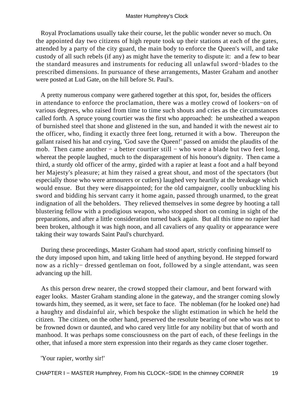Royal Proclamations usually take their course, let the public wonder never so much. On the appointed day two citizens of high repute took up their stations at each of the gates, attended by a party of the city guard, the main body to enforce the Queen's will, and take custody of all such rebels (if any) as might have the temerity to dispute it: and a few to bear the standard measures and instruments for reducing all unlawful sword−blades to the prescribed dimensions. In pursuance of these arrangements, Master Graham and another were posted at Lud Gate, on the hill before St. Paul's.

 A pretty numerous company were gathered together at this spot, for, besides the officers in attendance to enforce the proclamation, there was a motley crowd of lookers−on of various degrees, who raised from time to time such shouts and cries as the circumstances called forth. A spruce young courtier was the first who approached: he unsheathed a weapon of burnished steel that shone and glistened in the sun, and handed it with the newest air to the officer, who, finding it exactly three feet long, returned it with a bow. Thereupon the gallant raised his hat and crying, 'God save the Queen!' passed on amidst the plaudits of the mob. Then came another – a better courtier still – who wore a blade but two feet long, whereat the people laughed, much to the disparagement of his honour's dignity. Then came a third, a sturdy old officer of the army, girded with a rapier at least a foot and a half beyond her Majesty's pleasure; at him they raised a great shout, and most of the spectators (but especially those who were armourers or cutlers) laughed very heartily at the breakage which would ensue. But they were disappointed; for the old campaigner, coolly unbuckling his sword and bidding his servant carry it home again, passed through unarmed, to the great indignation of all the beholders. They relieved themselves in some degree by hooting a tall blustering fellow with a prodigious weapon, who stopped short on coming in sight of the preparations, and after a little consideration turned back again. But all this time no rapier had been broken, although it was high noon, and all cavaliers of any quality or appearance were taking their way towards Saint Paul's churchyard.

 During these proceedings, Master Graham had stood apart, strictly confining himself to the duty imposed upon him, and taking little heed of anything beyond. He stepped forward now as a richly− dressed gentleman on foot, followed by a single attendant, was seen advancing up the hill.

 As this person drew nearer, the crowd stopped their clamour, and bent forward with eager looks. Master Graham standing alone in the gateway, and the stranger coming slowly towards him, they seemed, as it were, set face to face. The nobleman (for he looked one) had a haughty and disdainful air, which bespoke the slight estimation in which he held the citizen. The citizen, on the other hand, preserved the resolute bearing of one who was not to be frowned down or daunted, and who cared very little for any nobility but that of worth and manhood. It was perhaps some consciousness on the part of each, of these feelings in the other, that infused a more stern expression into their regards as they came closer together.

'Your rapier, worthy sir!'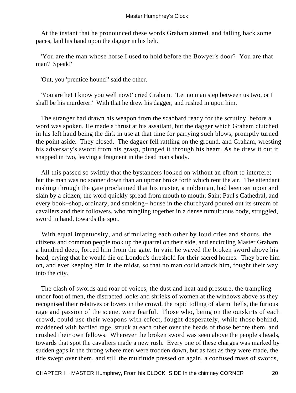At the instant that he pronounced these words Graham started, and falling back some paces, laid his hand upon the dagger in his belt.

 'You are the man whose horse I used to hold before the Bowyer's door? You are that man? Speak!'

'Out, you 'prentice hound!' said the other.

 'You are he! I know you well now!' cried Graham. 'Let no man step between us two, or I shall be his murderer.' With that he drew his dagger, and rushed in upon him.

 The stranger had drawn his weapon from the scabbard ready for the scrutiny, before a word was spoken. He made a thrust at his assailant, but the dagger which Graham clutched in his left hand being the dirk in use at that time for parrying such blows, promptly turned the point aside. They closed. The dagger fell rattling on the ground, and Graham, wresting his adversary's sword from his grasp, plunged it through his heart. As he drew it out it snapped in two, leaving a fragment in the dead man's body.

 All this passed so swiftly that the bystanders looked on without an effort to interfere; but the man was no sooner down than an uproar broke forth which rent the air. The attendant rushing through the gate proclaimed that his master, a nobleman, had been set upon and slain by a citizen; the word quickly spread from mouth to mouth; Saint Paul's Cathedral, and every book−shop, ordinary, and smoking− house in the churchyard poured out its stream of cavaliers and their followers, who mingling together in a dense tumultuous body, struggled, sword in hand, towards the spot.

 With equal impetuosity, and stimulating each other by loud cries and shouts, the citizens and common people took up the quarrel on their side, and encircling Master Graham a hundred deep, forced him from the gate. In vain he waved the broken sword above his head, crying that he would die on London's threshold for their sacred homes. They bore him on, and ever keeping him in the midst, so that no man could attack him, fought their way into the city.

 The clash of swords and roar of voices, the dust and heat and pressure, the trampling under foot of men, the distracted looks and shrieks of women at the windows above as they recognised their relatives or lovers in the crowd, the rapid tolling of alarm−bells, the furious rage and passion of the scene, were fearful. Those who, being on the outskirts of each crowd, could use their weapons with effect, fought desperately, while those behind, maddened with baffled rage, struck at each other over the heads of those before them, and crushed their own fellows. Wherever the broken sword was seen above the people's heads, towards that spot the cavaliers made a new rush. Every one of these charges was marked by sudden gaps in the throng where men were trodden down, but as fast as they were made, the tide swept over them, and still the multitude pressed on again, a confused mass of swords,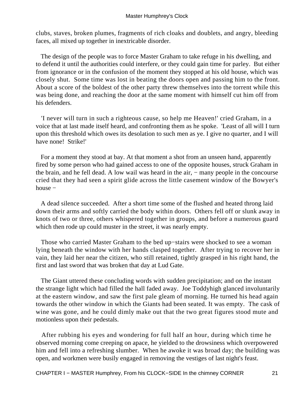clubs, staves, broken plumes, fragments of rich cloaks and doublets, and angry, bleeding faces, all mixed up together in inextricable disorder.

 The design of the people was to force Master Graham to take refuge in his dwelling, and to defend it until the authorities could interfere, or they could gain time for parley. But either from ignorance or in the confusion of the moment they stopped at his old house, which was closely shut. Some time was lost in beating the doors open and passing him to the front. About a score of the boldest of the other party threw themselves into the torrent while this was being done, and reaching the door at the same moment with himself cut him off from his defenders.

 'I never will turn in such a righteous cause, so help me Heaven!' cried Graham, in a voice that at last made itself heard, and confronting them as he spoke. 'Least of all will I turn upon this threshold which owes its desolation to such men as ye. I give no quarter, and I will have none! Strike!'

 For a moment they stood at bay. At that moment a shot from an unseen hand, apparently fired by some person who had gained access to one of the opposite houses, struck Graham in the brain, and he fell dead. A low wail was heard in the air, − many people in the concourse cried that they had seen a spirit glide across the little casement window of the Bowyer's house −

 A dead silence succeeded. After a short time some of the flushed and heated throng laid down their arms and softly carried the body within doors. Others fell off or slunk away in knots of two or three, others whispered together in groups, and before a numerous guard which then rode up could muster in the street, it was nearly empty.

 Those who carried Master Graham to the bed up−stairs were shocked to see a woman lying beneath the window with her hands clasped together. After trying to recover her in vain, they laid her near the citizen, who still retained, tightly grasped in his right hand, the first and last sword that was broken that day at Lud Gate.

 The Giant uttered these concluding words with sudden precipitation; and on the instant the strange light which had filled the hall faded away. Joe Toddyhigh glanced involuntarily at the eastern window, and saw the first pale gleam of morning. He turned his head again towards the other window in which the Giants had been seated. It was empty. The cask of wine was gone, and he could dimly make out that the two great figures stood mute and motionless upon their pedestals.

 After rubbing his eyes and wondering for full half an hour, during which time he observed morning come creeping on apace, he yielded to the drowsiness which overpowered him and fell into a refreshing slumber. When he awoke it was broad day; the building was open, and workmen were busily engaged in removing the vestiges of last night's feast.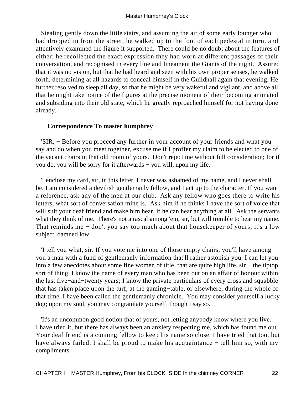Stealing gently down the little stairs, and assuming the air of some early lounger who had dropped in from the street, he walked up to the foot of each pedestal in turn, and attentively examined the figure it supported. There could be no doubt about the features of either; he recollected the exact expression they had worn at different passages of their conversation, and recognised in every line and lineament the Giants of the night. Assured that it was no vision, but that he had heard and seen with his own proper senses, he walked forth, determining at all hazards to conceal himself in the Guildhall again that evening. He further resolved to sleep all day, so that he might be very wakeful and vigilant, and above all that he might take notice of the figures at the precise moment of their becoming animated and subsiding into their old state, which he greatly reproached himself for not having done already.

#### **Correspondence To master humphrey**

 'SIR, − Before you proceed any further in your account of your friends and what you say and do when you meet together, excuse me if I proffer my claim to be elected to one of the vacant chairs in that old room of yours. Don't reject me without full consideration; for if you do, you will be sorry for it afterwards − you will, upon my life.

 'I enclose my card, sir, in this letter. I never was ashamed of my name, and I never shall be. I am considered a devilish gentlemanly fellow, and I act up to the character. If you want a reference, ask any of the men at our club. Ask any fellow who goes there to write his letters, what sort of conversation mine is. Ask him if he thinks I have the sort of voice that will suit your deaf friend and make him hear, if he can hear anything at all. Ask the servants what they think of me. There's not a rascal among 'em, sir, but will tremble to hear my name. That reminds me − don't you say too much about that housekeeper of yours; it's a low subject, damned low.

 'I tell you what, sir. If you vote me into one of those empty chairs, you'll have among you a man with a fund of gentlemanly information that'll rather astonish you. I can let you into a few anecdotes about some fine women of title, that are quite high life, sir − the tiptop sort of thing. I know the name of every man who has been out on an affair of honour within the last five−and−twenty years; I know the private particulars of every cross and squabble that has taken place upon the turf, at the gaming−table, or elsewhere, during the whole of that time. I have been called the gentlemanly chronicle. You may consider yourself a lucky dog; upon my soul, you may congratulate yourself, though I say so.

 'It's an uncommon good notion that of yours, not letting anybody know where you live. I have tried it, but there has always been an anxiety respecting me, which has found me out. Your deaf friend is a cunning fellow to keep his name so close. I have tried that too, but have always failed. I shall be proud to make his acquaintance − tell him so, with my compliments.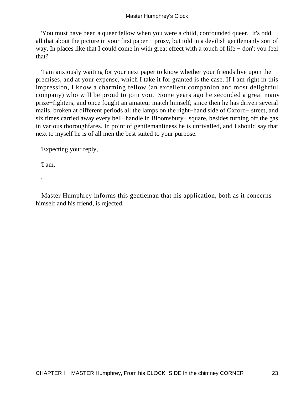'You must have been a queer fellow when you were a child, confounded queer. It's odd, all that about the picture in your first paper − prosy, but told in a devilish gentlemanly sort of way. In places like that I could come in with great effect with a touch of life − don't you feel that?

 'I am anxiously waiting for your next paper to know whether your friends live upon the premises, and at your expense, which I take it for granted is the case. If I am right in this impression, I know a charming fellow (an excellent companion and most delightful company) who will be proud to join you. Some years ago he seconded a great many prize−fighters, and once fought an amateur match himself; since then he has driven several mails, broken at different periods all the lamps on the right−hand side of Oxford− street, and six times carried away every bell−handle in Bloomsbury− square, besides turning off the gas in various thoroughfares. In point of gentlemanliness he is unrivalled, and I should say that next to myself he is of all men the best suited to your purpose.

'Expecting your reply,

'I am,

'

 Master Humphrey informs this gentleman that his application, both as it concerns himself and his friend, is rejected.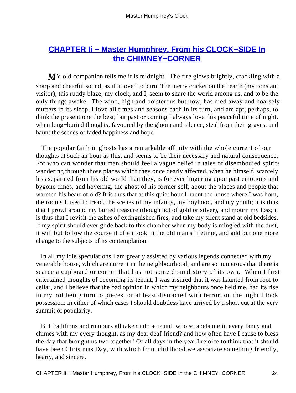# **[CHAPTER Ii − Master Humphrey, From his CLOCK−SIDE In](#page-93-0) [the CHIMNEY−CORNER](#page-93-0)**

*MY* old companion tells me it is midnight. The fire glows brightly, crackling with a sharp and cheerful sound, as if it loved to burn. The merry cricket on the hearth (my constant visitor), this ruddy blaze, my clock, and I, seem to share the world among us, and to be the only things awake. The wind, high and boisterous but now, has died away and hoarsely mutters in its sleep. I love all times and seasons each in its turn, and am apt, perhaps, to think the present one the best; but past or coming I always love this peaceful time of night, when long−buried thoughts, favoured by the gloom and silence, steal from their graves, and haunt the scenes of faded happiness and hope.

 The popular faith in ghosts has a remarkable affinity with the whole current of our thoughts at such an hour as this, and seems to be their necessary and natural consequence. For who can wonder that man should feel a vague belief in tales of disembodied spirits wandering through those places which they once dearly affected, when he himself, scarcely less separated from his old world than they, is for ever lingering upon past emotions and bygone times, and hovering, the ghost of his former self, about the places and people that warmed his heart of old? It is thus that at this quiet hour I haunt the house where I was born, the rooms I used to tread, the scenes of my infancy, my boyhood, and my youth; it is thus that I prowl around my buried treasure (though not of gold or silver), and mourn my loss; it is thus that I revisit the ashes of extinguished fires, and take my silent stand at old bedsides. If my spirit should ever glide back to this chamber when my body is mingled with the dust, it will but follow the course it often took in the old man's lifetime, and add but one more change to the subjects of its contemplation.

 In all my idle speculations I am greatly assisted by various legends connected with my venerable house, which are current in the neighbourhood, and are so numerous that there is scarce a cupboard or corner that has not some dismal story of its own. When I first entertained thoughts of becoming its tenant, I was assured that it was haunted from roof to cellar, and I believe that the bad opinion in which my neighbours once held me, had its rise in my not being torn to pieces, or at least distracted with terror, on the night I took possession; in either of which cases I should doubtless have arrived by a short cut at the very summit of popularity.

 But traditions and rumours all taken into account, who so abets me in every fancy and chimes with my every thought, as my dear deaf friend? and how often have I cause to bless the day that brought us two together! Of all days in the year I rejoice to think that it should have been Christmas Day, with which from childhood we associate something friendly, hearty, and sincere.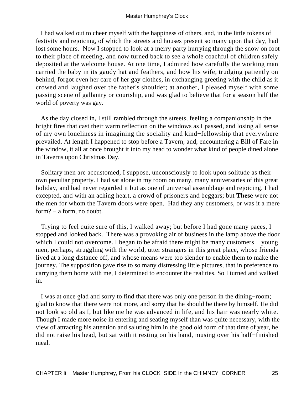I had walked out to cheer myself with the happiness of others, and, in the little tokens of festivity and rejoicing, of which the streets and houses present so many upon that day, had lost some hours. Now I stopped to look at a merry party hurrying through the snow on foot to their place of meeting, and now turned back to see a whole coachful of children safely deposited at the welcome house. At one time, I admired how carefully the working man carried the baby in its gaudy hat and feathers, and how his wife, trudging patiently on behind, forgot even her care of her gay clothes, in exchanging greeting with the child as it crowed and laughed over the father's shoulder; at another, I pleased myself with some passing scene of gallantry or courtship, and was glad to believe that for a season half the world of poverty was gay.

 As the day closed in, I still rambled through the streets, feeling a companionship in the bright fires that cast their warm reflection on the windows as I passed, and losing all sense of my own loneliness in imagining the sociality and kind−fellowship that everywhere prevailed. At length I happened to stop before a Tavern, and, encountering a Bill of Fare in the window, it all at once brought it into my head to wonder what kind of people dined alone in Taverns upon Christmas Day.

 Solitary men are accustomed, I suppose, unconsciously to look upon solitude as their own peculiar property. I had sat alone in my room on many, many anniversaries of this great holiday, and had never regarded it but as one of universal assemblage and rejoicing. I had excepted, and with an aching heart, a crowd of prisoners and beggars; but **These** were not the men for whom the Tavern doors were open. Had they any customers, or was it a mere form? − a form, no doubt.

 Trying to feel quite sure of this, I walked away; but before I had gone many paces, I stopped and looked back. There was a provoking air of business in the lamp above the door which I could not overcome. I began to be afraid there might be many customers − young men, perhaps, struggling with the world, utter strangers in this great place, whose friends lived at a long distance off, and whose means were too slender to enable them to make the journey. The supposition gave rise to so many distressing little pictures, that in preference to carrying them home with me, I determined to encounter the realities. So I turned and walked in.

 I was at once glad and sorry to find that there was only one person in the dining−room; glad to know that there were not more, and sorry that he should be there by himself. He did not look so old as I, but like me he was advanced in life, and his hair was nearly white. Though I made more noise in entering and seating myself than was quite necessary, with the view of attracting his attention and saluting him in the good old form of that time of year, he did not raise his head, but sat with it resting on his hand, musing over his half−finished meal.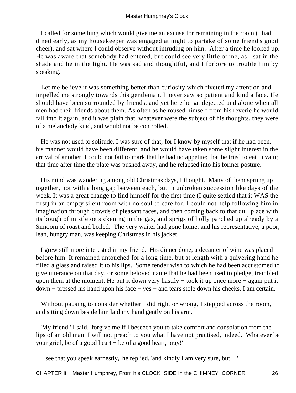I called for something which would give me an excuse for remaining in the room (I had dined early, as my housekeeper was engaged at night to partake of some friend's good cheer), and sat where I could observe without intruding on him. After a time he looked up. He was aware that somebody had entered, but could see very little of me, as I sat in the shade and he in the light. He was sad and thoughtful, and I forbore to trouble him by speaking.

 Let me believe it was something better than curiosity which riveted my attention and impelled me strongly towards this gentleman. I never saw so patient and kind a face. He should have been surrounded by friends, and yet here he sat dejected and alone when all men had their friends about them. As often as he roused himself from his reverie he would fall into it again, and it was plain that, whatever were the subject of his thoughts, they were of a melancholy kind, and would not be controlled.

 He was not used to solitude. I was sure of that; for I know by myself that if he had been, his manner would have been different, and he would have taken some slight interest in the arrival of another. I could not fail to mark that he had no appetite; that he tried to eat in vain; that time after time the plate was pushed away, and he relapsed into his former posture.

 His mind was wandering among old Christmas days, I thought. Many of them sprung up together, not with a long gap between each, but in unbroken succession like days of the week. It was a great change to find himself for the first time (I quite settled that it WAS the first) in an empty silent room with no soul to care for. I could not help following him in imagination through crowds of pleasant faces, and then coming back to that dull place with its bough of mistletoe sickening in the gas, and sprigs of holly parched up already by a Simoom of roast and boiled. The very waiter had gone home; and his representative, a poor, lean, hungry man, was keeping Christmas in his jacket.

 I grew still more interested in my friend. His dinner done, a decanter of wine was placed before him. It remained untouched for a long time, but at length with a quivering hand he filled a glass and raised it to his lips. Some tender wish to which he had been accustomed to give utterance on that day, or some beloved name that he had been used to pledge, trembled upon them at the moment. He put it down very hastily − took it up once more − again put it down − pressed his hand upon his face − yes − and tears stole down his cheeks, I am certain.

 Without pausing to consider whether I did right or wrong, I stepped across the room, and sitting down beside him laid my hand gently on his arm.

 'My friend,' I said, 'forgive me if I beseech you to take comfort and consolation from the lips of an old man. I will not preach to you what I have not practised, indeed. Whatever be your grief, be of a good heart − be of a good heart, pray!'

'I see that you speak earnestly,' he replied, 'and kindly I am very sure, but − '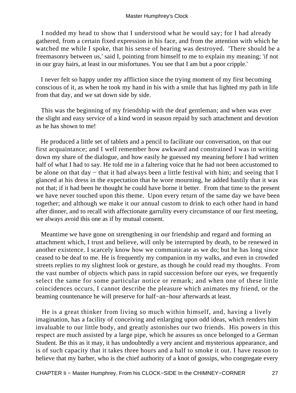I nodded my head to show that I understood what he would say; for I had already gathered, from a certain fixed expression in his face, and from the attention with which he watched me while I spoke, that his sense of hearing was destroyed. 'There should be a freemasonry between us,' said I, pointing from himself to me to explain my meaning; 'if not in our gray hairs, at least in our misfortunes. You see that I am but a poor cripple.'

 I never felt so happy under my affliction since the trying moment of my first becoming conscious of it, as when he took my hand in his with a smile that has lighted my path in life from that day, and we sat down side by side.

 This was the beginning of my friendship with the deaf gentleman; and when was ever the slight and easy service of a kind word in season repaid by such attachment and devotion as he has shown to me!

 He produced a little set of tablets and a pencil to facilitate our conversation, on that our first acquaintance; and I well remember how awkward and constrained I was in writing down my share of the dialogue, and how easily he guessed my meaning before I had written half of what I had to say. He told me in a faltering voice that he had not been accustomed to be alone on that day − that it had always been a little festival with him; and seeing that I glanced at his dress in the expectation that he wore mourning, he added hastily that it was not that; if it had been he thought he could have borne it better. From that time to the present we have never touched upon this theme. Upon every return of the same day we have been together; and although we make it our annual custom to drink to each other hand in hand after dinner, and to recall with affectionate garrulity every circumstance of our first meeting, we always avoid this one as if by mutual consent.

 Meantime we have gone on strengthening in our friendship and regard and forming an attachment which, I trust and believe, will only be interrupted by death, to be renewed in another existence. I scarcely know how we communicate as we do; but he has long since ceased to be deaf to me. He is frequently my companion in my walks, and even in crowded streets replies to my slightest look or gesture, as though he could read my thoughts. From the vast number of objects which pass in rapid succession before our eyes, we frequently select the same for some particular notice or remark; and when one of these little coincidences occurs, I cannot describe the pleasure which animates my friend, or the beaming countenance he will preserve for half−an−hour afterwards at least.

 He is a great thinker from living so much within himself, and, having a lively imagination, has a facility of conceiving and enlarging upon odd ideas, which renders him invaluable to our little body, and greatly astonishes our two friends. His powers in this respect are much assisted by a large pipe, which he assures us once belonged to a German Student. Be this as it may, it has undoubtedly a very ancient and mysterious appearance, and is of such capacity that it takes three hours and a half to smoke it out. I have reason to believe that my barber, who is the chief authority of a knot of gossips, who congregate every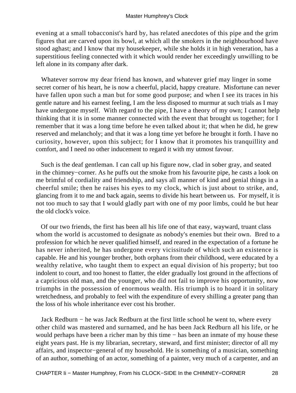evening at a small tobacconist's hard by, has related anecdotes of this pipe and the grim figures that are carved upon its bowl, at which all the smokers in the neighbourhood have stood aghast; and I know that my housekeeper, while she holds it in high veneration, has a superstitious feeling connected with it which would render her exceedingly unwilling to be left alone in its company after dark.

 Whatever sorrow my dear friend has known, and whatever grief may linger in some secret corner of his heart, he is now a cheerful, placid, happy creature. Misfortune can never have fallen upon such a man but for some good purpose; and when I see its traces in his gentle nature and his earnest feeling, I am the less disposed to murmur at such trials as I may have undergone myself. With regard to the pipe, I have a theory of my own; I cannot help thinking that it is in some manner connected with the event that brought us together; for I remember that it was a long time before he even talked about it; that when he did, he grew reserved and melancholy; and that it was a long time yet before he brought it forth. I have no curiosity, however, upon this subject; for I know that it promotes his tranquillity and comfort, and I need no other inducement to regard it with my utmost favour.

 Such is the deaf gentleman. I can call up his figure now, clad in sober gray, and seated in the chimney−corner. As he puffs out the smoke from his favourite pipe, he casts a look on me brimful of cordiality and friendship, and says all manner of kind and genial things in a cheerful smile; then he raises his eyes to my clock, which is just about to strike, and, glancing from it to me and back again, seems to divide his heart between us. For myself, it is not too much to say that I would gladly part with one of my poor limbs, could he but hear the old clock's voice.

 Of our two friends, the first has been all his life one of that easy, wayward, truant class whom the world is accustomed to designate as nobody's enemies but their own. Bred to a profession for which he never qualified himself, and reared in the expectation of a fortune he has never inherited, he has undergone every vicissitude of which such an existence is capable. He and his younger brother, both orphans from their childhood, were educated by a wealthy relative, who taught them to expect an equal division of his property; but too indolent to court, and too honest to flatter, the elder gradually lost ground in the affections of a capricious old man, and the younger, who did not fail to improve his opportunity, now triumphs in the possession of enormous wealth. His triumph is to hoard it in solitary wretchedness, and probably to feel with the expenditure of every shilling a greater pang than the loss of his whole inheritance ever cost his brother.

 Jack Redburn − he was Jack Redburn at the first little school he went to, where every other child was mastered and surnamed, and he has been Jack Redburn all his life, or he would perhaps have been a richer man by this time − has been an inmate of my house these eight years past. He is my librarian, secretary, steward, and first minister; director of all my affairs, and inspector−general of my household. He is something of a musician, something of an author, something of an actor, something of a painter, very much of a carpenter, and an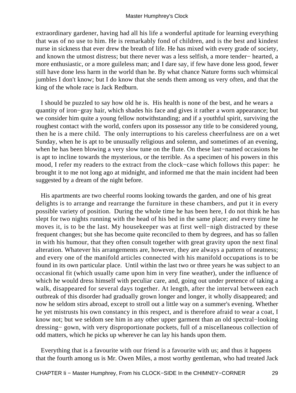extraordinary gardener, having had all his life a wonderful aptitude for learning everything that was of no use to him. He is remarkably fond of children, and is the best and kindest nurse in sickness that ever drew the breath of life. He has mixed with every grade of society, and known the utmost distress; but there never was a less selfish, a more tender− hearted, a more enthusiastic, or a more guileless man; and I dare say, if few have done less good, fewer still have done less harm in the world than he. By what chance Nature forms such whimsical jumbles I don't know; but I do know that she sends them among us very often, and that the king of the whole race is Jack Redburn.

 I should be puzzled to say how old he is. His health is none of the best, and he wears a quantity of iron−gray hair, which shades his face and gives it rather a worn appearance; but we consider him quite a young fellow notwithstanding; and if a youthful spirit, surviving the roughest contact with the world, confers upon its possessor any title to be considered young, then he is a mere child. The only interruptions to his careless cheerfulness are on a wet Sunday, when he is apt to be unusually religious and solemn, and sometimes of an evening, when he has been blowing a very slow tune on the flute. On these last−named occasions he is apt to incline towards the mysterious, or the terrible. As a specimen of his powers in this mood, I refer my readers to the extract from the clock−case which follows this paper: he brought it to me not long ago at midnight, and informed me that the main incident had been suggested by a dream of the night before.

 His apartments are two cheerful rooms looking towards the garden, and one of his great delights is to arrange and rearrange the furniture in these chambers, and put it in every possible variety of position. During the whole time he has been here, I do not think he has slept for two nights running with the head of his bed in the same place; and every time he moves it, is to be the last. My housekeeper was at first well−nigh distracted by these frequent changes; but she has become quite reconciled to them by degrees, and has so fallen in with his humour, that they often consult together with great gravity upon the next final alteration. Whatever his arrangements are, however, they are always a pattern of neatness; and every one of the manifold articles connected with his manifold occupations is to be found in its own particular place. Until within the last two or three years he was subject to an occasional fit (which usually came upon him in very fine weather), under the influence of which he would dress himself with peculiar care, and, going out under pretence of taking a walk, disappeared for several days together. At length, after the interval between each outbreak of this disorder had gradually grown longer and longer, it wholly disappeared; and now he seldom stirs abroad, except to stroll out a little way on a summer's evening. Whether he yet mistrusts his own constancy in this respect, and is therefore afraid to wear a coat, I know not; but we seldom see him in any other upper garment than an old spectral−looking dressing− gown, with very disproportionate pockets, full of a miscellaneous collection of odd matters, which he picks up wherever he can lay his hands upon them.

 Everything that is a favourite with our friend is a favourite with us; and thus it happens that the fourth among us is Mr. Owen Miles, a most worthy gentleman, who had treated Jack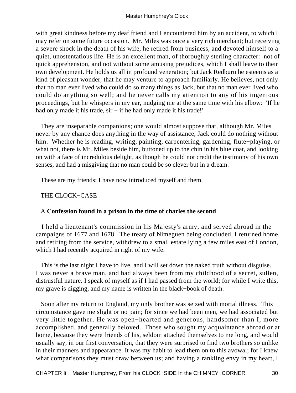with great kindness before my deaf friend and I encountered him by an accident, to which I may refer on some future occasion. Mr. Miles was once a very rich merchant; but receiving a severe shock in the death of his wife, he retired from business, and devoted himself to a quiet, unostentatious life. He is an excellent man, of thoroughly sterling character: not of quick apprehension, and not without some amusing prejudices, which I shall leave to their own development. He holds us all in profound veneration; but Jack Redburn he esteems as a kind of pleasant wonder, that he may venture to approach familiarly. He believes, not only that no man ever lived who could do so many things as Jack, but that no man ever lived who could do anything so well; and he never calls my attention to any of his ingenious proceedings, but he whispers in my ear, nudging me at the same time with his elbow: 'If he had only made it his trade, sir – if he had only made it his trade!'

 They are inseparable companions; one would almost suppose that, although Mr. Miles never by any chance does anything in the way of assistance, Jack could do nothing without him. Whether he is reading, writing, painting, carpentering, gardening, flute−playing, or what not, there is Mr. Miles beside him, buttoned up to the chin in his blue coat, and looking on with a face of incredulous delight, as though he could not credit the testimony of his own senses, and had a misgiving that no man could be so clever but in a dream.

These are my friends; I have now introduced myself and them.

# THE CLOCK−CASE

## A **Confession found in a prison in the time of charles the second**

 I held a lieutenant's commission in his Majesty's army, and served abroad in the campaigns of 1677 and 1678. The treaty of Nimeguen being concluded, I returned home, and retiring from the service, withdrew to a small estate lying a few miles east of London, which I had recently acquired in right of my wife.

 This is the last night I have to live, and I will set down the naked truth without disguise. I was never a brave man, and had always been from my childhood of a secret, sullen, distrustful nature. I speak of myself as if I had passed from the world; for while I write this, my grave is digging, and my name is written in the black−book of death.

 Soon after my return to England, my only brother was seized with mortal illness. This circumstance gave me slight or no pain; for since we had been men, we had associated but very little together. He was open−hearted and generous, handsomer than I, more accomplished, and generally beloved. Those who sought my acquaintance abroad or at home, because they were friends of his, seldom attached themselves to me long, and would usually say, in our first conversation, that they were surprised to find two brothers so unlike in their manners and appearance. It was my habit to lead them on to this avowal; for I knew what comparisons they must draw between us; and having a rankling envy in my heart, I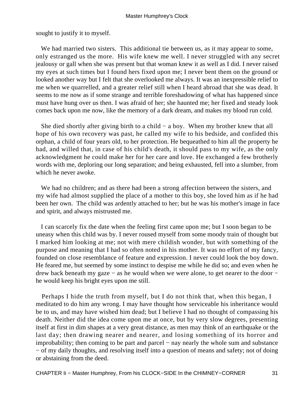sought to justify it to myself.

 We had married two sisters. This additional tie between us, as it may appear to some, only estranged us the more. His wife knew me well. I never struggled with any secret jealousy or gall when she was present but that woman knew it as well as I did. I never raised my eyes at such times but I found hers fixed upon me; I never bent them on the ground or looked another way but I felt that she overlooked me always. It was an inexpressible relief to me when we quarrelled, and a greater relief still when I heard abroad that she was dead. It seems to me now as if some strange and terrible foreshadowing of what has happened since must have hung over us then. I was afraid of her; she haunted me; her fixed and steady look comes back upon me now, like the memory of a dark dream, and makes my blood run cold.

 She died shortly after giving birth to a child − a boy. When my brother knew that all hope of his own recovery was past, he called my wife to his bedside, and confided this orphan, a child of four years old, to her protection. He bequeathed to him all the property he had, and willed that, in case of his child's death, it should pass to my wife, as the only acknowledgment he could make her for her care and love. He exchanged a few brotherly words with me, deploring our long separation; and being exhausted, fell into a slumber, from which he never awoke.

 We had no children; and as there had been a strong affection between the sisters, and my wife had almost supplied the place of a mother to this boy, she loved him as if he had been her own. The child was ardently attached to her; but he was his mother's image in face and spirit, and always mistrusted me.

 I can scarcely fix the date when the feeling first came upon me; but I soon began to be uneasy when this child was by. I never roused myself from some moody train of thought but I marked him looking at me; not with mere childish wonder, but with something of the purpose and meaning that I had so often noted in his mother. It was no effort of my fancy, founded on close resemblance of feature and expression. I never could look the boy down. He feared me, but seemed by some instinct to despise me while he did so; and even when he drew back beneath my gaze – as he would when we were alone, to get nearer to the door – he would keep his bright eyes upon me still.

 Perhaps I hide the truth from myself, but I do not think that, when this began, I meditated to do him any wrong. I may have thought how serviceable his inheritance would be to us, and may have wished him dead; but I believe I had no thought of compassing his death. Neither did the idea come upon me at once, but by very slow degrees, presenting itself at first in dim shapes at a very great distance, as men may think of an earthquake or the last day; then drawing nearer and nearer, and losing something of its horror and improbability; then coming to be part and parcel − nay nearly the whole sum and substance − of my daily thoughts, and resolving itself into a question of means and safety; not of doing or abstaining from the deed.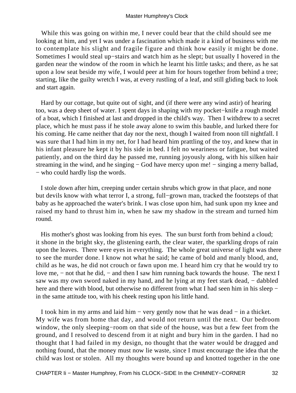While this was going on within me, I never could bear that the child should see me looking at him, and yet I was under a fascination which made it a kind of business with me to contemplate his slight and fragile figure and think how easily it might be done. Sometimes I would steal up−stairs and watch him as he slept; but usually I hovered in the garden near the window of the room in which he learnt his little tasks; and there, as he sat upon a low seat beside my wife, I would peer at him for hours together from behind a tree; starting, like the guilty wretch I was, at every rustling of a leaf, and still gliding back to look and start again.

 Hard by our cottage, but quite out of sight, and (if there were any wind astir) of hearing too, was a deep sheet of water. I spent days in shaping with my pocket−knife a rough model of a boat, which I finished at last and dropped in the child's way. Then I withdrew to a secret place, which he must pass if he stole away alone to swim this bauble, and lurked there for his coming. He came neither that day nor the next, though I waited from noon till nightfall. I was sure that I had him in my net, for I had heard him prattling of the toy, and knew that in his infant pleasure he kept it by his side in bed. I felt no weariness or fatigue, but waited patiently, and on the third day he passed me, running joyously along, with his silken hair streaming in the wind, and he singing – God have mercy upon me! – singing a merry ballad, − who could hardly lisp the words.

 I stole down after him, creeping under certain shrubs which grow in that place, and none but devils know with what terror I, a strong, full−grown man, tracked the footsteps of that baby as he approached the water's brink. I was close upon him, had sunk upon my knee and raised my hand to thrust him in, when he saw my shadow in the stream and turned him round.

His mother's ghost was looking from his eyes. The sun burst forth from behind a cloud; it shone in the bright sky, the glistening earth, the clear water, the sparkling drops of rain upon the leaves. There were eyes in everything. The whole great universe of light was there to see the murder done. I know not what he said; he came of bold and manly blood, and, child as he was, he did not crouch or fawn upon me. I heard him cry that he would try to love me, − not that he did, − and then I saw him running back towards the house. The next I saw was my own sword naked in my hand, and he lying at my feet stark dead, – dabbled here and there with blood, but otherwise no different from what I had seen him in his sleep − in the same attitude too, with his cheek resting upon his little hand.

 I took him in my arms and laid him − very gently now that he was dead − in a thicket. My wife was from home that day, and would not return until the next. Our bedroom window, the only sleeping−room on that side of the house, was but a few feet from the ground, and I resolved to descend from it at night and bury him in the garden. I had no thought that I had failed in my design, no thought that the water would be dragged and nothing found, that the money must now lie waste, since I must encourage the idea that the child was lost or stolen. All my thoughts were bound up and knotted together in the one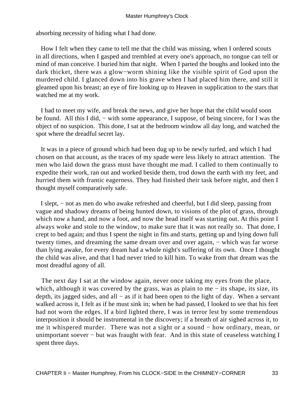absorbing necessity of hiding what I had done.

 How I felt when they came to tell me that the child was missing, when I ordered scouts in all directions, when I gasped and trembled at every one's approach, no tongue can tell or mind of man conceive. I buried him that night. When I parted the boughs and looked into the dark thicket, there was a glow−worm shining like the visible spirit of God upon the murdered child. I glanced down into his grave when I had placed him there, and still it gleamed upon his breast; an eye of fire looking up to Heaven in supplication to the stars that watched me at my work.

 I had to meet my wife, and break the news, and give her hope that the child would soon be found. All this I did, − with some appearance, I suppose, of being sincere, for I was the object of no suspicion. This done, I sat at the bedroom window all day long, and watched the spot where the dreadful secret lay.

 It was in a piece of ground which had been dug up to be newly turfed, and which I had chosen on that account, as the traces of my spade were less likely to attract attention. The men who laid down the grass must have thought me mad. I called to them continually to expedite their work, ran out and worked beside them, trod down the earth with my feet, and hurried them with frantic eagerness. They had finished their task before night, and then I thought myself comparatively safe.

 I slept, − not as men do who awake refreshed and cheerful, but I did sleep, passing from vague and shadowy dreams of being hunted down, to visions of the plot of grass, through which now a hand, and now a foot, and now the head itself was starting out. At this point I always woke and stole to the window, to make sure that it was not really so. That done, I crept to bed again; and thus I spent the night in fits and starts, getting up and lying down full twenty times, and dreaming the same dream over and over again, – which was far worse than lying awake, for every dream had a whole night's suffering of its own. Once I thought the child was alive, and that I had never tried to kill him. To wake from that dream was the most dreadful agony of all.

 The next day I sat at the window again, never once taking my eyes from the place, which, although it was covered by the grass, was as plain to me − its shape, its size, its depth, its jagged sides, and all − as if it had been open to the light of day. When a servant walked across it, I felt as if he must sink in; when he had passed, I looked to see that his feet had not worn the edges. If a bird lighted there, I was in terror lest by some tremendous interposition it should be instrumental in the discovery; if a breath of air sighed across it, to me it whispered murder. There was not a sight or a sound – how ordinary, mean, or unimportant soever – but was fraught with fear. And in this state of ceaseless watching I spent three days.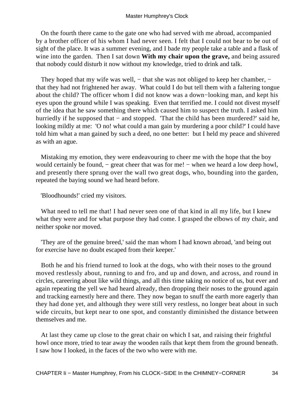On the fourth there came to the gate one who had served with me abroad, accompanied by a brother officer of his whom I had never seen. I felt that I could not bear to be out of sight of the place. It was a summer evening, and I bade my people take a table and a flask of wine into the garden. Then I sat down **With my chair upon the grave,** and being assured that nobody could disturb it now without my knowledge, tried to drink and talk.

They hoped that my wife was well, – that she was not obliged to keep her chamber, – that they had not frightened her away. What could I do but tell them with a faltering tongue about the child? The officer whom I did not know was a down−looking man, and kept his eyes upon the ground while I was speaking. Even that terrified me. I could not divest myself of the idea that he saw something there which caused him to suspect the truth. I asked him hurriedly if he supposed that − and stopped. 'That the child has been murdered?' said he, looking mildly at me: 'O no! what could a man gain by murdering a poor child?' I could have told him what a man gained by such a deed, no one better: but I held my peace and shivered as with an ague.

 Mistaking my emotion, they were endeavouring to cheer me with the hope that the boy would certainly be found, – great cheer that was for me! – when we heard a low deep howl, and presently there sprung over the wall two great dogs, who, bounding into the garden, repeated the baying sound we had heard before.

'Bloodhounds!' cried my visitors.

What need to tell me that! I had never seen one of that kind in all my life, but I knew what they were and for what purpose they had come. I grasped the elbows of my chair, and neither spoke nor moved.

 'They are of the genuine breed,' said the man whom I had known abroad, 'and being out for exercise have no doubt escaped from their keeper.'

 Both he and his friend turned to look at the dogs, who with their noses to the ground moved restlessly about, running to and fro, and up and down, and across, and round in circles, careering about like wild things, and all this time taking no notice of us, but ever and again repeating the yell we had heard already, then dropping their noses to the ground again and tracking earnestly here and there. They now began to snuff the earth more eagerly than they had done yet, and although they were still very restless, no longer beat about in such wide circuits, but kept near to one spot, and constantly diminished the distance between themselves and me.

 At last they came up close to the great chair on which I sat, and raising their frightful howl once more, tried to tear away the wooden rails that kept them from the ground beneath. I saw how I looked, in the faces of the two who were with me.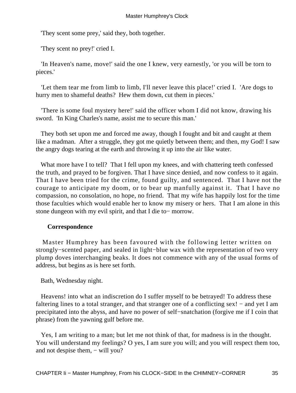'They scent some prey,' said they, both together.

'They scent no prey!' cried I.

 'In Heaven's name, move!' said the one I knew, very earnestly, 'or you will be torn to pieces.'

 'Let them tear me from limb to limb, I'll never leave this place!' cried I. 'Are dogs to hurry men to shameful deaths? Hew them down, cut them in pieces.'

 'There is some foul mystery here!' said the officer whom I did not know, drawing his sword. 'In King Charles's name, assist me to secure this man.'

 They both set upon me and forced me away, though I fought and bit and caught at them like a madman. After a struggle, they got me quietly between them; and then, my God! I saw the angry dogs tearing at the earth and throwing it up into the air like water.

What more have I to tell? That I fell upon my knees, and with chattering teeth confessed the truth, and prayed to be forgiven. That I have since denied, and now confess to it again. That I have been tried for the crime, found guilty, and sentenced. That I have not the courage to anticipate my doom, or to bear up manfully against it. That I have no compassion, no consolation, no hope, no friend. That my wife has happily lost for the time those faculties which would enable her to know my misery or hers. That I am alone in this stone dungeon with my evil spirit, and that I die to− morrow.

### **Correspondence**

 Master Humphrey has been favoured with the following letter written on strongly−scented paper, and sealed in light−blue wax with the representation of two very plump doves interchanging beaks. It does not commence with any of the usual forms of address, but begins as is here set forth.

Bath, Wednesday night.

 Heavens! into what an indiscretion do I suffer myself to be betrayed! To address these faltering lines to a total stranger, and that stranger one of a conflicting sex! – and yet I am precipitated into the abyss, and have no power of self−snatchation (forgive me if I coin that phrase) from the yawning gulf before me.

 Yes, I am writing to a man; but let me not think of that, for madness is in the thought. You will understand my feelings? O yes, I am sure you will; and you will respect them too, and not despise them, − will you?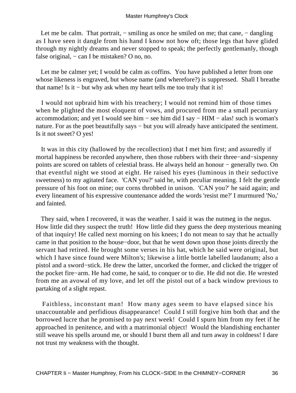Let me be calm. That portrait, – smiling as once he smiled on me; that cane, – dangling as I have seen it dangle from his hand I know not how oft; those legs that have glided through my nightly dreams and never stopped to speak; the perfectly gentlemanly, though false original,  $-$  can I be mistaken? O no, no.

 Let me be calmer yet; I would be calm as coffins. You have published a letter from one whose likeness is engraved, but whose name (and wherefore?) is suppressed. Shall I breathe that name! Is it − but why ask when my heart tells me too truly that it is!

 I would not upbraid him with his treachery; I would not remind him of those times when he plighted the most eloquent of vows, and procured from me a small pecuniary accommodation; and yet I would see him – see him did I say – HIM – alas! such is woman's nature. For as the poet beautifully says – but you will already have anticipated the sentiment. Is it not sweet? O yes!

 It was in this city (hallowed by the recollection) that I met him first; and assuredly if mortal happiness be recorded anywhere, then those rubbers with their three−and−sixpenny points are scored on tablets of celestial brass. He always held an honour − generally two. On that eventful night we stood at eight. He raised his eyes (luminous in their seductive sweetness) to my agitated face. 'CAN you?' said he, with peculiar meaning. I felt the gentle pressure of his foot on mine; our corns throbbed in unison. 'CAN you?' he said again; and every lineament of his expressive countenance added the words 'resist me?' I murmured 'No,' and fainted.

 They said, when I recovered, it was the weather. I said it was the nutmeg in the negus. How little did they suspect the truth! How little did they guess the deep mysterious meaning of that inquiry! He called next morning on his knees; I do not mean to say that he actually came in that position to the house−door, but that he went down upon those joints directly the servant had retired. He brought some verses in his hat, which he said were original, but which I have since found were Milton's; likewise a little bottle labelled laudanum; also a pistol and a sword−stick. He drew the latter, uncorked the former, and clicked the trigger of the pocket fire−arm. He had come, he said, to conquer or to die. He did not die. He wrested from me an avowal of my love, and let off the pistol out of a back window previous to partaking of a slight repast.

 Faithless, inconstant man! How many ages seem to have elapsed since his unaccountable and perfidious disappearance! Could I still forgive him both that and the borrowed lucre that he promised to pay next week! Could I spurn him from my feet if he approached in penitence, and with a matrimonial object! Would the blandishing enchanter still weave his spells around me, or should I burst them all and turn away in coldness! I dare not trust my weakness with the thought.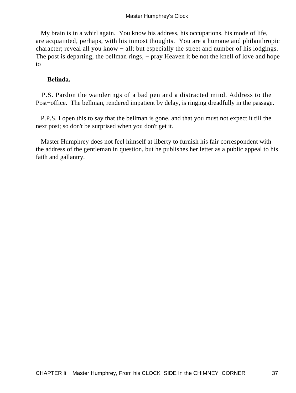My brain is in a whirl again. You know his address, his occupations, his mode of life, − are acquainted, perhaps, with his inmost thoughts. You are a humane and philanthropic character; reveal all you know − all; but especially the street and number of his lodgings. The post is departing, the bellman rings, – pray Heaven it be not the knell of love and hope to

# **Belinda.**

 P.S. Pardon the wanderings of a bad pen and a distracted mind. Address to the Post–office. The bellman, rendered impatient by delay, is ringing dreadfully in the passage.

 P.P.S. I open this to say that the bellman is gone, and that you must not expect it till the next post; so don't be surprised when you don't get it.

 Master Humphrey does not feel himself at liberty to furnish his fair correspondent with the address of the gentleman in question, but he publishes her letter as a public appeal to his faith and gallantry.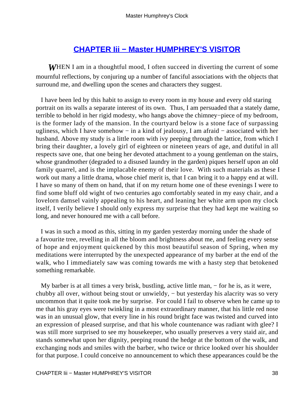# **[CHAPTER Iii − Master HUMPHREY'S VISITOR](#page-93-0)**

*W*HEN I am in a thoughtful mood, I often succeed in diverting the current of some mournful reflections, by conjuring up a number of fanciful associations with the objects that surround me, and dwelling upon the scenes and characters they suggest.

 I have been led by this habit to assign to every room in my house and every old staring portrait on its walls a separate interest of its own. Thus, I am persuaded that a stately dame, terrible to behold in her rigid modesty, who hangs above the chimney−piece of my bedroom, is the former lady of the mansion. In the courtyard below is a stone face of surpassing ugliness, which I have somehow − in a kind of jealousy, I am afraid − associated with her husband. Above my study is a little room with ivy peeping through the lattice, from which I bring their daughter, a lovely girl of eighteen or nineteen years of age, and dutiful in all respects save one, that one being her devoted attachment to a young gentleman on the stairs, whose grandmother (degraded to a disused laundry in the garden) piques herself upon an old family quarrel, and is the implacable enemy of their love. With such materials as these I work out many a little drama, whose chief merit is, that I can bring it to a happy end at will. I have so many of them on hand, that if on my return home one of these evenings I were to find some bluff old wight of two centuries ago comfortably seated in my easy chair, and a lovelorn damsel vainly appealing to his heart, and leaning her white arm upon my clock itself, I verily believe I should only express my surprise that they had kept me waiting so long, and never honoured me with a call before.

 I was in such a mood as this, sitting in my garden yesterday morning under the shade of a favourite tree, revelling in all the bloom and brightness about me, and feeling every sense of hope and enjoyment quickened by this most beautiful season of Spring, when my meditations were interrupted by the unexpected appearance of my barber at the end of the walk, who I immediately saw was coming towards me with a hasty step that betokened something remarkable.

 My barber is at all times a very brisk, bustling, active little man, − for he is, as it were, chubby all over, without being stout or unwieldy, − but yesterday his alacrity was so very uncommon that it quite took me by surprise. For could I fail to observe when he came up to me that his gray eyes were twinkling in a most extraordinary manner, that his little red nose was in an unusual glow, that every line in his round bright face was twisted and curved into an expression of pleased surprise, and that his whole countenance was radiant with glee? I was still more surprised to see my housekeeper, who usually preserves a very staid air, and stands somewhat upon her dignity, peeping round the hedge at the bottom of the walk, and exchanging nods and smiles with the barber, who twice or thrice looked over his shoulder for that purpose. I could conceive no announcement to which these appearances could be the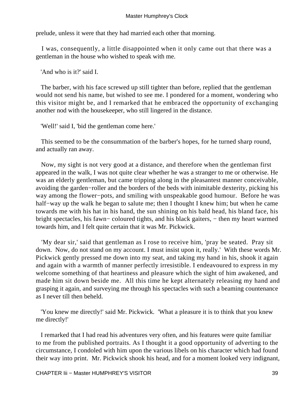prelude, unless it were that they had married each other that morning.

 I was, consequently, a little disappointed when it only came out that there was a gentleman in the house who wished to speak with me.

'And who is it?' said I.

 The barber, with his face screwed up still tighter than before, replied that the gentleman would not send his name, but wished to see me. I pondered for a moment, wondering who this visitor might be, and I remarked that he embraced the opportunity of exchanging another nod with the housekeeper, who still lingered in the distance.

'Well!' said I, 'bid the gentleman come here.'

 This seemed to be the consummation of the barber's hopes, for he turned sharp round, and actually ran away.

 Now, my sight is not very good at a distance, and therefore when the gentleman first appeared in the walk, I was not quite clear whether he was a stranger to me or otherwise. He was an elderly gentleman, but came tripping along in the pleasantest manner conceivable, avoiding the garden−roller and the borders of the beds with inimitable dexterity, picking his way among the flower−pots, and smiling with unspeakable good humour. Before he was half−way up the walk he began to salute me; then I thought I knew him; but when he came towards me with his hat in his hand, the sun shining on his bald head, his bland face, his bright spectacles, his fawn− coloured tights, and his black gaiters, − then my heart warmed towards him, and I felt quite certain that it was Mr. Pickwick.

 'My dear sir,' said that gentleman as I rose to receive him, 'pray be seated. Pray sit down. Now, do not stand on my account. I must insist upon it, really.' With these words Mr. Pickwick gently pressed me down into my seat, and taking my hand in his, shook it again and again with a warmth of manner perfectly irresistible. I endeavoured to express in my welcome something of that heartiness and pleasure which the sight of him awakened, and made him sit down beside me. All this time he kept alternately releasing my hand and grasping it again, and surveying me through his spectacles with such a beaming countenance as I never till then beheld.

 'You knew me directly!' said Mr. Pickwick. 'What a pleasure it is to think that you knew me directly!'

 I remarked that I had read his adventures very often, and his features were quite familiar to me from the published portraits. As I thought it a good opportunity of adverting to the circumstance, I condoled with him upon the various libels on his character which had found their way into print. Mr. Pickwick shook his head, and for a moment looked very indignant,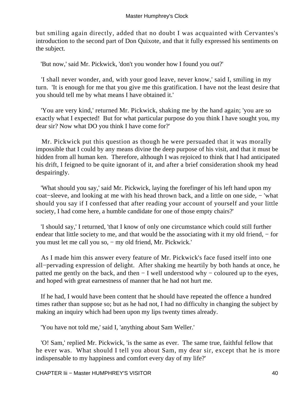but smiling again directly, added that no doubt I was acquainted with Cervantes's introduction to the second part of Don Quixote, and that it fully expressed his sentiments on the subject.

'But now,' said Mr. Pickwick, 'don't you wonder how I found you out?'

 'I shall never wonder, and, with your good leave, never know,' said I, smiling in my turn. 'It is enough for me that you give me this gratification. I have not the least desire that you should tell me by what means I have obtained it.'

 'You are very kind,' returned Mr. Pickwick, shaking me by the hand again; 'you are so exactly what I expected! But for what particular purpose do you think I have sought you, my dear sir? Now what DO you think I have come for?'

 Mr. Pickwick put this question as though he were persuaded that it was morally impossible that I could by any means divine the deep purpose of his visit, and that it must be hidden from all human ken. Therefore, although I was rejoiced to think that I had anticipated his drift, I feigned to be quite ignorant of it, and after a brief consideration shook my head despairingly.

 'What should you say,' said Mr. Pickwick, laying the forefinger of his left hand upon my coat−sleeve, and looking at me with his head thrown back, and a little on one side, − 'what should you say if I confessed that after reading your account of yourself and your little society, I had come here, a humble candidate for one of those empty chairs?'

 'I should say,' I returned, 'that I know of only one circumstance which could still further endear that little society to me, and that would be the associating with it my old friend, – for you must let me call you so, − my old friend, Mr. Pickwick.'

 As I made him this answer every feature of Mr. Pickwick's face fused itself into one all−pervading expression of delight. After shaking me heartily by both hands at once, he patted me gently on the back, and then − I well understood why − coloured up to the eyes, and hoped with great earnestness of manner that he had not hurt me.

 If he had, I would have been content that he should have repeated the offence a hundred times rather than suppose so; but as he had not, I had no difficulty in changing the subject by making an inquiry which had been upon my lips twenty times already.

'You have not told me,' said I, 'anything about Sam Weller.'

 'O! Sam,' replied Mr. Pickwick, 'is the same as ever. The same true, faithful fellow that he ever was. What should I tell you about Sam, my dear sir, except that he is more indispensable to my happiness and comfort every day of my life?'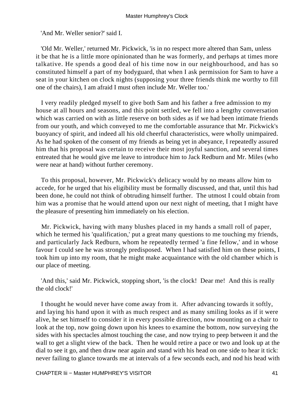'And Mr. Weller senior?' said I.

 'Old Mr. Weller,' returned Mr. Pickwick, 'is in no respect more altered than Sam, unless it be that he is a little more opinionated than he was formerly, and perhaps at times more talkative. He spends a good deal of his time now in our neighbourhood, and has so constituted himself a part of my bodyguard, that when I ask permission for Sam to have a seat in your kitchen on clock nights (supposing your three friends think me worthy to fill one of the chairs), I am afraid I must often include Mr. Weller too.'

 I very readily pledged myself to give both Sam and his father a free admission to my house at all hours and seasons, and this point settled, we fell into a lengthy conversation which was carried on with as little reserve on both sides as if we had been intimate friends from our youth, and which conveyed to me the comfortable assurance that Mr. Pickwick's buoyancy of spirit, and indeed all his old cheerful characteristics, were wholly unimpaired. As he had spoken of the consent of my friends as being yet in abeyance, I repeatedly assured him that his proposal was certain to receive their most joyful sanction, and several times entreated that he would give me leave to introduce him to Jack Redburn and Mr. Miles (who were near at hand) without further ceremony.

 To this proposal, however, Mr. Pickwick's delicacy would by no means allow him to accede, for he urged that his eligibility must be formally discussed, and that, until this had been done, he could not think of obtruding himself further. The utmost I could obtain from him was a promise that he would attend upon our next night of meeting, that I might have the pleasure of presenting him immediately on his election.

 Mr. Pickwick, having with many blushes placed in my hands a small roll of paper, which he termed his 'qualification,' put a great many questions to me touching my friends, and particularly Jack Redburn, whom he repeatedly termed 'a fine fellow,' and in whose favour I could see he was strongly predisposed. When I had satisfied him on these points, I took him up into my room, that he might make acquaintance with the old chamber which is our place of meeting.

 'And this,' said Mr. Pickwick, stopping short, 'is the clock! Dear me! And this is really the old clock!'

 I thought he would never have come away from it. After advancing towards it softly, and laying his hand upon it with as much respect and as many smiling looks as if it were alive, he set himself to consider it in every possible direction, now mounting on a chair to look at the top, now going down upon his knees to examine the bottom, now surveying the sides with his spectacles almost touching the case, and now trying to peep between it and the wall to get a slight view of the back. Then he would retire a pace or two and look up at the dial to see it go, and then draw near again and stand with his head on one side to hear it tick: never failing to glance towards me at intervals of a few seconds each, and nod his head with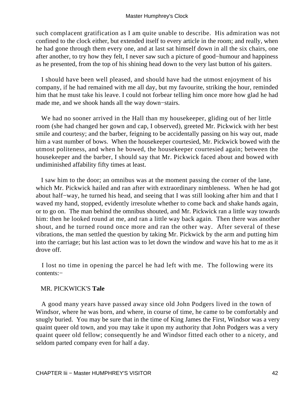such complacent gratification as I am quite unable to describe. His admiration was not confined to the clock either, but extended itself to every article in the room; and really, when he had gone through them every one, and at last sat himself down in all the six chairs, one after another, to try how they felt, I never saw such a picture of good−humour and happiness as he presented, from the top of his shining head down to the very last button of his gaiters.

 I should have been well pleased, and should have had the utmost enjoyment of his company, if he had remained with me all day, but my favourite, striking the hour, reminded him that he must take his leave. I could not forbear telling him once more how glad he had made me, and we shook hands all the way down−stairs.

 We had no sooner arrived in the Hall than my housekeeper, gliding out of her little room (she had changed her gown and cap, I observed), greeted Mr. Pickwick with her best smile and courtesy; and the barber, feigning to be accidentally passing on his way out, made him a vast number of bows. When the housekeeper courtesied, Mr. Pickwick bowed with the utmost politeness, and when he bowed, the housekeeper courtesied again; between the housekeeper and the barber, I should say that Mr. Pickwick faced about and bowed with undiminished affability fifty times at least.

 I saw him to the door; an omnibus was at the moment passing the corner of the lane, which Mr. Pickwick hailed and ran after with extraordinary nimbleness. When he had got about half−way, he turned his head, and seeing that I was still looking after him and that I waved my hand, stopped, evidently irresolute whether to come back and shake hands again, or to go on. The man behind the omnibus shouted, and Mr. Pickwick ran a little way towards him: then he looked round at me, and ran a little way back again. Then there was another shout, and he turned round once more and ran the other way. After several of these vibrations, the man settled the question by taking Mr. Pickwick by the arm and putting him into the carriage; but his last action was to let down the window and wave his hat to me as it drove off.

 I lost no time in opening the parcel he had left with me. The following were its contents:−

# MR. PICKWICK'S **Tale**

 A good many years have passed away since old John Podgers lived in the town of Windsor, where he was born, and where, in course of time, he came to be comfortably and snugly buried. You may be sure that in the time of King James the First, Windsor was a very quaint queer old town, and you may take it upon my authority that John Podgers was a very quaint queer old fellow; consequently he and Windsor fitted each other to a nicety, and seldom parted company even for half a day.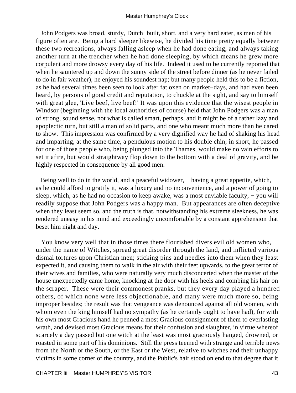John Podgers was broad, sturdy, Dutch−built, short, and a very hard eater, as men of his figure often are. Being a hard sleeper likewise, he divided his time pretty equally between these two recreations, always falling asleep when he had done eating, and always taking another turn at the trencher when he had done sleeping, by which means he grew more corpulent and more drowsy every day of his life. Indeed it used to be currently reported that when he sauntered up and down the sunny side of the street before dinner (as he never failed to do in fair weather), he enjoyed his soundest nap; but many people held this to be a fiction, as he had several times been seen to look after fat oxen on market−days, and had even been heard, by persons of good credit and reputation, to chuckle at the sight, and say to himself with great glee, 'Live beef, live beef!' It was upon this evidence that the wisest people in Windsor (beginning with the local authorities of course) held that John Podgers was a man of strong, sound sense, not what is called smart, perhaps, and it might be of a rather lazy and apoplectic turn, but still a man of solid parts, and one who meant much more than he cared to show. This impression was confirmed by a very dignified way he had of shaking his head and imparting, at the same time, a pendulous motion to his double chin; in short, he passed for one of those people who, being plunged into the Thames, would make no vain efforts to set it afire, but would straightway flop down to the bottom with a deal of gravity, and be highly respected in consequence by all good men.

Being well to do in the world, and a peaceful widower, – having a great appetite, which, as he could afford to gratify it, was a luxury and no inconvenience, and a power of going to sleep, which, as he had no occasion to keep awake, was a most enviable faculty, – you will readily suppose that John Podgers was a happy man. But appearances are often deceptive when they least seem so, and the truth is that, notwithstanding his extreme sleekness, he was rendered uneasy in his mind and exceedingly uncomfortable by a constant apprehension that beset him night and day.

 You know very well that in those times there flourished divers evil old women who, under the name of Witches, spread great disorder through the land, and inflicted various dismal tortures upon Christian men; sticking pins and needles into them when they least expected it, and causing them to walk in the air with their feet upwards, to the great terror of their wives and families, who were naturally very much disconcerted when the master of the house unexpectedly came home, knocking at the door with his heels and combing his hair on the scraper. These were their commonest pranks, but they every day played a hundred others, of which none were less objectionable, and many were much more so, being improper besides; the result was that vengeance was denounced against all old women, with whom even the king himself had no sympathy (as he certainly ought to have had), for with his own most Gracious hand he penned a most Gracious consignment of them to everlasting wrath, and devised most Gracious means for their confusion and slaughter, in virtue whereof scarcely a day passed but one witch at the least was most graciously hanged, drowned, or roasted in some part of his dominions. Still the press teemed with strange and terrible news from the North or the South, or the East or the West, relative to witches and their unhappy victims in some corner of the country, and the Public's hair stood on end to that degree that it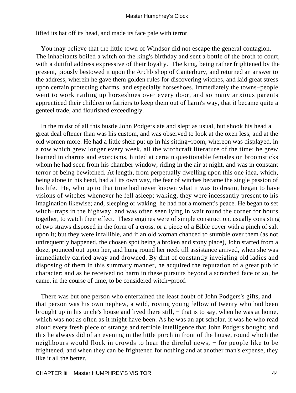lifted its hat off its head, and made its face pale with terror.

 You may believe that the little town of Windsor did not escape the general contagion. The inhabitants boiled a witch on the king's birthday and sent a bottle of the broth to court, with a dutiful address expressive of their loyalty. The king, being rather frightened by the present, piously bestowed it upon the Archbishop of Canterbury, and returned an answer to the address, wherein he gave them golden rules for discovering witches, and laid great stress upon certain protecting charms, and especially horseshoes. Immediately the towns−people went to work nailing up horseshoes over every door, and so many anxious parents apprenticed their children to farriers to keep them out of harm's way, that it became quite a genteel trade, and flourished exceedingly.

 In the midst of all this bustle John Podgers ate and slept as usual, but shook his head a great deal oftener than was his custom, and was observed to look at the oxen less, and at the old women more. He had a little shelf put up in his sitting−room, whereon was displayed, in a row which grew longer every week, all the witchcraft literature of the time; he grew learned in charms and exorcisms, hinted at certain questionable females on broomsticks whom he had seen from his chamber window, riding in the air at night, and was in constant terror of being bewitched. At length, from perpetually dwelling upon this one idea, which, being alone in his head, had all its own way, the fear of witches became the single passion of his life. He, who up to that time had never known what it was to dream, began to have visions of witches whenever he fell asleep; waking, they were incessantly present to his imagination likewise; and, sleeping or waking, he had not a moment's peace. He began to set witch−traps in the highway, and was often seen lying in wait round the corner for hours together, to watch their effect. These engines were of simple construction, usually consisting of two straws disposed in the form of a cross, or a piece of a Bible cover with a pinch of salt upon it; but they were infallible, and if an old woman chanced to stumble over them (as not unfrequently happened, the chosen spot being a broken and stony place), John started from a doze, pounced out upon her, and hung round her neck till assistance arrived, when she was immediately carried away and drowned. By dint of constantly inveigling old ladies and disposing of them in this summary manner, he acquired the reputation of a great public character; and as he received no harm in these pursuits beyond a scratched face or so, he came, in the course of time, to be considered witch−proof.

 There was but one person who entertained the least doubt of John Podgers's gifts, and that person was his own nephew, a wild, roving young fellow of twenty who had been brought up in his uncle's house and lived there still, − that is to say, when he was at home, which was not as often as it might have been. As he was an apt scholar, it was he who read aloud every fresh piece of strange and terrible intelligence that John Podgers bought; and this he always did of an evening in the little porch in front of the house, round which the neighbours would flock in crowds to hear the direful news, – for people like to be frightened, and when they can be frightened for nothing and at another man's expense, they like it all the better.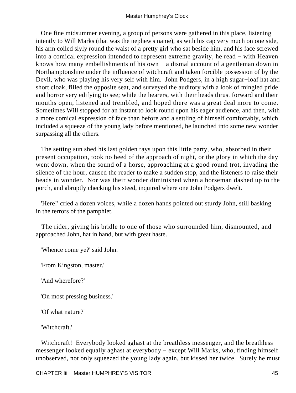One fine midsummer evening, a group of persons were gathered in this place, listening intently to Will Marks (that was the nephew's name), as with his cap very much on one side, his arm coiled slyly round the waist of a pretty girl who sat beside him, and his face screwed into a comical expression intended to represent extreme gravity, he read − with Heaven knows how many embellishments of his own − a dismal account of a gentleman down in Northamptonshire under the influence of witchcraft and taken forcible possession of by the Devil, who was playing his very self with him. John Podgers, in a high sugar−loaf hat and short cloak, filled the opposite seat, and surveyed the auditory with a look of mingled pride and horror very edifying to see; while the hearers, with their heads thrust forward and their mouths open, listened and trembled, and hoped there was a great deal more to come. Sometimes Will stopped for an instant to look round upon his eager audience, and then, with a more comical expression of face than before and a settling of himself comfortably, which included a squeeze of the young lady before mentioned, he launched into some new wonder surpassing all the others.

 The setting sun shed his last golden rays upon this little party, who, absorbed in their present occupation, took no heed of the approach of night, or the glory in which the day went down, when the sound of a horse, approaching at a good round trot, invading the silence of the hour, caused the reader to make a sudden stop, and the listeners to raise their heads in wonder. Nor was their wonder diminished when a horseman dashed up to the porch, and abruptly checking his steed, inquired where one John Podgers dwelt.

 'Here!' cried a dozen voices, while a dozen hands pointed out sturdy John, still basking in the terrors of the pamphlet.

 The rider, giving his bridle to one of those who surrounded him, dismounted, and approached John, hat in hand, but with great haste.

'Whence come ye?' said John.

'From Kingston, master.'

'And wherefore?'

'On most pressing business.'

'Of what nature?'

'Witchcraft.'

Witchcraft! Everybody looked aghast at the breathless messenger, and the breathless messenger looked equally aghast at everybody − except Will Marks, who, finding himself unobserved, not only squeezed the young lady again, but kissed her twice. Surely he must

CHAPTER Iii − Master HUMPHREY'S VISITOR 45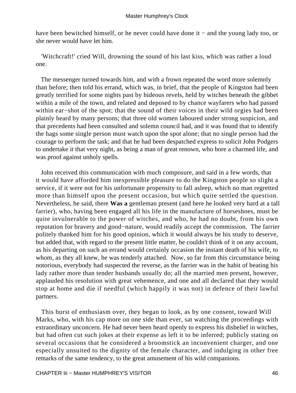have been bewitched himself, or he never could have done it − and the young lady too, or she never would have let him.

 'Witchcraft!' cried Will, drowning the sound of his last kiss, which was rather a loud one.

 The messenger turned towards him, and with a frown repeated the word more solemnly than before; then told his errand, which was, in brief, that the people of Kingston had been greatly terrified for some nights past by hideous revels, held by witches beneath the gibbet within a mile of the town, and related and deposed to by chance wayfarers who had passed within ear−shot of the spot; that the sound of their voices in their wild orgies had been plainly heard by many persons; that three old women laboured under strong suspicion, and that precedents had been consulted and solemn council had, and it was found that to identify the hags some single person must watch upon the spot alone; that no single person had the courage to perform the task; and that he had been despatched express to solicit John Podgers to undertake it that very night, as being a man of great renown, who bore a charmed life, and was proof against unholy spells.

 John received this communication with much composure, and said in a few words, that it would have afforded him inexpressible pleasure to do the Kingston people so slight a service, if it were not for his unfortunate propensity to fall asleep, which no man regretted more than himself upon the present occasion, but which quite settled the question. Nevertheless, he said, there **Was a** gentleman present (and here he looked very hard at a tall farrier), who, having been engaged all his life in the manufacture of horseshoes, must be quite invulnerable to the power of witches, and who, he had no doubt, from his own reputation for bravery and good−nature, would readily accept the commission. The farrier politely thanked him for his good opinion, which it would always be his study to deserve, but added that, with regard to the present little matter, he couldn't think of it on any account, as his departing on such an errand would certainly occasion the instant death of his wife, to whom, as they all knew, he was tenderly attached. Now, so far from this circumstance being notorious, everybody had suspected the reverse, as the farrier was in the habit of beating his lady rather more than tender husbands usually do; all the married men present, however, applauded his resolution with great vehemence, and one and all declared that they would stop at home and die if needful (which happily it was not) in defence of their lawful partners.

 This burst of enthusiasm over, they began to look, as by one consent, toward Will Marks, who, with his cap more on one side than ever, sat watching the proceedings with extraordinary unconcern. He had never been heard openly to express his disbelief in witches, but had often cut such jokes at their expense as left it to be inferred; publicly stating on several occasions that he considered a broomstick an inconvenient charger, and one especially unsuited to the dignity of the female character, and indulging in other free remarks of the same tendency, to the great amusement of his wild companions.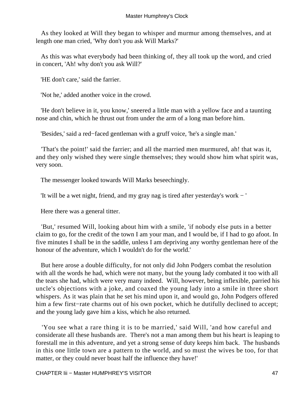As they looked at Will they began to whisper and murmur among themselves, and at length one man cried, 'Why don't you ask Will Marks?'

 As this was what everybody had been thinking of, they all took up the word, and cried in concert, 'Ah! why don't you ask Will?'

'HE don't care,' said the farrier.

'Not he,' added another voice in the crowd.

 'He don't believe in it, you know,' sneered a little man with a yellow face and a taunting nose and chin, which he thrust out from under the arm of a long man before him.

'Besides,' said a red−faced gentleman with a gruff voice, 'he's a single man.'

 'That's the point!' said the farrier; and all the married men murmured, ah! that was it, and they only wished they were single themselves; they would show him what spirit was, very soon.

The messenger looked towards Will Marks beseechingly.

'It will be a wet night, friend, and my gray nag is tired after yesterday's work − '

Here there was a general titter.

 'But,' resumed Will, looking about him with a smile, 'if nobody else puts in a better claim to go, for the credit of the town I am your man, and I would be, if I had to go afoot. In five minutes I shall be in the saddle, unless I am depriving any worthy gentleman here of the honour of the adventure, which I wouldn't do for the world.'

 But here arose a double difficulty, for not only did John Podgers combat the resolution with all the words he had, which were not many, but the young lady combated it too with all the tears she had, which were very many indeed. Will, however, being inflexible, parried his uncle's objections with a joke, and coaxed the young lady into a smile in three short whispers. As it was plain that he set his mind upon it, and would go, John Podgers offered him a few first−rate charms out of his own pocket, which he dutifully declined to accept; and the young lady gave him a kiss, which he also returned.

 'You see what a rare thing it is to be married,' said Will, 'and how careful and considerate all these husbands are. There's not a man among them but his heart is leaping to forestall me in this adventure, and yet a strong sense of duty keeps him back. The husbands in this one little town are a pattern to the world, and so must the wives be too, for that matter, or they could never boast half the influence they have!'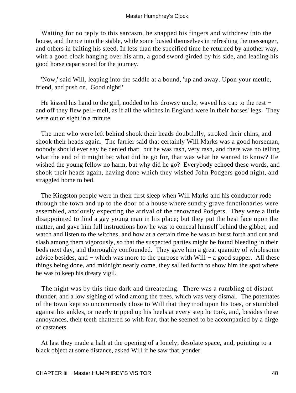Waiting for no reply to this sarcasm, he snapped his fingers and withdrew into the house, and thence into the stable, while some busied themselves in refreshing the messenger, and others in baiting his steed. In less than the specified time he returned by another way, with a good cloak hanging over his arm, a good sword girded by his side, and leading his good horse caparisoned for the journey.

 'Now,' said Will, leaping into the saddle at a bound, 'up and away. Upon your mettle, friend, and push on. Good night!'

He kissed his hand to the girl, nodded to his drowsy uncle, waved his cap to the rest − and off they flew pell−mell, as if all the witches in England were in their horses' legs. They were out of sight in a minute.

 The men who were left behind shook their heads doubtfully, stroked their chins, and shook their heads again. The farrier said that certainly Will Marks was a good horseman, nobody should ever say he denied that: but he was rash, very rash, and there was no telling what the end of it might be; what did he go for, that was what he wanted to know? He wished the young fellow no harm, but why did he go? Everybody echoed these words, and shook their heads again, having done which they wished John Podgers good night, and straggled home to bed.

 The Kingston people were in their first sleep when Will Marks and his conductor rode through the town and up to the door of a house where sundry grave functionaries were assembled, anxiously expecting the arrival of the renowned Podgers. They were a little disappointed to find a gay young man in his place; but they put the best face upon the matter, and gave him full instructions how he was to conceal himself behind the gibbet, and watch and listen to the witches, and how at a certain time he was to burst forth and cut and slash among them vigorously, so that the suspected parties might be found bleeding in their beds next day, and thoroughly confounded. They gave him a great quantity of wholesome advice besides, and − which was more to the purpose with Will − a good supper. All these things being done, and midnight nearly come, they sallied forth to show him the spot where he was to keep his dreary vigil.

 The night was by this time dark and threatening. There was a rumbling of distant thunder, and a low sighing of wind among the trees, which was very dismal. The potentates of the town kept so uncommonly close to Will that they trod upon his toes, or stumbled against his ankles, or nearly tripped up his heels at every step he took, and, besides these annoyances, their teeth chattered so with fear, that he seemed to be accompanied by a dirge of castanets.

 At last they made a halt at the opening of a lonely, desolate space, and, pointing to a black object at some distance, asked Will if he saw that, yonder.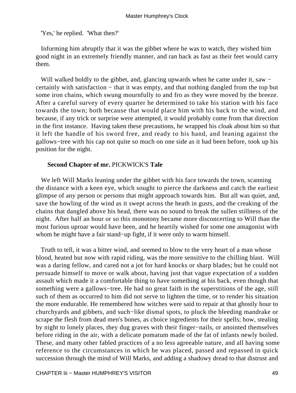'Yes,' he replied. 'What then?'

 Informing him abruptly that it was the gibbet where he was to watch, they wished him good night in an extremely friendly manner, and ran back as fast as their feet would carry them.

Will walked boldly to the gibbet, and, glancing upwards when he came under it, saw − certainly with satisfaction − that it was empty, and that nothing dangled from the top but some iron chains, which swung mournfully to and fro as they were moved by the breeze. After a careful survey of every quarter he determined to take his station with his face towards the town; both because that would place him with his back to the wind, and because, if any trick or surprise were attempted, it would probably come from that direction in the first instance. Having taken these precautions, he wrapped his cloak about him so that it left the handle of his sword free, and ready to his hand, and leaning against the gallows−tree with his cap not quite so much on one side as it had been before, took up his position for the night.

# **Second Chapter of mr.** PICKWICK'S **Tale**

We left Will Marks leaning under the gibbet with his face towards the town, scanning the distance with a keen eye, which sought to pierce the darkness and catch the earliest glimpse of any person or persons that might approach towards him. But all was quiet, and, save the howling of the wind as it swept across the heath in gusts, and the creaking of the chains that dangled above his head, there was no sound to break the sullen stillness of the night. After half an hour or so this monotony became more disconcerting to Will than the most furious uproar would have been, and he heartily wished for some one antagonist with whom he might have a fair stand−up fight, if it were only to warm himself.

 Truth to tell, it was a bitter wind, and seemed to blow to the very heart of a man whose blood, heated but now with rapid riding, was the more sensitive to the chilling blast. Will was a daring fellow, and cared not a jot for hard knocks or sharp blades; but he could not persuade himself to move or walk about, having just that vague expectation of a sudden assault which made it a comfortable thing to have something at his back, even though that something were a gallows−tree. He had no great faith in the superstitions of the age, still such of them as occurred to him did not serve to lighten the time, or to render his situation the more endurable. He remembered how witches were said to repair at that ghostly hour to churchyards and gibbets, and such−like dismal spots, to pluck the bleeding mandrake or scrape the flesh from dead men's bones, as choice ingredients for their spells; how, stealing by night to lonely places, they dug graves with their finger−nails, or anointed themselves before riding in the air, with a delicate pomatum made of the fat of infants newly boiled. These, and many other fabled practices of a no less agreeable nature, and all having some reference to the circumstances in which he was placed, passed and repassed in quick succession through the mind of Will Marks, and adding a shadowy dread to that distrust and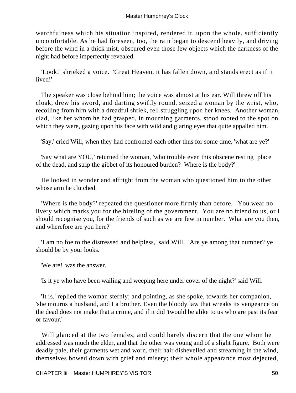watchfulness which his situation inspired, rendered it, upon the whole, sufficiently uncomfortable. As he had foreseen, too, the rain began to descend heavily, and driving before the wind in a thick mist, obscured even those few objects which the darkness of the night had before imperfectly revealed.

 'Look!' shrieked a voice. 'Great Heaven, it has fallen down, and stands erect as if it lived!'

 The speaker was close behind him; the voice was almost at his ear. Will threw off his cloak, drew his sword, and darting swiftly round, seized a woman by the wrist, who, recoiling from him with a dreadful shriek, fell struggling upon her knees. Another woman, clad, like her whom he had grasped, in mourning garments, stood rooted to the spot on which they were, gazing upon his face with wild and glaring eyes that quite appalled him.

'Say,' cried Will, when they had confronted each other thus for some time, 'what are ye?'

 'Say what are YOU,' returned the woman, 'who trouble even this obscene resting−place of the dead, and strip the gibbet of its honoured burden? Where is the body?'

 He looked in wonder and affright from the woman who questioned him to the other whose arm he clutched.

 'Where is the body?' repeated the questioner more firmly than before. 'You wear no livery which marks you for the hireling of the government. You are no friend to us, or I should recognise you, for the friends of such as we are few in number. What are you then, and wherefore are you here?'

 'I am no foe to the distressed and helpless,' said Will. 'Are ye among that number? ye should be by your looks.'

'We are!' was the answer.

'Is it ye who have been wailing and weeping here under cover of the night?' said Will.

 'It is,' replied the woman sternly; and pointing, as she spoke, towards her companion, 'she mourns a husband, and I a brother. Even the bloody law that wreaks its vengeance on the dead does not make that a crime, and if it did 'twould be alike to us who are past its fear or favour.'

 Will glanced at the two females, and could barely discern that the one whom he addressed was much the elder, and that the other was young and of a slight figure. Both were deadly pale, their garments wet and worn, their hair dishevelled and streaming in the wind, themselves bowed down with grief and misery; their whole appearance most dejected,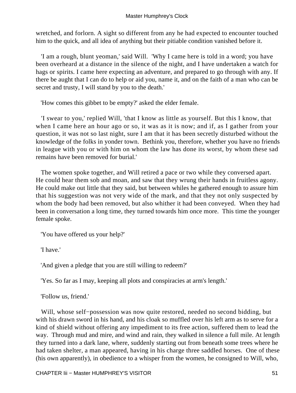wretched, and forlorn. A sight so different from any he had expected to encounter touched him to the quick, and all idea of anything but their pitiable condition vanished before it.

 'I am a rough, blunt yeoman,' said Will. 'Why I came here is told in a word; you have been overheard at a distance in the silence of the night, and I have undertaken a watch for hags or spirits. I came here expecting an adventure, and prepared to go through with any. If there be aught that I can do to help or aid you, name it, and on the faith of a man who can be secret and trusty, I will stand by you to the death.'

'How comes this gibbet to be empty?' asked the elder female.

 'I swear to you,' replied Will, 'that I know as little as yourself. But this I know, that when I came here an hour ago or so, it was as it is now; and if, as I gather from your question, it was not so last night, sure I am that it has been secretly disturbed without the knowledge of the folks in yonder town. Bethink you, therefore, whether you have no friends in league with you or with him on whom the law has done its worst, by whom these sad remains have been removed for burial.'

 The women spoke together, and Will retired a pace or two while they conversed apart. He could hear them sob and moan, and saw that they wrung their hands in fruitless agony. He could make out little that they said, but between whiles he gathered enough to assure him that his suggestion was not very wide of the mark, and that they not only suspected by whom the body had been removed, but also whither it had been conveyed. When they had been in conversation a long time, they turned towards him once more. This time the younger female spoke.

'You have offered us your help?'

'I have.'

'And given a pledge that you are still willing to redeem?'

'Yes. So far as I may, keeping all plots and conspiracies at arm's length.'

'Follow us, friend.'

 Will, whose self−possession was now quite restored, needed no second bidding, but with his drawn sword in his hand, and his cloak so muffled over his left arm as to serve for a kind of shield without offering any impediment to its free action, suffered them to lead the way. Through mud and mire, and wind and rain, they walked in silence a full mile. At length they turned into a dark lane, where, suddenly starting out from beneath some trees where he had taken shelter, a man appeared, having in his charge three saddled horses. One of these (his own apparently), in obedience to a whisper from the women, he consigned to Will, who,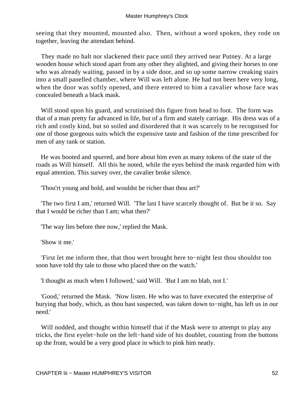seeing that they mounted, mounted also. Then, without a word spoken, they rode on together, leaving the attendant behind.

 They made no halt nor slackened their pace until they arrived near Putney. At a large wooden house which stood apart from any other they alighted, and giving their horses to one who was already waiting, passed in by a side door, and so up some narrow creaking stairs into a small panelled chamber, where Will was left alone. He had not been here very long, when the door was softly opened, and there entered to him a cavalier whose face was concealed beneath a black mask.

 Will stood upon his guard, and scrutinised this figure from head to foot. The form was that of a man pretty far advanced in life, but of a firm and stately carriage. His dress was of a rich and costly kind, but so soiled and disordered that it was scarcely to be recognised for one of those gorgeous suits which the expensive taste and fashion of the time prescribed for men of any rank or station.

 He was booted and spurred, and bore about him even as many tokens of the state of the roads as Will himself. All this he noted, while the eyes behind the mask regarded him with equal attention. This survey over, the cavalier broke silence.

'Thou'rt young and bold, and wouldst be richer than thou art?'

 'The two first I am,' returned Will. 'The last I have scarcely thought of. But be it so. Say that I would be richer than I am; what then?'

'The way lies before thee now,' replied the Mask.

'Show it me.'

 'First let me inform thee, that thou wert brought here to−night lest thou shouldst too soon have told thy tale to those who placed thee on the watch.'

'I thought as much when I followed,' said Will. 'But I am no blab, not I.'

 'Good,' returned the Mask. 'Now listen. He who was to have executed the enterprise of burying that body, which, as thou hast suspected, was taken down to−night, has left us in our need.'

Will nodded, and thought within himself that if the Mask were to attempt to play any tricks, the first eyelet−hole on the left−hand side of his doublet, counting from the buttons up the front, would be a very good place in which to pink him neatly.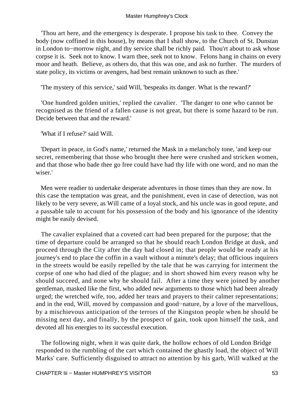'Thou art here, and the emergency is desperate. I propose his task to thee. Convey the body (now coffined in this house), by means that I shall show, to the Church of St. Dunstan in London to−morrow night, and thy service shall be richly paid. Thou'rt about to ask whose corpse it is. Seek not to know. I warn thee, seek not to know. Felons hang in chains on every moor and heath. Believe, as others do, that this was one, and ask no further. The murders of state policy, its victims or avengers, had best remain unknown to such as thee.'

'The mystery of this service,' said Will, 'bespeaks its danger. What is the reward?'

 'One hundred golden unities,' replied the cavalier. 'The danger to one who cannot be recognised as the friend of a fallen cause is not great, but there is some hazard to be run. Decide between that and the reward.'

'What if I refuse?' said Will.

 'Depart in peace, in God's name,' returned the Mask in a melancholy tone, 'and keep our secret, remembering that those who brought thee here were crushed and stricken women, and that those who bade thee go free could have had thy life with one word, and no man the wiser.'

 Men were readier to undertake desperate adventures in those times than they are now. In this case the temptation was great, and the punishment, even in case of detection, was not likely to be very severe, as Will came of a loyal stock, and his uncle was in good repute, and a passable tale to account for his possession of the body and his ignorance of the identity might be easily devised.

 The cavalier explained that a coveted cart had been prepared for the purpose; that the time of departure could be arranged so that he should reach London Bridge at dusk, and proceed through the City after the day had closed in; that people would be ready at his journey's end to place the coffin in a vault without a minute's delay; that officious inquirers in the streets would be easily repelled by the tale that he was carrying for interment the corpse of one who had died of the plague; and in short showed him every reason why he should succeed, and none why he should fail. After a time they were joined by another gentleman, masked like the first, who added new arguments to those which had been already urged; the wretched wife, too, added her tears and prayers to their calmer representations; and in the end, Will, moved by compassion and good−nature, by a love of the marvellous, by a mischievous anticipation of the terrors of the Kingston people when he should be missing next day, and finally, by the prospect of gain, took upon himself the task, and devoted all his energies to its successful execution.

 The following night, when it was quite dark, the hollow echoes of old London Bridge responded to the rumbling of the cart which contained the ghastly load, the object of Will Marks' care. Sufficiently disguised to attract no attention by his garb, Will walked at the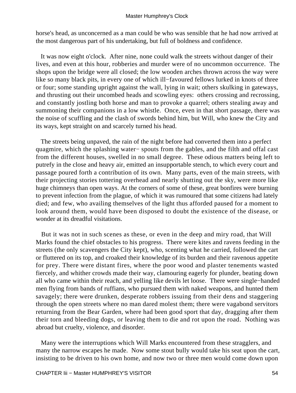horse's head, as unconcerned as a man could be who was sensible that he had now arrived at the most dangerous part of his undertaking, but full of boldness and confidence.

 It was now eight o'clock. After nine, none could walk the streets without danger of their lives, and even at this hour, robberies and murder were of no uncommon occurrence. The shops upon the bridge were all closed; the low wooden arches thrown across the way were like so many black pits, in every one of which ill−favoured fellows lurked in knots of three or four; some standing upright against the wall, lying in wait; others skulking in gateways, and thrusting out their uncombed heads and scowling eyes: others crossing and recrossing, and constantly jostling both horse and man to provoke a quarrel; others stealing away and summoning their companions in a low whistle. Once, even in that short passage, there was the noise of scuffling and the clash of swords behind him, but Will, who knew the City and its ways, kept straight on and scarcely turned his head.

 The streets being unpaved, the rain of the night before had converted them into a perfect quagmire, which the splashing water− spouts from the gables, and the filth and offal cast from the different houses, swelled in no small degree. These odious matters being left to putrefy in the close and heavy air, emitted an insupportable stench, to which every court and passage poured forth a contribution of its own. Many parts, even of the main streets, with their projecting stories tottering overhead and nearly shutting out the sky, were more like huge chimneys than open ways. At the corners of some of these, great bonfires were burning to prevent infection from the plague, of which it was rumoured that some citizens had lately died; and few, who availing themselves of the light thus afforded paused for a moment to look around them, would have been disposed to doubt the existence of the disease, or wonder at its dreadful visitations.

 But it was not in such scenes as these, or even in the deep and miry road, that Will Marks found the chief obstacles to his progress. There were kites and ravens feeding in the streets (the only scavengers the City kept), who, scenting what he carried, followed the cart or fluttered on its top, and croaked their knowledge of its burden and their ravenous appetite for prey. There were distant fires, where the poor wood and plaster tenements wasted fiercely, and whither crowds made their way, clamouring eagerly for plunder, beating down all who came within their reach, and yelling like devils let loose. There were single−handed men flying from bands of ruffians, who pursued them with naked weapons, and hunted them savagely; there were drunken, desperate robbers issuing from their dens and staggering through the open streets where no man dared molest them; there were vagabond servitors returning from the Bear Garden, where had been good sport that day, dragging after them their torn and bleeding dogs, or leaving them to die and rot upon the road. Nothing was abroad but cruelty, violence, and disorder.

 Many were the interruptions which Will Marks encountered from these stragglers, and many the narrow escapes he made. Now some stout bully would take his seat upon the cart, insisting to be driven to his own home, and now two or three men would come down upon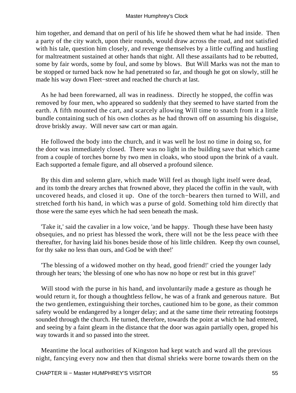him together, and demand that on peril of his life he showed them what he had inside. Then a party of the city watch, upon their rounds, would draw across the road, and not satisfied with his tale, question him closely, and revenge themselves by a little cuffing and hustling for maltreatment sustained at other hands that night. All these assailants had to be rebutted, some by fair words, some by foul, and some by blows. But Will Marks was not the man to be stopped or turned back now he had penetrated so far, and though he got on slowly, still he made his way down Fleet−street and reached the church at last.

 As he had been forewarned, all was in readiness. Directly he stopped, the coffin was removed by four men, who appeared so suddenly that they seemed to have started from the earth. A fifth mounted the cart, and scarcely allowing Will time to snatch from it a little bundle containing such of his own clothes as he had thrown off on assuming his disguise, drove briskly away. Will never saw cart or man again.

 He followed the body into the church, and it was well he lost no time in doing so, for the door was immediately closed. There was no light in the building save that which came from a couple of torches borne by two men in cloaks, who stood upon the brink of a vault. Each supported a female figure, and all observed a profound silence.

 By this dim and solemn glare, which made Will feel as though light itself were dead, and its tomb the dreary arches that frowned above, they placed the coffin in the vault, with uncovered heads, and closed it up. One of the torch−bearers then turned to Will, and stretched forth his hand, in which was a purse of gold. Something told him directly that those were the same eyes which he had seen beneath the mask.

 'Take it,' said the cavalier in a low voice, 'and be happy. Though these have been hasty obsequies, and no priest has blessed the work, there will not be the less peace with thee thereafter, for having laid his bones beside those of his little children. Keep thy own counsel, for thy sake no less than ours, and God be with thee!'

 'The blessing of a widowed mother on thy head, good friend!' cried the younger lady through her tears; 'the blessing of one who has now no hope or rest but in this grave!'

 Will stood with the purse in his hand, and involuntarily made a gesture as though he would return it, for though a thoughtless fellow, he was of a frank and generous nature. But the two gentlemen, extinguishing their torches, cautioned him to be gone, as their common safety would be endangered by a longer delay; and at the same time their retreating footsteps sounded through the church. He turned, therefore, towards the point at which he had entered, and seeing by a faint gleam in the distance that the door was again partially open, groped his way towards it and so passed into the street.

 Meantime the local authorities of Kingston had kept watch and ward all the previous night, fancying every now and then that dismal shrieks were borne towards them on the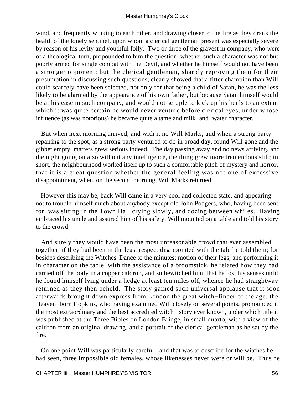wind, and frequently winking to each other, and drawing closer to the fire as they drank the health of the lonely sentinel, upon whom a clerical gentleman present was especially severe by reason of his levity and youthful folly. Two or three of the gravest in company, who were of a theological turn, propounded to him the question, whether such a character was not but poorly armed for single combat with the Devil, and whether he himself would not have been a stronger opponent; but the clerical gentleman, sharply reproving them for their presumption in discussing such questions, clearly showed that a fitter champion than Will could scarcely have been selected, not only for that being a child of Satan, he was the less likely to be alarmed by the appearance of his own father, but because Satan himself would be at his ease in such company, and would not scruple to kick up his heels to an extent which it was quite certain he would never venture before clerical eyes, under whose influence (as was notorious) he became quite a tame and milk−and−water character.

 But when next morning arrived, and with it no Will Marks, and when a strong party repairing to the spot, as a strong party ventured to do in broad day, found Will gone and the gibbet empty, matters grew serious indeed. The day passing away and no news arriving, and the night going on also without any intelligence, the thing grew more tremendous still; in short, the neighbourhood worked itself up to such a comfortable pitch of mystery and horror, that it is a great question whether the general feeling was not one of excessive disappointment, when, on the second morning, Will Marks returned.

 However this may be, back Will came in a very cool and collected state, and appearing not to trouble himself much about anybody except old John Podgers, who, having been sent for, was sitting in the Town Hall crying slowly, and dozing between whiles. Having embraced his uncle and assured him of his safety, Will mounted on a table and told his story to the crowd.

 And surely they would have been the most unreasonable crowd that ever assembled together, if they had been in the least respect disappointed with the tale he told them; for besides describing the Witches' Dance to the minutest motion of their legs, and performing it in character on the table, with the assistance of a broomstick, he related how they had carried off the body in a copper caldron, and so bewitched him, that he lost his senses until he found himself lying under a hedge at least ten miles off, whence he had straightway returned as they then beheld. The story gained such universal applause that it soon afterwards brought down express from London the great witch−finder of the age, the Heaven−born Hopkins, who having examined Will closely on several points, pronounced it the most extraordinary and the best accredited witch− story ever known, under which title it was published at the Three Bibles on London Bridge, in small quarto, with a view of the caldron from an original drawing, and a portrait of the clerical gentleman as he sat by the fire.

 On one point Will was particularly careful: and that was to describe for the witches he had seen, three impossible old females, whose likenesses never were or will be. Thus he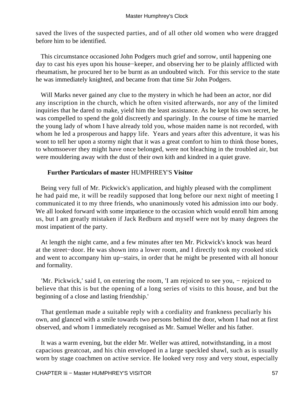saved the lives of the suspected parties, and of all other old women who were dragged before him to be identified.

 This circumstance occasioned John Podgers much grief and sorrow, until happening one day to cast his eyes upon his house−keeper, and observing her to be plainly afflicted with rheumatism, he procured her to be burnt as an undoubted witch. For this service to the state he was immediately knighted, and became from that time Sir John Podgers.

 Will Marks never gained any clue to the mystery in which he had been an actor, nor did any inscription in the church, which he often visited afterwards, nor any of the limited inquiries that he dared to make, yield him the least assistance. As he kept his own secret, he was compelled to spend the gold discreetly and sparingly. In the course of time he married the young lady of whom I have already told you, whose maiden name is not recorded, with whom he led a prosperous and happy life. Years and years after this adventure, it was his wont to tell her upon a stormy night that it was a great comfort to him to think those bones, to whomsoever they might have once belonged, were not bleaching in the troubled air, but were mouldering away with the dust of their own kith and kindred in a quiet grave.

# **Further Particulars of master** HUMPHREY'S **Visitor**

 Being very full of Mr. Pickwick's application, and highly pleased with the compliment he had paid me, it will be readily supposed that long before our next night of meeting I communicated it to my three friends, who unanimously voted his admission into our body. We all looked forward with some impatience to the occasion which would enroll him among us, but I am greatly mistaken if Jack Redburn and myself were not by many degrees the most impatient of the party.

 At length the night came, and a few minutes after ten Mr. Pickwick's knock was heard at the street−door. He was shown into a lower room, and I directly took my crooked stick and went to accompany him up−stairs, in order that he might be presented with all honour and formality.

 'Mr. Pickwick,' said I, on entering the room, 'I am rejoiced to see you, − rejoiced to believe that this is but the opening of a long series of visits to this house, and but the beginning of a close and lasting friendship.'

 That gentleman made a suitable reply with a cordiality and frankness peculiarly his own, and glanced with a smile towards two persons behind the door, whom I had not at first observed, and whom I immediately recognised as Mr. Samuel Weller and his father.

 It was a warm evening, but the elder Mr. Weller was attired, notwithstanding, in a most capacious greatcoat, and his chin enveloped in a large speckled shawl, such as is usually worn by stage coachmen on active service. He looked very rosy and very stout, especially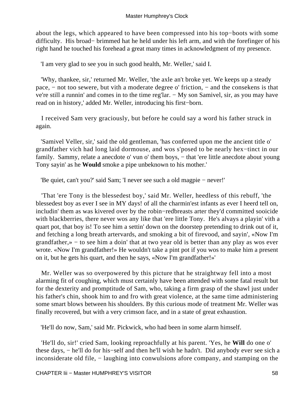about the legs, which appeared to have been compressed into his top−boots with some difficulty. His broad− brimmed hat he held under his left arm, and with the forefinger of his right hand he touched his forehead a great many times in acknowledgment of my presence.

'I am very glad to see you in such good health, Mr. Weller,' said I.

 'Why, thankee, sir,' returned Mr. Weller, 'the axle an't broke yet. We keeps up a steady pace, − not too sewere, but vith a moderate degree o' friction, − and the consekens is that ve're still a runnin' and comes in to the time reg'lar. − My son Samivel, sir, as you may have read on in history,' added Mr. Weller, introducing his first−born.

 I received Sam very graciously, but before he could say a word his father struck in again.

 'Samivel Veller, sir,' said the old gentleman, 'has conferred upon me the ancient title o' grandfather vich had long laid dormouse, and wos s'posed to be nearly hex−tinct in our family. Sammy, relate a anecdote o' vun o' them boys, – that 'ere little anecdote about young Tony sayin' as he **Would** smoke a pipe unbeknown to his mother.'

'Be quiet, can't you?' said Sam; 'I never see such a old magpie − never!'

 'That 'ere Tony is the blessedest boy,' said Mr. Weller, heedless of this rebuff, 'the blessedest boy as ever I see in MY days! of all the charmin'est infants as ever I heerd tell on, includin' them as was kivered over by the robin−redbreasts arter they'd committed sooicide with blackberries, there never wos any like that 'ere little Tony. He's alvays a playin' vith a quart pot, that boy is! To see him a settin' down on the doorstep pretending to drink out of it, and fetching a long breath artervards, and smoking a bit of firevood, and sayin', «Now I'm grandfather,» − to see him a doin' that at two year old is better than any play as wos ever wrote. «Now I'm grandfather!» He wouldn't take a pint pot if you wos to make him a present on it, but he gets his quart, and then he says, «Now I'm grandfather!»'

 Mr. Weller was so overpowered by this picture that he straightway fell into a most alarming fit of coughing, which must certainly have been attended with some fatal result but for the dexterity and promptitude of Sam, who, taking a firm grasp of the shawl just under his father's chin, shook him to and fro with great violence, at the same time administering some smart blows between his shoulders. By this curious mode of treatment Mr. Weller was finally recovered, but with a very crimson face, and in a state of great exhaustion.

'He'll do now, Sam,' said Mr. Pickwick, who had been in some alarm himself.

 'He'll do, sir!' cried Sam, looking reproachfully at his parent. 'Yes, he **Will** do one o' these days, − he'll do for his−self and then he'll wish he hadn't. Did anybody ever see sich a inconsiderate old file, − laughing into conwulsions afore company, and stamping on the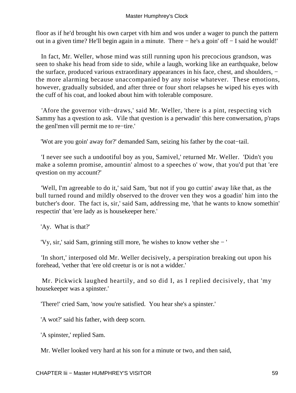floor as if he'd brought his own carpet vith him and wos under a wager to punch the pattern out in a given time? He'll begin again in a minute. There − he's a goin' off − I said he would!'

 In fact, Mr. Weller, whose mind was still running upon his precocious grandson, was seen to shake his head from side to side, while a laugh, working like an earthquake, below the surface, produced various extraordinary appearances in his face, chest, and shoulders, − the more alarming because unaccompanied by any noise whatever. These emotions, however, gradually subsided, and after three or four short relapses he wiped his eyes with the cuff of his coat, and looked about him with tolerable composure.

 'Afore the governor vith−draws,' said Mr. Weller, 'there is a pint, respecting vich Sammy has a qvestion to ask. Vile that qvestion is a perwadin' this here conwersation, p'raps the genl'men vill permit me to re−tire.'

'Wot are you goin' away for?' demanded Sam, seizing his father by the coat−tail.

 'I never see such a undootiful boy as you, Samivel,' returned Mr. Weller. 'Didn't you make a solemn promise, amountin' almost to a speeches o' wow, that you'd put that 'ere qvestion on my account?'

 'Well, I'm agreeable to do it,' said Sam, 'but not if you go cuttin' away like that, as the bull turned round and mildly observed to the drover ven they wos a goadin' him into the butcher's door. The fact is, sir,' said Sam, addressing me, 'that he wants to know somethin' respectin' that 'ere lady as is housekeeper here.'

'Ay. What is that?'

'Vy, sir,' said Sam, grinning still more, 'he wishes to know vether she − '

 'In short,' interposed old Mr. Weller decisively, a perspiration breaking out upon his forehead, 'vether that 'ere old creetur is or is not a widder.'

 Mr. Pickwick laughed heartily, and so did I, as I replied decisively, that 'my housekeeper was a spinster.'

'There!' cried Sam, 'now you're satisfied. You hear she's a spinster.'

'A wot?' said his father, with deep scorn.

'A spinster,' replied Sam.

Mr. Weller looked very hard at his son for a minute or two, and then said,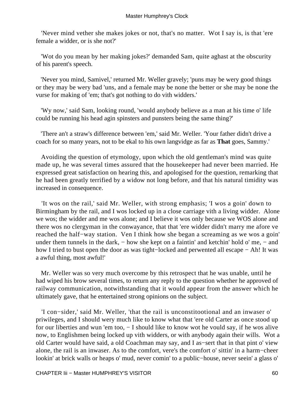'Never mind vether she makes jokes or not, that's no matter. Wot I say is, is that 'ere female a widder, or is she not?'

 'Wot do you mean by her making jokes?' demanded Sam, quite aghast at the obscurity of his parent's speech.

 'Never you mind, Samivel,' returned Mr. Weller gravely; 'puns may be wery good things or they may be wery bad 'uns, and a female may be none the better or she may be none the vurse for making of 'em; that's got nothing to do vith widders.'

 'Wy now,' said Sam, looking round, 'would anybody believe as a man at his time o' life could be running his head agin spinsters and punsters being the same thing?'

 'There an't a straw's difference between 'em,' said Mr. Weller. 'Your father didn't drive a coach for so many years, not to be ekal to his own langvidge as far as **That** goes, Sammy.'

 Avoiding the question of etymology, upon which the old gentleman's mind was quite made up, he was several times assured that the housekeeper had never been married. He expressed great satisfaction on hearing this, and apologised for the question, remarking that he had been greatly terrified by a widow not long before, and that his natural timidity was increased in consequence.

 'It wos on the rail,' said Mr. Weller, with strong emphasis; 'I wos a goin' down to Birmingham by the rail, and I wos locked up in a close carriage vith a living widder. Alone we wos; the widder and me wos alone; and I believe it wos only because we WOS alone and there wos no clergyman in the conwayance, that that 'ere widder didn't marry me afore ve reached the half−way station. Ven I think how she began a screaming as we wos a goin' under them tunnels in the dark, – how she kept on a faintin' and ketchin' hold o' me, – and how I tried to bust open the door as was tight−locked and perwented all escape − Ah! It was a awful thing, most awful!'

 Mr. Weller was so very much overcome by this retrospect that he was unable, until he had wiped his brow several times, to return any reply to the question whether he approved of railway communication, notwithstanding that it would appear from the answer which he ultimately gave, that he entertained strong opinions on the subject.

 'I con−sider,' said Mr. Weller, 'that the rail is unconstitootional and an inwaser o' priwileges, and I should wery much like to know what that 'ere old Carter as once stood up for our liberties and wun 'em too, − I should like to know wot he vould say, if he wos alive now, to Englishmen being locked up vith widders, or with anybody again their wills. Wot a old Carter would have said, a old Coachman may say, and I as−sert that in that pint o' view alone, the rail is an inwaser. As to the comfort, vere's the comfort o' sittin' in a harm−cheer lookin' at brick walls or heaps o' mud, never comin' to a public−house, never seein' a glass o'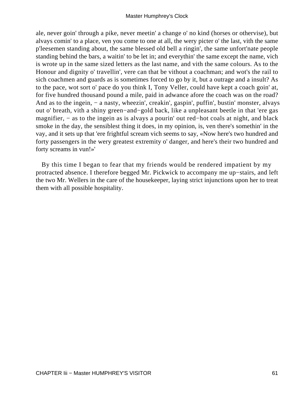ale, never goin' through a pike, never meetin' a change o' no kind (horses or othervise), but alvays comin' to a place, ven you come to one at all, the wery picter o' the last, vith the same p'leesemen standing about, the same blessed old bell a ringin', the same unfort'nate people standing behind the bars, a waitin' to be let in; and everythin' the same except the name, vich is wrote up in the same sized letters as the last name, and vith the same colours. As to the Honour and dignity o' travellin', vere can that be vithout a coachman; and wot's the rail to sich coachmen and guards as is sometimes forced to go by it, but a outrage and a insult? As to the pace, wot sort o' pace do you think I, Tony Veller, could have kept a coach goin' at, for five hundred thousand pound a mile, paid in adwance afore the coach was on the road? And as to the ingein, – a nasty, wheezin', creakin', gaspin', puffin', bustin' monster, alvays out o' breath, vith a shiny green−and−gold back, like a unpleasant beetle in that 'ere gas magnifier, – as to the ingein as is alvays a pourin' out red–hot coals at night, and black smoke in the day, the sensiblest thing it does, in my opinion, is, ven there's somethin' in the vay, and it sets up that 'ere frightful scream vich seems to say, «Now here's two hundred and forty passengers in the wery greatest extremity o' danger, and here's their two hundred and forty screams in vun!»'

 By this time I began to fear that my friends would be rendered impatient by my protracted absence. I therefore begged Mr. Pickwick to accompany me up−stairs, and left the two Mr. Wellers in the care of the housekeeper, laying strict injunctions upon her to treat them with all possible hospitality.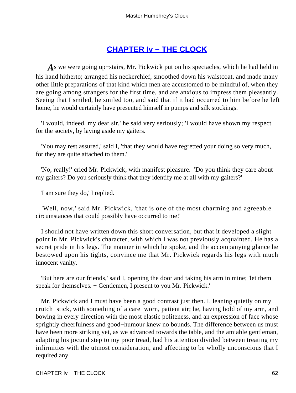# **[CHAPTER Iv − THE CLOCK](#page-93-0)**

*A*s we were going up−stairs, Mr. Pickwick put on his spectacles, which he had held in his hand hitherto; arranged his neckerchief, smoothed down his waistcoat, and made many other little preparations of that kind which men are accustomed to be mindful of, when they are going among strangers for the first time, and are anxious to impress them pleasantly. Seeing that I smiled, he smiled too, and said that if it had occurred to him before he left home, he would certainly have presented himself in pumps and silk stockings.

 'I would, indeed, my dear sir,' he said very seriously; 'I would have shown my respect for the society, by laying aside my gaiters.'

 'You may rest assured,' said I, 'that they would have regretted your doing so very much, for they are quite attached to them.'

 'No, really!' cried Mr. Pickwick, with manifest pleasure. 'Do you think they care about my gaiters? Do you seriously think that they identify me at all with my gaiters?'

'I am sure they do,' I replied.

 'Well, now,' said Mr. Pickwick, 'that is one of the most charming and agreeable circumstances that could possibly have occurred to me!'

 I should not have written down this short conversation, but that it developed a slight point in Mr. Pickwick's character, with which I was not previously acquainted. He has a secret pride in his legs. The manner in which he spoke, and the accompanying glance he bestowed upon his tights, convince me that Mr. Pickwick regards his legs with much innocent vanity.

 'But here are our friends,' said I, opening the door and taking his arm in mine; 'let them speak for themselves. – Gentlemen, I present to you Mr. Pickwick.'

 Mr. Pickwick and I must have been a good contrast just then. I, leaning quietly on my crutch−stick, with something of a care−worn, patient air; he, having hold of my arm, and bowing in every direction with the most elastic politeness, and an expression of face whose sprightly cheerfulness and good−humour knew no bounds. The difference between us must have been more striking yet, as we advanced towards the table, and the amiable gentleman, adapting his jocund step to my poor tread, had his attention divided between treating my infirmities with the utmost consideration, and affecting to be wholly unconscious that I required any.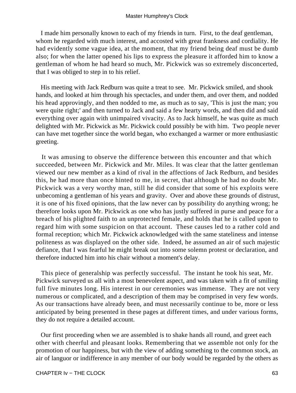I made him personally known to each of my friends in turn. First, to the deaf gentleman, whom he regarded with much interest, and accosted with great frankness and cordiality. He had evidently some vague idea, at the moment, that my friend being deaf must be dumb also; for when the latter opened his lips to express the pleasure it afforded him to know a gentleman of whom he had heard so much, Mr. Pickwick was so extremely disconcerted, that I was obliged to step in to his relief.

 His meeting with Jack Redburn was quite a treat to see. Mr. Pickwick smiled, and shook hands, and looked at him through his spectacles, and under them, and over them, and nodded his head approvingly, and then nodded to me, as much as to say, 'This is just the man; you were quite right;' and then turned to Jack and said a few hearty words, and then did and said everything over again with unimpaired vivacity. As to Jack himself, he was quite as much delighted with Mr. Pickwick as Mr. Pickwick could possibly be with him. Two people never can have met together since the world began, who exchanged a warmer or more enthusiastic greeting.

 It was amusing to observe the difference between this encounter and that which succeeded, between Mr. Pickwick and Mr. Miles. It was clear that the latter gentleman viewed our new member as a kind of rival in the affections of Jack Redburn, and besides this, he had more than once hinted to me, in secret, that although he had no doubt Mr. Pickwick was a very worthy man, still he did consider that some of his exploits were unbecoming a gentleman of his years and gravity. Over and above these grounds of distrust, it is one of his fixed opinions, that the law never can by possibility do anything wrong; he therefore looks upon Mr. Pickwick as one who has justly suffered in purse and peace for a breach of his plighted faith to an unprotected female, and holds that he is called upon to regard him with some suspicion on that account. These causes led to a rather cold and formal reception; which Mr. Pickwick acknowledged with the same stateliness and intense politeness as was displayed on the other side. Indeed, he assumed an air of such majestic defiance, that I was fearful he might break out into some solemn protest or declaration, and therefore inducted him into his chair without a moment's delay.

 This piece of generalship was perfectly successful. The instant he took his seat, Mr. Pickwick surveyed us all with a most benevolent aspect, and was taken with a fit of smiling full five minutes long. His interest in our ceremonies was immense. They are not very numerous or complicated, and a description of them may be comprised in very few words. As our transactions have already been, and must necessarily continue to be, more or less anticipated by being presented in these pages at different times, and under various forms, they do not require a detailed account.

 Our first proceeding when we are assembled is to shake hands all round, and greet each other with cheerful and pleasant looks. Remembering that we assemble not only for the promotion of our happiness, but with the view of adding something to the common stock, an air of languor or indifference in any member of our body would be regarded by the others as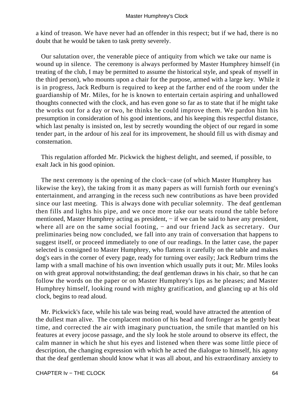a kind of treason. We have never had an offender in this respect; but if we had, there is no doubt that he would be taken to task pretty severely.

 Our salutation over, the venerable piece of antiquity from which we take our name is wound up in silence. The ceremony is always performed by Master Humphrey himself (in treating of the club, I may be permitted to assume the historical style, and speak of myself in the third person), who mounts upon a chair for the purpose, armed with a large key. While it is in progress, Jack Redburn is required to keep at the farther end of the room under the guardianship of Mr. Miles, for he is known to entertain certain aspiring and unhallowed thoughts connected with the clock, and has even gone so far as to state that if he might take the works out for a day or two, he thinks he could improve them. We pardon him his presumption in consideration of his good intentions, and his keeping this respectful distance, which last penalty is insisted on, lest by secretly wounding the object of our regard in some tender part, in the ardour of his zeal for its improvement, he should fill us with dismay and consternation.

 This regulation afforded Mr. Pickwick the highest delight, and seemed, if possible, to exalt Jack in his good opinion.

 The next ceremony is the opening of the clock−case (of which Master Humphrey has likewise the key), the taking from it as many papers as will furnish forth our evening's entertainment, and arranging in the recess such new contributions as have been provided since our last meeting. This is always done with peculiar solemnity. The deaf gentleman then fills and lights his pipe, and we once more take our seats round the table before mentioned, Master Humphrey acting as president, – if we can be said to have any president, where all are on the same social footing, – and our friend Jack as secretary. Our preliminaries being now concluded, we fall into any train of conversation that happens to suggest itself, or proceed immediately to one of our readings. In the latter case, the paper selected is consigned to Master Humphrey, who flattens it carefully on the table and makes dog's ears in the corner of every page, ready for turning over easily; Jack Redburn trims the lamp with a small machine of his own invention which usually puts it out; Mr. Miles looks on with great approval notwithstanding; the deaf gentleman draws in his chair, so that he can follow the words on the paper or on Master Humphrey's lips as he pleases; and Master Humphrey himself, looking round with mighty gratification, and glancing up at his old clock, begins to read aloud.

 Mr. Pickwick's face, while his tale was being read, would have attracted the attention of the dullest man alive. The complacent motion of his head and forefinger as he gently beat time, and corrected the air with imaginary punctuation, the smile that mantled on his features at every jocose passage, and the sly look he stole around to observe its effect, the calm manner in which he shut his eyes and listened when there was some little piece of description, the changing expression with which he acted the dialogue to himself, his agony that the deaf gentleman should know what it was all about, and his extraordinary anxiety to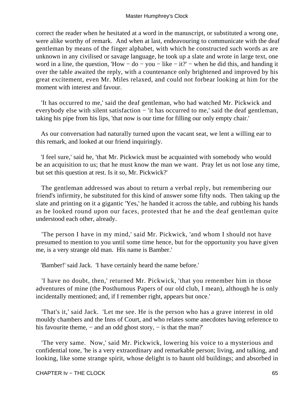correct the reader when he hesitated at a word in the manuscript, or substituted a wrong one, were alike worthy of remark. And when at last, endeavouring to communicate with the deaf gentleman by means of the finger alphabet, with which he constructed such words as are unknown in any civilised or savage language, he took up a slate and wrote in large text, one word in a line, the question, 'How − do − you − like − it?' − when he did this, and handing it over the table awaited the reply, with a countenance only brightened and improved by his great excitement, even Mr. Miles relaxed, and could not forbear looking at him for the moment with interest and favour.

 'It has occurred to me,' said the deaf gentleman, who had watched Mr. Pickwick and everybody else with silent satisfaction – 'it has occurred to me,' said the deaf gentleman, taking his pipe from his lips, 'that now is our time for filling our only empty chair.'

 As our conversation had naturally turned upon the vacant seat, we lent a willing ear to this remark, and looked at our friend inquiringly.

 'I feel sure,' said he, 'that Mr. Pickwick must be acquainted with somebody who would be an acquisition to us; that he must know the man we want. Pray let us not lose any time, but set this question at rest. Is it so, Mr. Pickwick?'

 The gentleman addressed was about to return a verbal reply, but remembering our friend's infirmity, he substituted for this kind of answer some fifty nods. Then taking up the slate and printing on it a gigantic 'Yes,' he handed it across the table, and rubbing his hands as he looked round upon our faces, protested that he and the deaf gentleman quite understood each other, already.

 'The person I have in my mind,' said Mr. Pickwick, 'and whom I should not have presumed to mention to you until some time hence, but for the opportunity you have given me, is a very strange old man. His name is Bamber.'

'Bamber!' said Jack. 'I have certainly heard the name before.'

 'I have no doubt, then,' returned Mr. Pickwick, 'that you remember him in those adventures of mine (the Posthumous Papers of our old club, I mean), although he is only incidentally mentioned; and, if I remember right, appears but once.'

 'That's it,' said Jack. 'Let me see. He is the person who has a grave interest in old mouldy chambers and the Inns of Court, and who relates some anecdotes having reference to his favourite theme, – and an odd ghost story, – is that the man?'

 'The very same. Now,' said Mr. Pickwick, lowering his voice to a mysterious and confidential tone, 'he is a very extraordinary and remarkable person; living, and talking, and looking, like some strange spirit, whose delight is to haunt old buildings; and absorbed in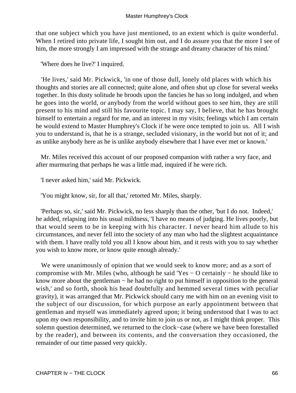that one subject which you have just mentioned, to an extent which is quite wonderful. When I retired into private life, I sought him out, and I do assure you that the more I see of him, the more strongly I am impressed with the strange and dreamy character of his mind.'

'Where does he live?' I inquired.

 'He lives,' said Mr. Pickwick, 'in one of those dull, lonely old places with which his thoughts and stories are all connected; quite alone, and often shut up close for several weeks together. In this dusty solitude he broods upon the fancies he has so long indulged, and when he goes into the world, or anybody from the world without goes to see him, they are still present to his mind and still his favourite topic. I may say, I believe, that he has brought himself to entertain a regard for me, and an interest in my visits; feelings which I am certain he would extend to Master Humphrey's Clock if he were once tempted to join us. All I wish you to understand is, that he is a strange, secluded visionary, in the world but not of it; and as unlike anybody here as he is unlike anybody elsewhere that I have ever met or known.'

 Mr. Miles received this account of our proposed companion with rather a wry face, and after murmuring that perhaps he was a little mad, inquired if he were rich.

'I never asked him,' said Mr. Pickwick.

'You might know, sir, for all that,' retorted Mr. Miles, sharply.

 'Perhaps so, sir,' said Mr. Pickwick, no less sharply than the other, 'but I do not. Indeed,' he added, relapsing into his usual mildness, 'I have no means of judging. He lives poorly, but that would seem to be in keeping with his character. I never heard him allude to his circumstances, and never fell into the society of any man who had the slightest acquaintance with them. I have really told you all I know about him, and it rests with you to say whether you wish to know more, or know quite enough already.'

We were unanimously of opinion that we would seek to know more; and as a sort of compromise with Mr. Miles (who, although he said 'Yes − O certainly − he should like to know more about the gentleman − he had no right to put himself in opposition to the general wish,' and so forth, shook his head doubtfully and hemmed several times with peculiar gravity), it was arranged that Mr. Pickwick should carry me with him on an evening visit to the subject of our discussion, for which purpose an early appointment between that gentleman and myself was immediately agreed upon; it being understood that I was to act upon my own responsibility, and to invite him to join us or not, as I might think proper. This solemn question determined, we returned to the clock−case (where we have been forestalled by the reader), and between its contents, and the conversation they occasioned, the remainder of our time passed very quickly.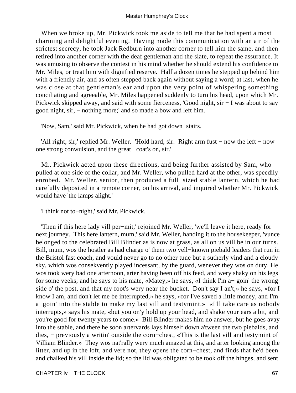When we broke up, Mr. Pickwick took me aside to tell me that he had spent a most charming and delightful evening. Having made this communication with an air of the strictest secrecy, he took Jack Redburn into another corner to tell him the same, and then retired into another corner with the deaf gentleman and the slate, to repeat the assurance. It was amusing to observe the contest in his mind whether he should extend his confidence to Mr. Miles, or treat him with dignified reserve. Half a dozen times he stepped up behind him with a friendly air, and as often stepped back again without saying a word; at last, when he was close at that gentleman's ear and upon the very point of whispering something conciliating and agreeable, Mr. Miles happened suddenly to turn his head, upon which Mr. Pickwick skipped away, and said with some fierceness, 'Good night, sir − I was about to say good night, sir, − nothing more;' and so made a bow and left him.

'Now, Sam,' said Mr. Pickwick, when he had got down−stairs.

 'All right, sir,' replied Mr. Weller. 'Hold hard, sir. Right arm fust − now the left − now one strong conwulsion, and the great− coat's on, sir.'

 Mr. Pickwick acted upon these directions, and being further assisted by Sam, who pulled at one side of the collar, and Mr. Weller, who pulled hard at the other, was speedily enrobed. Mr. Weller, senior, then produced a full−sized stable lantern, which he had carefully deposited in a remote corner, on his arrival, and inquired whether Mr. Pickwick would have 'the lamps alight.'

'I think not to−night,' said Mr. Pickwick.

 'Then if this here lady vill per−mit,' rejoined Mr. Weller, 'we'll leave it here, ready for next journey. This here lantern, mum,' said Mr. Weller, handing it to the housekeeper, 'vunce belonged to the celebrated Bill Blinder as is now at grass, as all on us vill be in our turns. Bill, mum, wos the hostler as had charge o' them two vell−known piebald leaders that run in the Bristol fast coach, and vould never go to no other tune but a sutherly vind and a cloudy sky, which wos consekvently played incessant, by the guard, wenever they wos on duty. He wos took wery bad one arternoon, arter having been off his feed, and wery shaky on his legs for some veeks; and he says to his mate, «Matey,» he says, «I think I'm a− goin' the wrong side o' the post, and that my foot's wery near the bucket. Don't say I an't,» he says, «for I know I am, and don't let me be interrupted,» he says, «for I've saved a little money, and I'm a−goin' into the stable to make my last vill and testymint.» «I'll take care as nobody interrupts,» says his mate, «but you on'y hold up your head, and shake your ears a bit, and you're good for twenty years to come.» Bill Blinder makes him no answer, but he goes avay into the stable, and there he soon artervards lays himself down a'tween the two piebalds, and dies, − previously a writin' outside the corn−chest, «This is the last vill and testymint of Villiam Blinder.» They wos nat'rally wery much amazed at this, and arter looking among the litter, and up in the loft, and vere not, they opens the corn−chest, and finds that he'd been and chalked his vill inside the lid; so the lid was obligated to be took off the hinges, and sent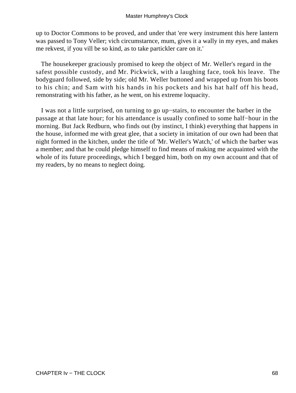up to Doctor Commons to be proved, and under that 'ere wery instrument this here lantern was passed to Tony Veller; vich circumstarnce, mum, gives it a wally in my eyes, and makes me rekvest, if you vill be so kind, as to take partickler care on it.'

 The housekeeper graciously promised to keep the object of Mr. Weller's regard in the safest possible custody, and Mr. Pickwick, with a laughing face, took his leave. The bodyguard followed, side by side; old Mr. Weller buttoned and wrapped up from his boots to his chin; and Sam with his hands in his pockets and his hat half off his head, remonstrating with his father, as he went, on his extreme loquacity.

 I was not a little surprised, on turning to go up−stairs, to encounter the barber in the passage at that late hour; for his attendance is usually confined to some half−hour in the morning. But Jack Redburn, who finds out (by instinct, I think) everything that happens in the house, informed me with great glee, that a society in imitation of our own had been that night formed in the kitchen, under the title of 'Mr. Weller's Watch,' of which the barber was a member; and that he could pledge himself to find means of making me acquainted with the whole of its future proceedings, which I begged him, both on my own account and that of my readers, by no means to neglect doing.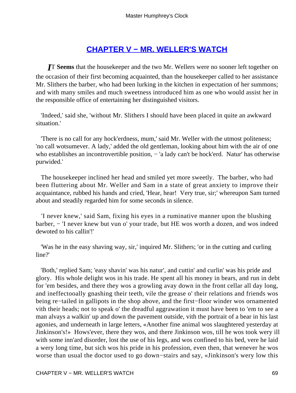# **[CHAPTER V − MR. WELLER'S WATCH](#page-93-0)**

*I*T **Seems** that the housekeeper and the two Mr. Wellers were no sooner left together on the occasion of their first becoming acquainted, than the housekeeper called to her assistance Mr. Slithers the barber, who had been lurking in the kitchen in expectation of her summons; and with many smiles and much sweetness introduced him as one who would assist her in the responsible office of entertaining her distinguished visitors.

 'Indeed,' said she, 'without Mr. Slithers I should have been placed in quite an awkward situation.'

 'There is no call for any hock'erdness, mum,' said Mr. Weller with the utmost politeness; 'no call wotsumever. A lady,' added the old gentleman, looking about him with the air of one who establishes an incontrovertible position, − 'a lady can't be hock'erd. Natur' has otherwise purwided.'

 The housekeeper inclined her head and smiled yet more sweetly. The barber, who had been fluttering about Mr. Weller and Sam in a state of great anxiety to improve their acquaintance, rubbed his hands and cried, 'Hear, hear! Very true, sir;' whereupon Sam turned about and steadily regarded him for some seconds in silence.

 'I never knew,' said Sam, fixing his eyes in a ruminative manner upon the blushing barber, − 'I never knew but vun o' your trade, but HE wos worth a dozen, and wos indeed dewoted to his callin'!'

 'Was he in the easy shaving way, sir,' inquired Mr. Slithers; 'or in the cutting and curling line?'

 'Both,' replied Sam; 'easy shavin' was his natur', and cuttin' and curlin' was his pride and glory. His whole delight wos in his trade. He spent all his money in bears, and run in debt for 'em besides, and there they wos a growling avay down in the front cellar all day long, and ineffectooally gnashing their teeth, vile the grease o' their relations and friends wos being re−tailed in gallipots in the shop above, and the first−floor winder wos ornamented vith their heads; not to speak o' the dreadful aggrawation it must have been to 'em to see a man alvays a walkin' up and down the pavement outside, vith the portrait of a bear in his last agonies, and underneath in large letters, «Another fine animal wos slaughtered yesterday at Jinkinson's!» Hows'ever, there they wos, and there Jinkinson wos, till he wos took wery ill with some inn'ard disorder, lost the use of his legs, and wos confined to his bed, vere he laid a wery long time, but sich wos his pride in his profession, even then, that wenever he wos worse than usual the doctor used to go down−stairs and say, «Jinkinson's wery low this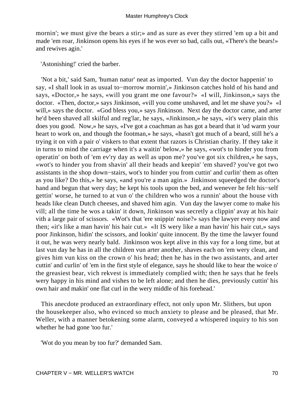mornin'; we must give the bears a stir;» and as sure as ever they stirred 'em up a bit and made 'em roar, Jinkinson opens his eyes if he wos ever so bad, calls out, «There's the bears!» and rewives agin.'

'Astonishing!' cried the barber.

 'Not a bit,' said Sam, 'human natur' neat as imported. Vun day the doctor happenin' to say, «I shall look in as usual to−morrow mornin',» Jinkinson catches hold of his hand and says, «Doctor,» he says, «will you grant me one favour?» «I will, Jinkinson,» says the doctor. «Then, doctor,» says Jinkinson, «vill you come unshaved, and let me shave you?» «I will,» says the doctor. «God bless you,» says Jinkinson. Next day the doctor came, and arter he'd been shaved all skilful and reg'lar, he says, «Jinkinson,» he says, «it's wery plain this does you good. Now,» he says, «I've got a coachman as has got a beard that it 'ud warm your heart to work on, and though the footman,» he says, «hasn't got much of a beard, still he's a trying it on vith a pair o' viskers to that extent that razors is Christian charity. If they take it in turns to mind the carriage when it's a waitin' below,» he says, «wot's to hinder you from operatin' on both of 'em ev'ry day as well as upon me? you've got six children,» he says, «wot's to hinder you from shavin' all their heads and keepin' 'em shaved? you've got two assistants in the shop down−stairs, wot's to hinder you from cuttin' and curlin' them as often as you like? Do this,» he says, «and you're a man agin.» Jinkinson squeedged the doctor's hand and begun that wery day; he kept his tools upon the bed, and wenever he felt his−self gettin' worse, he turned to at vun o' the children who wos a runnin' about the house vith heads like clean Dutch cheeses, and shaved him agin. Vun day the lawyer come to make his vill; all the time he wos a takin' it down, Jinkinson was secretly a clippin' avay at his hair vith a large pair of scissors. «Wot's that 'ere snippin' noise?» says the lawyer every now and then; «it's like a man havin' his hair cut.» «It IS wery like a man havin' his hair cut,» says poor Jinkinson, hidin' the scissors, and lookin' quite innocent. By the time the lawyer found it out, he was wery nearly bald. Jinkinson wos kept alive in this vay for a long time, but at last vun day he has in all the children vun arter another, shaves each on 'em wery clean, and gives him vun kiss on the crown o' his head; then he has in the two assistants, and arter cuttin' and curlin' of 'em in the first style of elegance, says he should like to hear the woice o' the greasiest bear, vich rekvest is immediately complied with; then he says that he feels wery happy in his mind and vishes to be left alone; and then he dies, previously cuttin' his own hair and makin' one flat curl in the wery middle of his forehead.'

 This anecdote produced an extraordinary effect, not only upon Mr. Slithers, but upon the housekeeper also, who evinced so much anxiety to please and be pleased, that Mr. Weller, with a manner betokening some alarm, conveyed a whispered inquiry to his son whether he had gone 'too fur.'

'Wot do you mean by too fur?' demanded Sam.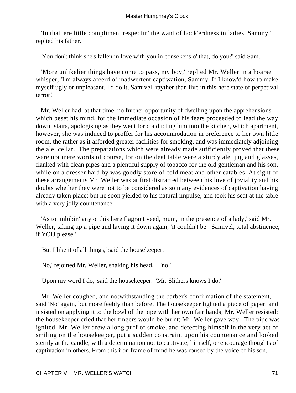'In that 'ere little compliment respectin' the want of hock'erdness in ladies, Sammy,' replied his father.

'You don't think she's fallen in love with you in consekens o' that, do you?' said Sam.

 'More unlikelier things have come to pass, my boy,' replied Mr. Weller in a hoarse whisper; 'I'm always afeerd of inadwertent captiwation, Sammy. If I know'd how to make myself ugly or unpleasant, I'd do it, Samivel, rayther than live in this here state of perpetival terror!'

 Mr. Weller had, at that time, no further opportunity of dwelling upon the apprehensions which beset his mind, for the immediate occasion of his fears proceeded to lead the way down−stairs, apologising as they went for conducting him into the kitchen, which apartment, however, she was induced to proffer for his accommodation in preference to her own little room, the rather as it afforded greater facilities for smoking, and was immediately adjoining the ale−cellar. The preparations which were already made sufficiently proved that these were not mere words of course, for on the deal table were a sturdy ale−jug and glasses, flanked with clean pipes and a plentiful supply of tobacco for the old gentleman and his son, while on a dresser hard by was goodly store of cold meat and other eatables. At sight of these arrangements Mr. Weller was at first distracted between his love of joviality and his doubts whether they were not to be considered as so many evidences of captivation having already taken place; but he soon yielded to his natural impulse, and took his seat at the table with a very jolly countenance.

 'As to imbibin' any o' this here flagrant veed, mum, in the presence of a lady,' said Mr. Weller, taking up a pipe and laying it down again, 'it couldn't be. Samivel, total abstinence, if YOU please.'

'But I like it of all things,' said the housekeeper.

'No,' rejoined Mr. Weller, shaking his head, − 'no.'

'Upon my word I do,' said the housekeeper. 'Mr. Slithers knows I do.'

 Mr. Weller coughed, and notwithstanding the barber's confirmation of the statement, said 'No' again, but more feebly than before. The housekeeper lighted a piece of paper, and insisted on applying it to the bowl of the pipe with her own fair hands; Mr. Weller resisted; the housekeeper cried that her fingers would be burnt; Mr. Weller gave way. The pipe was ignited, Mr. Weller drew a long puff of smoke, and detecting himself in the very act of smiling on the housekeeper, put a sudden constraint upon his countenance and looked sternly at the candle, with a determination not to captivate, himself, or encourage thoughts of captivation in others. From this iron frame of mind he was roused by the voice of his son.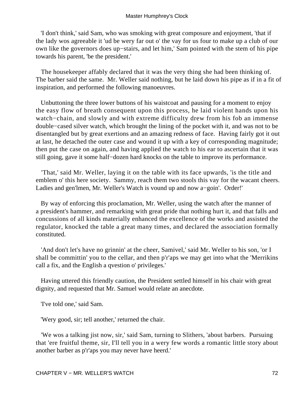'I don't think,' said Sam, who was smoking with great composure and enjoyment, 'that if the lady wos agreeable it 'ud be wery far out o' the vay for us four to make up a club of our own like the governors does up−stairs, and let him,' Sam pointed with the stem of his pipe towards his parent, 'be the president.'

 The housekeeper affably declared that it was the very thing she had been thinking of. The barber said the same. Mr. Weller said nothing, but he laid down his pipe as if in a fit of inspiration, and performed the following manoeuvres.

 Unbuttoning the three lower buttons of his waistcoat and pausing for a moment to enjoy the easy flow of breath consequent upon this process, he laid violent hands upon his watch–chain, and slowly and with extreme difficulty drew from his fob an immense double−cased silver watch, which brought the lining of the pocket with it, and was not to be disentangled but by great exertions and an amazing redness of face. Having fairly got it out at last, he detached the outer case and wound it up with a key of corresponding magnitude; then put the case on again, and having applied the watch to his ear to ascertain that it was still going, gave it some half−dozen hard knocks on the table to improve its performance.

 'That,' said Mr. Weller, laying it on the table with its face upwards, 'is the title and emblem o' this here society. Sammy, reach them two stools this vay for the wacant cheers. Ladies and gen'lmen, Mr. Weller's Watch is vound up and now a−goin'. Order!'

 By way of enforcing this proclamation, Mr. Weller, using the watch after the manner of a president's hammer, and remarking with great pride that nothing hurt it, and that falls and concussions of all kinds materially enhanced the excellence of the works and assisted the regulator, knocked the table a great many times, and declared the association formally constituted.

 'And don't let's have no grinnin' at the cheer, Samivel,' said Mr. Weller to his son, 'or I shall be committin' you to the cellar, and then p'r'aps we may get into what the 'Merrikins call a fix, and the English a qvestion o' privileges.'

 Having uttered this friendly caution, the President settled himself in his chair with great dignity, and requested that Mr. Samuel would relate an anecdote.

'I've told one,' said Sam.

'Wery good, sir; tell another,' returned the chair.

 'We wos a talking jist now, sir,' said Sam, turning to Slithers, 'about barbers. Pursuing that 'ere fruitful theme, sir, I'll tell you in a wery few words a romantic little story about another barber as p'r'aps you may never have heerd.'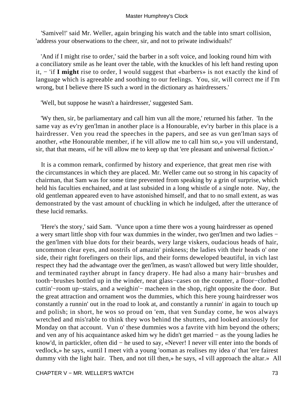'Samivel!' said Mr. Weller, again bringing his watch and the table into smart collision, 'address your obserwations to the cheer, sir, and not to priwate indiwiduals!'

 'And if I might rise to order,' said the barber in a soft voice, and looking round him with a conciliatory smile as he leant over the table, with the knuckles of his left hand resting upon it, − 'if **I might** rise to order, I would suggest that «barbers» is not exactly the kind of language which is agreeable and soothing to our feelings. You, sir, will correct me if I'm wrong, but I believe there IS such a word in the dictionary as hairdressers.'

'Well, but suppose he wasn't a hairdresser,' suggested Sam.

 'Wy then, sir, be parliamentary and call him vun all the more,' returned his father. 'In the same vay as ev'ry gen'lman in another place is a Honourable, ev'ry barber in this place is a hairdresser. Ven you read the speeches in the papers, and see as vun gen'lman says of another, «the Honourable member, if he vill allow me to call him so,» you vill understand, sir, that that means, «if he vill allow me to keep up that 'ere pleasant and uniwersal fiction.»'

 It is a common remark, confirmed by history and experience, that great men rise with the circumstances in which they are placed. Mr. Weller came out so strong in his capacity of chairman, that Sam was for some time prevented from speaking by a grin of surprise, which held his faculties enchained, and at last subsided in a long whistle of a single note. Nay, the old gentleman appeared even to have astonished himself, and that to no small extent, as was demonstrated by the vast amount of chuckling in which he indulged, after the utterance of these lucid remarks.

 'Here's the story,' said Sam. 'Vunce upon a time there wos a young hairdresser as opened a wery smart little shop vith four wax dummies in the winder, two gen'lmen and two ladies − the gen'lmen vith blue dots for their beards, wery large viskers, oudacious heads of hair, uncommon clear eyes, and nostrils of amazin' pinkness; the ladies vith their heads o' one side, their right forefingers on their lips, and their forms deweloped beautiful, in vich last respect they had the adwantage over the gen'lmen, as wasn't allowed but wery little shoulder, and terminated rayther abrupt in fancy drapery. He had also a many hair−brushes and tooth−brushes bottled up in the winder, neat glass−cases on the counter, a floor−clothed cuttin'−room up−stairs, and a weighin'− macheen in the shop, right opposite the door. But the great attraction and ornament wos the dummies, which this here young hairdresser wos constantly a runnin' out in the road to look at, and constantly a runnin' in again to touch up and polish; in short, he wos so proud on 'em, that ven Sunday come, he wos always wretched and mis'rable to think they wos behind the shutters, and looked anxiously for Monday on that account. Vun o' these dummies wos a favrite vith him beyond the others; and ven any of his acquaintance asked him wy he didn't get married − as the young ladies he know'd, in partickler, often did − he used to say, «Never! I never vill enter into the bonds of vedlock,» he says, «until I meet vith a young 'ooman as realises my idea o' that 'ere fairest dummy vith the light hair. Then, and not till then,» he says, «I vill approach the altar.» All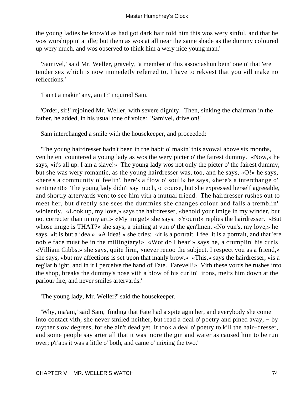the young ladies he know'd as had got dark hair told him this wos wery sinful, and that he wos wurshippin' a idle; but them as wos at all near the same shade as the dummy coloured up wery much, and wos observed to think him a wery nice young man.'

 'Samivel,' said Mr. Weller, gravely, 'a member o' this associashun bein' one o' that 'ere tender sex which is now immedetly referred to, I have to rekvest that you vill make no reflections.'

'I ain't a makin' any, am I?' inquired Sam.

 'Order, sir!' rejoined Mr. Weller, with severe dignity. Then, sinking the chairman in the father, he added, in his usual tone of voice: 'Samivel, drive on!'

Sam interchanged a smile with the housekeeper, and proceeded:

 'The young hairdresser hadn't been in the habit o' makin' this avowal above six months, ven he en−countered a young lady as wos the wery picter o' the fairest dummy. «Now,» he says, «it's all up. I am a slave!» The young lady wos not only the picter o' the fairest dummy, but she was wery romantic, as the young hairdresser was, too, and he says, «O!» he says, «here's a community o' feelin', here's a flow o' soul!» he says, «here's a interchange o' sentiment!» The young lady didn't say much, o' course, but she expressed herself agreeable, and shortly artervards vent to see him vith a mutual friend. The hairdresser rushes out to meet her, but d'rectly she sees the dummies she changes colour and falls a tremblin' wiolently. «Look up, my love,» says the hairdresser, «behold your imige in my winder, but not correcter than in my art!» «My imige!» she says. «Yourn!» replies the hairdresser. «But whose imige is THAT?» she says, a pinting at vun o' the gen'lmen. «No vun's, my love,» he says, «it is but a idea.» «A idea! » she cries: «it is a portrait, I feel it is a portrait, and that 'ere noble face must be in the millingtary!» «Wot do I hear!» says he, a crumplin' his curls. «Villiam Gibbs,» she says, quite firm, «never renoo the subject. I respect you as a friend,» she says, «but my affections is set upon that manly brow.» «This,» says the hairdresser, «is a reg'lar blight, and in it I perceive the hand of Fate. Farevell!» Vith these vords he rushes into the shop, breaks the dummy's nose vith a blow of his curlin'−irons, melts him down at the parlour fire, and never smiles artervards.'

'The young lady, Mr. Weller?' said the housekeeper.

 'Why, ma'am,' said Sam, 'finding that Fate had a spite agin her, and everybody she come into contact vith, she never smiled neither, but read a deal o' poetry and pined avay, − by rayther slow degrees, for she ain't dead yet. It took a deal o' poetry to kill the hair−dresser, and some people say arter all that it was more the gin and water as caused him to be run over; p'r'aps it was a little o' both, and came o' mixing the two.'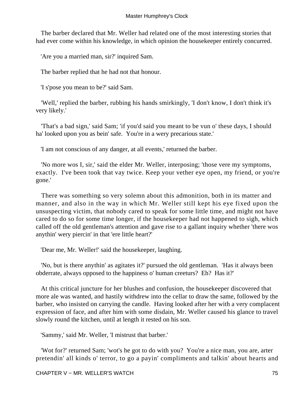The barber declared that Mr. Weller had related one of the most interesting stories that had ever come within his knowledge, in which opinion the housekeeper entirely concurred.

'Are you a married man, sir?' inquired Sam.

The barber replied that he had not that honour.

'I s'pose you mean to be?' said Sam.

 'Well,' replied the barber, rubbing his hands smirkingly, 'I don't know, I don't think it's very likely.'

 'That's a bad sign,' said Sam; 'if you'd said you meant to be vun o' these days, I should ha' looked upon you as bein' safe. You're in a wery precarious state.'

'I am not conscious of any danger, at all events,' returned the barber.

 'No more wos I, sir,' said the elder Mr. Weller, interposing; 'those vere my symptoms, exactly. I've been took that vay twice. Keep your vether eye open, my friend, or you're gone.'

 There was something so very solemn about this admonition, both in its matter and manner, and also in the way in which Mr. Weller still kept his eye fixed upon the unsuspecting victim, that nobody cared to speak for some little time, and might not have cared to do so for some time longer, if the housekeeper had not happened to sigh, which called off the old gentleman's attention and gave rise to a gallant inquiry whether 'there wos anythin' wery piercin' in that 'ere little heart?'

'Dear me, Mr. Weller!' said the housekeeper, laughing.

 'No, but is there anythin' as agitates it?' pursued the old gentleman. 'Has it always been obderrate, always opposed to the happiness o' human creeturs? Eh? Has it?'

 At this critical juncture for her blushes and confusion, the housekeeper discovered that more ale was wanted, and hastily withdrew into the cellar to draw the same, followed by the barber, who insisted on carrying the candle. Having looked after her with a very complacent expression of face, and after him with some disdain, Mr. Weller caused his glance to travel slowly round the kitchen, until at length it rested on his son.

'Sammy,' said Mr. Weller, 'I mistrust that barber.'

 'Wot for?' returned Sam; 'wot's he got to do with you? You're a nice man, you are, arter pretendin' all kinds o' terror, to go a payin' compliments and talkin' about hearts and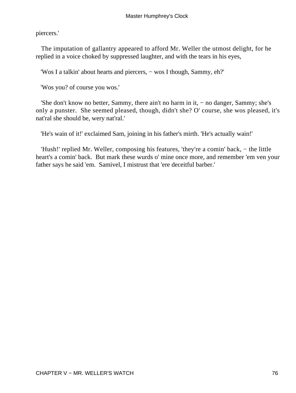piercers.'

 The imputation of gallantry appeared to afford Mr. Weller the utmost delight, for he replied in a voice choked by suppressed laughter, and with the tears in his eyes,

'Wos I a talkin' about hearts and piercers, − wos I though, Sammy, eh?'

'Wos you? of course you wos.'

 'She don't know no better, Sammy, there ain't no harm in it, − no danger, Sammy; she's only a punster. She seemed pleased, though, didn't she? O' course, she wos pleased, it's nat'ral she should be, wery nat'ral.'

'He's wain of it!' exclaimed Sam, joining in his father's mirth. 'He's actually wain!'

 'Hush!' replied Mr. Weller, composing his features, 'they're a comin' back, − the little heart's a comin' back. But mark these wurds o' mine once more, and remember 'em ven your father says he said 'em. Samivel, I mistrust that 'ere deceitful barber.'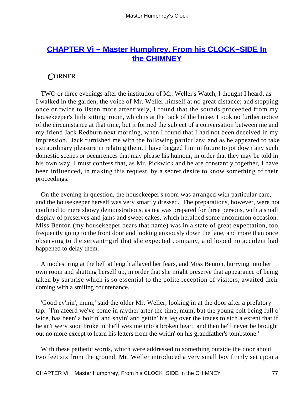# <span id="page-77-0"></span>**[CHAPTER Vi − Master Humphrey, From his CLOCK−SIDE In](#page-93-0) [the CHIMNEY](#page-93-0)**

## *C*ORNER

 TWO or three evenings after the institution of Mr. Weller's Watch, I thought I heard, as I walked in the garden, the voice of Mr. Weller himself at no great distance; and stopping once or twice to listen more attentively, I found that the sounds proceeded from my housekeeper's little sitting−room, which is at the back of the house. I took no further notice of the circumstance at that time, but it formed the subject of a conversation between me and my friend Jack Redburn next morning, when I found that I had not been deceived in my impression. Jack furnished me with the following particulars; and as he appeared to take extraordinary pleasure in relating them, I have begged him in future to jot down any such domestic scenes or occurrences that may please his humour, in order that they may be told in his own way. I must confess that, as Mr. Pickwick and he are constantly together, I have been influenced, in making this request, by a secret desire to know something of their proceedings.

 On the evening in question, the housekeeper's room was arranged with particular care, and the housekeeper herself was very smartly dressed. The preparations, however, were not confined to mere showy demonstrations, as tea was prepared for three persons, with a small display of preserves and jams and sweet cakes, which heralded some uncommon occasion. Miss Benton (my housekeeper bears that name) was in a state of great expectation, too, frequently going to the front door and looking anxiously down the lane, and more than once observing to the servant−girl that she expected company, and hoped no accident had happened to delay them.

 A modest ring at the bell at length allayed her fears, and Miss Benton, hurrying into her own room and shutting herself up, in order that she might preserve that appearance of being taken by surprise which is so essential to the polite reception of visitors, awaited their coming with a smiling countenance.

 'Good ev'nin', mum,' said the older Mr. Weller, looking in at the door after a prefatory tap. 'I'm afeerd we've come in rayther arter the time, mum, but the young colt being full o' wice, has been' a boltin' and shyin' and gettin' his leg over the traces to sich a extent that if he an't wery soon broke in, he'll wex me into a broken heart, and then he'll never be brought out no more except to learn his letters from the writin' on his grandfather's tombstone.'

 With these pathetic words, which were addressed to something outside the door about two feet six from the ground, Mr. Weller introduced a very small boy firmly set upon a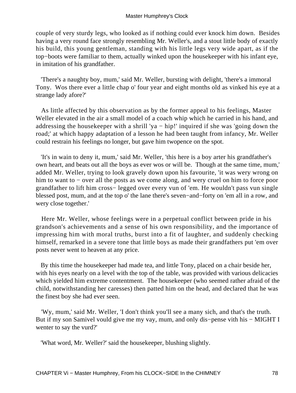couple of very sturdy legs, who looked as if nothing could ever knock him down. Besides having a very round face strongly resembling Mr. Weller's, and a stout little body of exactly his build, this young gentleman, standing with his little legs very wide apart, as if the top−boots were familiar to them, actually winked upon the housekeeper with his infant eye, in imitation of his grandfather.

 'There's a naughty boy, mum,' said Mr. Weller, bursting with delight, 'there's a immoral Tony. Wos there ever a little chap o' four year and eight months old as vinked his eye at a strange lady afore?'

 As little affected by this observation as by the former appeal to his feelings, Master Weller elevated in the air a small model of a coach whip which he carried in his hand, and addressing the housekeeper with a shrill 'ya − hip!' inquired if she was 'going down the road;' at which happy adaptation of a lesson he had been taught from infancy, Mr. Weller could restrain his feelings no longer, but gave him twopence on the spot.

 'It's in wain to deny it, mum,' said Mr. Weller, 'this here is a boy arter his grandfather's own heart, and beats out all the boys as ever wos or will be. Though at the same time, mum,' added Mr. Weller, trying to look gravely down upon his favourite, 'it was wery wrong on him to want to − over all the posts as we come along, and wery cruel on him to force poor grandfather to lift him cross− legged over every vun of 'em. He wouldn't pass vun single blessed post, mum, and at the top o' the lane there's seven−and−forty on 'em all in a row, and wery close together.'

 Here Mr. Weller, whose feelings were in a perpetual conflict between pride in his grandson's achievements and a sense of his own responsibility, and the importance of impressing him with moral truths, burst into a fit of laughter, and suddenly checking himself, remarked in a severe tone that little boys as made their grandfathers put 'em over posts never went to heaven at any price.

 By this time the housekeeper had made tea, and little Tony, placed on a chair beside her, with his eyes nearly on a level with the top of the table, was provided with various delicacies which yielded him extreme contentment. The housekeeper (who seemed rather afraid of the child, notwithstanding her caresses) then patted him on the head, and declared that he was the finest boy she had ever seen.

 'Wy, mum,' said Mr. Weller, 'I don't think you'll see a many sich, and that's the truth. But if my son Samivel vould give me my vay, mum, and only dis−pense vith his − MIGHT I wenter to say the vurd?'

'What word, Mr. Weller?' said the housekeeper, blushing slightly.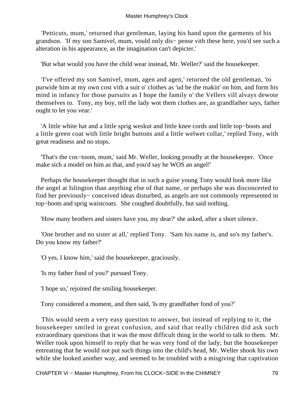'Petticuts, mum,' returned that gentleman, laying his hand upon the garments of his grandson. 'If my son Samivel, mum, vould only dis− pense vith these here, you'd see such a alteration in his appearance, as the imagination can't depicter.'

'But what would you have the child wear instead, Mr. Weller?' said the housekeeper.

 'I've offered my son Samivel, mum, agen and agen,' returned the old gentleman, 'to purwide him at my own cost vith a suit o' clothes as 'ud be the makin' on him, and form his mind in infancy for those pursuits as I hope the family o' the Vellers vill alvays dewote themselves to. Tony, my boy, tell the lady wot them clothes are, as grandfather says, father ought to let you vear.'

 'A little white hat and a little sprig weskut and little knee cords and little top−boots and a little green coat with little bright buttons and a little welwet collar,' replied Tony, with great readiness and no stops.

 'That's the cos−toom, mum,' said Mr. Weller, looking proudly at the housekeeper. 'Once make sich a model on him as that, and you'd say he WOS an angel!'

 Perhaps the housekeeper thought that in such a guise young Tony would look more like the angel at Islington than anything else of that name, or perhaps she was disconcerted to find her previously− conceived ideas disturbed, as angels are not commonly represented in top−boots and sprig waistcoats. She coughed doubtfully, but said nothing.

'How many brothers and sisters have you, my dear?' she asked, after a short silence.

 'One brother and no sister at all,' replied Tony. 'Sam his name is, and so's my father's. Do you know my father?'

'O yes, I know him,' said the housekeeper, graciously.

'Is my father fond of you?' pursued Tony.

'I hope so,' rejoined the smiling housekeeper.

Tony considered a moment, and then said, 'Is my grandfather fond of you?'

 This would seem a very easy question to answer, but instead of replying to it, the housekeeper smiled in great confusion, and said that really children did ask such extraordinary questions that it was the most difficult thing in the world to talk to them. Mr. Weller took upon himself to reply that he was very fond of the lady; but the housekeeper entreating that he would not put such things into the child's head, Mr. Weller shook his own while she looked another way, and seemed to be troubled with a misgiving that captivation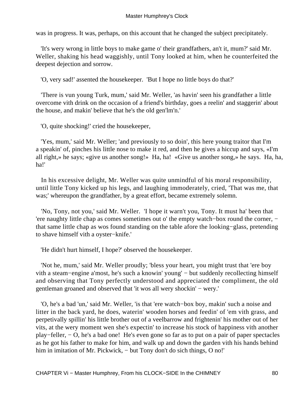was in progress. It was, perhaps, on this account that he changed the subject precipitately.

 'It's wery wrong in little boys to make game o' their grandfathers, an't it, mum?' said Mr. Weller, shaking his head waggishly, until Tony looked at him, when he counterfeited the deepest dejection and sorrow.

'O, very sad!' assented the housekeeper. 'But I hope no little boys do that?'

 'There is vun young Turk, mum,' said Mr. Weller, 'as havin' seen his grandfather a little overcome vith drink on the occasion of a friend's birthday, goes a reelin' and staggerin' about the house, and makin' believe that he's the old gen'lm'n.'

'O, quite shocking!' cried the housekeeper,

 'Yes, mum,' said Mr. Weller; 'and previously to so doin', this here young traitor that I'm a speakin' of, pinches his little nose to make it red, and then he gives a hiccup and says, «I'm all right,» he says; «give us another song!» Ha, ha! «Give us another song,» he says. Ha, ha, ha!'

 In his excessive delight, Mr. Weller was quite unmindful of his moral responsibility, until little Tony kicked up his legs, and laughing immoderately, cried, 'That was me, that was;' whereupon the grandfather, by a great effort, became extremely solemn.

 'No, Tony, not you,' said Mr. Weller. 'I hope it warn't you, Tony. It must ha' been that 'ere naughty little chap as comes sometimes out o' the empty watch−box round the corner, − that same little chap as wos found standing on the table afore the looking−glass, pretending to shave himself vith a oyster−knife.'

'He didn't hurt himself, I hope?' observed the housekeeper.

 'Not he, mum,' said Mr. Weller proudly; 'bless your heart, you might trust that 'ere boy vith a steam−engine a'most, he's such a knowin' young' − but suddenly recollecting himself and observing that Tony perfectly understood and appreciated the compliment, the old gentleman groaned and observed that 'it wos all wery shockin' − wery.'

 'O, he's a bad 'un,' said Mr. Weller, 'is that 'ere watch−box boy, makin' such a noise and litter in the back yard, he does, waterin' wooden horses and feedin' of 'em vith grass, and perpetivally spillin' his little brother out of a veelbarrow and frightenin' his mother out of her vits, at the wery moment wen she's expectin' to increase his stock of happiness vith another play−feller, − O, he's a bad one! He's even gone so far as to put on a pair of paper spectacles as he got his father to make for him, and walk up and down the garden vith his hands behind him in imitation of Mr. Pickwick, – but Tony don't do sich things, O no!'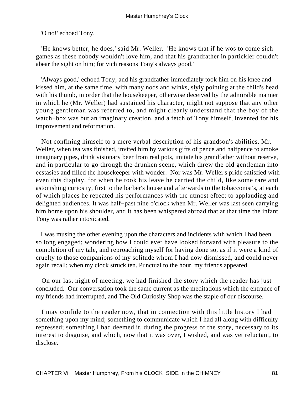'O no!' echoed Tony.

 'He knows better, he does,' said Mr. Weller. 'He knows that if he wos to come sich games as these nobody wouldn't love him, and that his grandfather in partickler couldn't abear the sight on him; for vich reasons Tony's always good.'

 'Always good,' echoed Tony; and his grandfather immediately took him on his knee and kissed him, at the same time, with many nods and winks, slyly pointing at the child's head with his thumb, in order that the housekeeper, otherwise deceived by the admirable manner in which he (Mr. Weller) had sustained his character, might not suppose that any other young gentleman was referred to, and might clearly understand that the boy of the watch−box was but an imaginary creation, and a fetch of Tony himself, invented for his improvement and reformation.

 Not confining himself to a mere verbal description of his grandson's abilities, Mr. Weller, when tea was finished, invited him by various gifts of pence and halfpence to smoke imaginary pipes, drink visionary beer from real pots, imitate his grandfather without reserve, and in particular to go through the drunken scene, which threw the old gentleman into ecstasies and filled the housekeeper with wonder. Nor was Mr. Weller's pride satisfied with even this display, for when he took his leave he carried the child, like some rare and astonishing curiosity, first to the barber's house and afterwards to the tobacconist's, at each of which places he repeated his performances with the utmost effect to applauding and delighted audiences. It was half−past nine o'clock when Mr. Weller was last seen carrying him home upon his shoulder, and it has been whispered abroad that at that time the infant Tony was rather intoxicated.

 I was musing the other evening upon the characters and incidents with which I had been so long engaged; wondering how I could ever have looked forward with pleasure to the completion of my tale, and reproaching myself for having done so, as if it were a kind of cruelty to those companions of my solitude whom I had now dismissed, and could never again recall; when my clock struck ten. Punctual to the hour, my friends appeared.

 On our last night of meeting, we had finished the story which the reader has just concluded. Our conversation took the same current as the meditations which the entrance of my friends had interrupted, and The Old Curiosity Shop was the staple of our discourse.

 I may confide to the reader now, that in connection with this little history I had something upon my mind; something to communicate which I had all along with difficulty repressed; something I had deemed it, during the progress of the story, necessary to its interest to disguise, and which, now that it was over, I wished, and was yet reluctant, to disclose.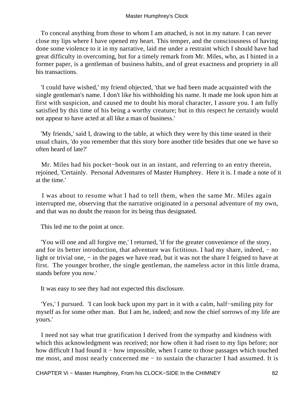To conceal anything from those to whom I am attached, is not in my nature. I can never close my lips where I have opened my heart. This temper, and the consciousness of having done some violence to it in my narrative, laid me under a restraint which I should have had great difficulty in overcoming, but for a timely remark from Mr. Miles, who, as I hinted in a former paper, is a gentleman of business habits, and of great exactness and propriety in all his transactions.

 'I could have wished,' my friend objected, 'that we had been made acquainted with the single gentleman's name. I don't like his withholding his name. It made me look upon him at first with suspicion, and caused me to doubt his moral character, I assure you. I am fully satisfied by this time of his being a worthy creature; but in this respect he certainly would not appear to have acted at all like a man of business.'

 'My friends,' said I, drawing to the table, at which they were by this time seated in their usual chairs, 'do you remember that this story bore another title besides that one we have so often heard of late?'

 Mr. Miles had his pocket−book out in an instant, and referring to an entry therein, rejoined, 'Certainly. Personal Adventures of Master Humphrey. Here it is. I made a note of it at the time.'

 I was about to resume what I had to tell them, when the same Mr. Miles again interrupted me, observing that the narrative originated in a personal adventure of my own, and that was no doubt the reason for its being thus designated.

This led me to the point at once.

 'You will one and all forgive me,' I returned, 'if for the greater convenience of the story, and for its better introduction, that adventure was fictitious. I had my share, indeed, – no light or trivial one, – in the pages we have read, but it was not the share I feigned to have at first. The younger brother, the single gentleman, the nameless actor in this little drama, stands before you now.'

It was easy to see they had not expected this disclosure.

 'Yes,' I pursued. 'I can look back upon my part in it with a calm, half−smiling pity for myself as for some other man. But I am he, indeed; and now the chief sorrows of my life are yours.'

 I need not say what true gratification I derived from the sympathy and kindness with which this acknowledgment was received; nor how often it had risen to my lips before; nor how difficult I had found it − how impossible, when I came to those passages which touched me most, and most nearly concerned me − to sustain the character I had assumed. It is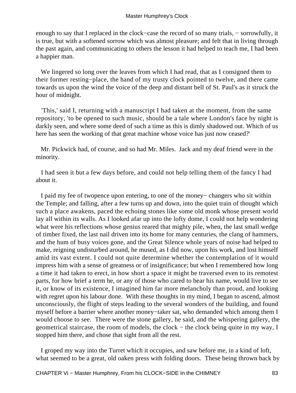enough to say that I replaced in the clock−case the record of so many trials, − sorrowfully, it is true, but with a softened sorrow which was almost pleasure; and felt that in living through the past again, and communicating to others the lesson it had helped to teach me, I had been a happier man.

We lingered so long over the leaves from which I had read, that as I consigned them to their former resting−place, the hand of my trusty clock pointed to twelve, and there came towards us upon the wind the voice of the deep and distant bell of St. Paul's as it struck the hour of midnight.

 'This,' said I, returning with a manuscript I had taken at the moment, from the same repository, 'to be opened to such music, should be a tale where London's face by night is darkly seen, and where some deed of such a time as this is dimly shadowed out. Which of us here has seen the working of that great machine whose voice has just now ceased?'

 Mr. Pickwick had, of course, and so had Mr. Miles. Jack and my deaf friend were in the minority.

 I had seen it but a few days before, and could not help telling them of the fancy I had about it.

 I paid my fee of twopence upon entering, to one of the money− changers who sit within the Temple; and falling, after a few turns up and down, into the quiet train of thought which such a place awakens, paced the echoing stones like some old monk whose present world lay all within its walls. As I looked afar up into the lofty dome, I could not help wondering what were his reflections whose genius reared that mighty pile, when, the last small wedge of timber fixed, the last nail driven into its home for many centuries, the clang of hammers, and the hum of busy voices gone, and the Great Silence whole years of noise had helped to make, reigning undisturbed around, he mused, as I did now, upon his work, and lost himself amid its vast extent. I could not quite determine whether the contemplation of it would impress him with a sense of greatness or of insignificance; but when I remembered how long a time it had taken to erect, in how short a space it might be traversed even to its remotest parts, for how brief a term he, or any of those who cared to bear his name, would live to see it, or know of its existence, I imagined him far more melancholy than proud, and looking with regret upon his labour done. With these thoughts in my mind, I began to ascend, almost unconsciously, the flight of steps leading to the several wonders of the building, and found myself before a barrier where another money−taker sat, who demanded which among them I would choose to see. There were the stone gallery, he said, and the whispering gallery, the geometrical staircase, the room of models, the clock – the clock being quite in my way, I stopped him there, and chose that sight from all the rest.

 I groped my way into the Turret which it occupies, and saw before me, in a kind of loft, what seemed to be a great, old oaken press with folding doors. These being thrown back by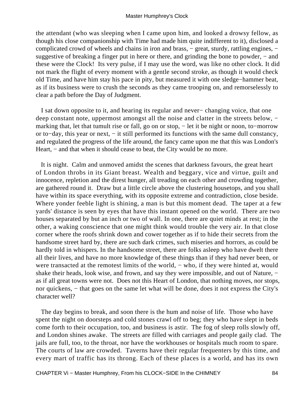the attendant (who was sleeping when I came upon him, and looked a drowsy fellow, as though his close companionship with Time had made him quite indifferent to it), disclosed a complicated crowd of wheels and chains in iron and brass, − great, sturdy, rattling engines, − suggestive of breaking a finger put in here or there, and grinding the bone to powder, – and these were the Clock! Its very pulse, if I may use the word, was like no other clock. It did not mark the flight of every moment with a gentle second stroke, as though it would check old Time, and have him stay his pace in pity, but measured it with one sledge−hammer beat, as if its business were to crush the seconds as they came trooping on, and remorselessly to clear a path before the Day of Judgment.

 I sat down opposite to it, and hearing its regular and never− changing voice, that one deep constant note, uppermost amongst all the noise and clatter in the streets below, – marking that, let that tumult rise or fall, go on or stop, – let it be night or noon, to–morrow or to−day, this year or next, − it still performed its functions with the same dull constancy, and regulated the progress of the life around, the fancy came upon me that this was London's Heart, – and that when it should cease to beat, the City would be no more.

 It is night. Calm and unmoved amidst the scenes that darkness favours, the great heart of London throbs in its Giant breast. Wealth and beggary, vice and virtue, guilt and innocence, repletion and the direst hunger, all treading on each other and crowding together, are gathered round it. Draw but a little circle above the clustering housetops, and you shall have within its space everything, with its opposite extreme and contradiction, close beside. Where yonder feeble light is shining, a man is but this moment dead. The taper at a few yards' distance is seen by eyes that have this instant opened on the world. There are two houses separated by but an inch or two of wall. In one, there are quiet minds at rest; in the other, a waking conscience that one might think would trouble the very air. In that close corner where the roofs shrink down and cower together as if to hide their secrets from the handsome street hard by, there are such dark crimes, such miseries and horrors, as could be hardly told in whispers. In the handsome street, there are folks asleep who have dwelt there all their lives, and have no more knowledge of these things than if they had never been, or were transacted at the remotest limits of the world, – who, if they were hinted at, would shake their heads, look wise, and frown, and say they were impossible, and out of Nature, − as if all great towns were not. Does not this Heart of London, that nothing moves, nor stops, nor quickens, – that goes on the same let what will be done, does it not express the City's character well?

 The day begins to break, and soon there is the hum and noise of life. Those who have spent the night on doorsteps and cold stones crawl off to beg; they who have slept in beds come forth to their occupation, too, and business is astir. The fog of sleep rolls slowly off, and London shines awake. The streets are filled with carriages and people gaily clad. The jails are full, too, to the throat, nor have the workhouses or hospitals much room to spare. The courts of law are crowded. Taverns have their regular frequenters by this time, and every mart of traffic has its throng. Each of these places is a world, and has its own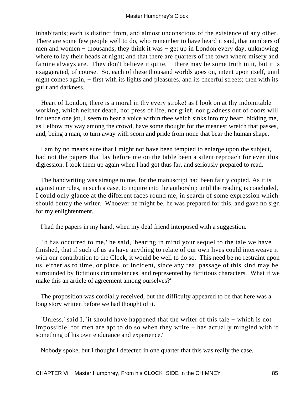inhabitants; each is distinct from, and almost unconscious of the existence of any other. There are some few people well to do, who remember to have heard it said, that numbers of men and women – thousands, they think it was – get up in London every day, unknowing where to lay their heads at night; and that there are quarters of the town where misery and famine always are. They don't believe it quite, – there may be some truth in it, but it is exaggerated, of course. So, each of these thousand worlds goes on, intent upon itself, until night comes again, − first with its lights and pleasures, and its cheerful streets; then with its guilt and darkness.

 Heart of London, there is a moral in thy every stroke! as I look on at thy indomitable working, which neither death, nor press of life, nor grief, nor gladness out of doors will influence one jot, I seem to hear a voice within thee which sinks into my heart, bidding me, as I elbow my way among the crowd, have some thought for the meanest wretch that passes, and, being a man, to turn away with scorn and pride from none that bear the human shape.

 I am by no means sure that I might not have been tempted to enlarge upon the subject, had not the papers that lay before me on the table been a silent reproach for even this digression. I took them up again when I had got thus far, and seriously prepared to read.

 The handwriting was strange to me, for the manuscript had been fairly copied. As it is against our rules, in such a case, to inquire into the authorship until the reading is concluded, I could only glance at the different faces round me, in search of some expression which should betray the writer. Whoever he might be, he was prepared for this, and gave no sign for my enlightenment.

I had the papers in my hand, when my deaf friend interposed with a suggestion.

 'It has occurred to me,' he said, 'bearing in mind your sequel to the tale we have finished, that if such of us as have anything to relate of our own lives could interweave it with our contribution to the Clock, it would be well to do so. This need be no restraint upon us, either as to time, or place, or incident, since any real passage of this kind may be surrounded by fictitious circumstances, and represented by fictitious characters. What if we make this an article of agreement among ourselves?'

 The proposition was cordially received, but the difficulty appeared to be that here was a long story written before we had thought of it.

 'Unless,' said I, 'it should have happened that the writer of this tale − which is not impossible, for men are apt to do so when they write − has actually mingled with it something of his own endurance and experience.'

Nobody spoke, but I thought I detected in one quarter that this was really the case.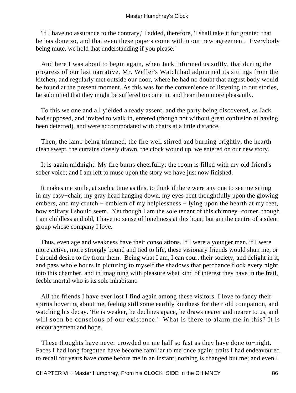'If I have no assurance to the contrary,' I added, therefore, 'I shall take it for granted that he has done so, and that even these papers come within our new agreement. Everybody being mute, we hold that understanding if you please.'

 And here I was about to begin again, when Jack informed us softly, that during the progress of our last narrative, Mr. Weller's Watch had adjourned its sittings from the kitchen, and regularly met outside our door, where he had no doubt that august body would be found at the present moment. As this was for the convenience of listening to our stories, he submitted that they might be suffered to come in, and hear them more pleasantly.

 To this we one and all yielded a ready assent, and the party being discovered, as Jack had supposed, and invited to walk in, entered (though not without great confusion at having been detected), and were accommodated with chairs at a little distance.

 Then, the lamp being trimmed, the fire well stirred and burning brightly, the hearth clean swept, the curtains closely drawn, the clock wound up, we entered on our new story.

 It is again midnight. My fire burns cheerfully; the room is filled with my old friend's sober voice; and I am left to muse upon the story we have just now finished.

 It makes me smile, at such a time as this, to think if there were any one to see me sitting in my easy−chair, my gray head hanging down, my eyes bent thoughtfully upon the glowing embers, and my crutch – emblem of my helplessness – lying upon the hearth at my feet, how solitary I should seem. Yet though I am the sole tenant of this chimney−corner, though I am childless and old, I have no sense of loneliness at this hour; but am the centre of a silent group whose company I love.

 Thus, even age and weakness have their consolations. If I were a younger man, if I were more active, more strongly bound and tied to life, these visionary friends would shun me, or I should desire to fly from them. Being what I am, I can court their society, and delight in it; and pass whole hours in picturing to myself the shadows that perchance flock every night into this chamber, and in imagining with pleasure what kind of interest they have in the frail, feeble mortal who is its sole inhabitant.

 All the friends I have ever lost I find again among these visitors. I love to fancy their spirits hovering about me, feeling still some earthly kindness for their old companion, and watching his decay. 'He is weaker, he declines apace, he draws nearer and nearer to us, and will soon be conscious of our existence.' What is there to alarm me in this? It is encouragement and hope.

 These thoughts have never crowded on me half so fast as they have done to−night. Faces I had long forgotten have become familiar to me once again; traits I had endeavoured to recall for years have come before me in an instant; nothing is changed but me; and even I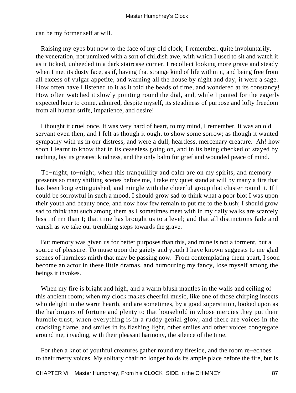can be my former self at will.

 Raising my eyes but now to the face of my old clock, I remember, quite involuntarily, the veneration, not unmixed with a sort of childish awe, with which I used to sit and watch it as it ticked, unheeded in a dark staircase corner. I recollect looking more grave and steady when I met its dusty face, as if, having that strange kind of life within it, and being free from all excess of vulgar appetite, and warning all the house by night and day, it were a sage. How often have I listened to it as it told the beads of time, and wondered at its constancy! How often watched it slowly pointing round the dial, and, while I panted for the eagerly expected hour to come, admired, despite myself, its steadiness of purpose and lofty freedom from all human strife, impatience, and desire!

 I thought it cruel once. It was very hard of heart, to my mind, I remember. It was an old servant even then; and I felt as though it ought to show some sorrow; as though it wanted sympathy with us in our distress, and were a dull, heartless, mercenary creature. Ah! how soon I learnt to know that in its ceaseless going on, and in its being checked or stayed by nothing, lay its greatest kindness, and the only balm for grief and wounded peace of mind.

 To−night, to−night, when this tranquillity and calm are on my spirits, and memory presents so many shifting scenes before me, I take my quiet stand at will by many a fire that has been long extinguished, and mingle with the cheerful group that cluster round it. If I could be sorrowful in such a mood, I should grow sad to think what a poor blot I was upon their youth and beauty once, and now how few remain to put me to the blush; I should grow sad to think that such among them as I sometimes meet with in my daily walks are scarcely less infirm than I; that time has brought us to a level; and that all distinctions fade and vanish as we take our trembling steps towards the grave.

 But memory was given us for better purposes than this, and mine is not a torment, but a source of pleasure. To muse upon the gaiety and youth I have known suggests to me glad scenes of harmless mirth that may be passing now. From contemplating them apart, I soon become an actor in these little dramas, and humouring my fancy, lose myself among the beings it invokes.

 When my fire is bright and high, and a warm blush mantles in the walls and ceiling of this ancient room; when my clock makes cheerful music, like one of those chirping insects who delight in the warm hearth, and are sometimes, by a good superstition, looked upon as the harbingers of fortune and plenty to that household in whose mercies they put their humble trust; when everything is in a ruddy genial glow, and there are voices in the crackling flame, and smiles in its flashing light, other smiles and other voices congregate around me, invading, with their pleasant harmony, the silence of the time.

 For then a knot of youthful creatures gather round my fireside, and the room re−echoes to their merry voices. My solitary chair no longer holds its ample place before the fire, but is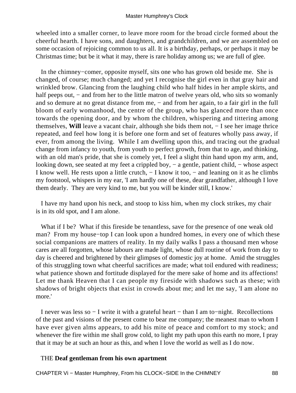wheeled into a smaller corner, to leave more room for the broad circle formed about the cheerful hearth. I have sons, and daughters, and grandchildren, and we are assembled on some occasion of rejoicing common to us all. It is a birthday, perhaps, or perhaps it may be Christmas time; but be it what it may, there is rare holiday among us; we are full of glee.

 In the chimney−comer, opposite myself, sits one who has grown old beside me. She is changed, of course; much changed; and yet I recognise the girl even in that gray hair and wrinkled brow. Glancing from the laughing child who half hides in her ample skirts, and half peeps out, – and from her to the little matron of twelve years old, who sits so womanly and so demure at no great distance from me, – and from her again, to a fair girl in the full bloom of early womanhood, the centre of the group, who has glanced more than once towards the opening door, and by whom the children, whispering and tittering among themselves, **Will** leave a vacant chair, although she bids them not, − I see her image thrice repeated, and feel how long it is before one form and set of features wholly pass away, if ever, from among the living. While I am dwelling upon this, and tracing out the gradual change from infancy to youth, from youth to perfect growth, from that to age, and thinking, with an old man's pride, that she is comely yet, I feel a slight thin hand upon my arm, and, looking down, see seated at my feet a crippled boy, – a gentle, patient child, – whose aspect I know well. He rests upon a little crutch, − I know it too, − and leaning on it as he climbs my footstool, whispers in my ear, 'I am hardly one of these, dear grandfather, although I love them dearly. They are very kind to me, but you will be kinder still, I know.'

 I have my hand upon his neck, and stoop to kiss him, when my clock strikes, my chair is in its old spot, and I am alone.

What if I be? What if this fireside be tenantless, save for the presence of one weak old man? From my house−top I can look upon a hundred homes, in every one of which these social companions are matters of reality. In my daily walks I pass a thousand men whose cares are all forgotten, whose labours are made light, whose dull routine of work from day to day is cheered and brightened by their glimpses of domestic joy at home. Amid the struggles of this struggling town what cheerful sacrifices are made; what toil endured with readiness; what patience shown and fortitude displayed for the mere sake of home and its affections! Let me thank Heaven that I can people my fireside with shadows such as these; with shadows of bright objects that exist in crowds about me; and let me say, 'I am alone no more.'

 I never was less so − I write it with a grateful heart − than I am to−night. Recollections of the past and visions of the present come to bear me company; the meanest man to whom I have ever given alms appears, to add his mite of peace and comfort to my stock; and whenever the fire within me shall grow cold, to light my path upon this earth no more, I pray that it may be at such an hour as this, and when I love the world as well as I do now.

### THE **Deaf gentleman from his own apartment**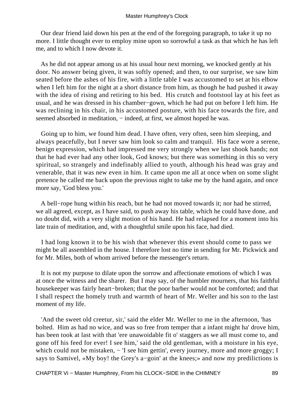Our dear friend laid down his pen at the end of the foregoing paragraph, to take it up no more. I little thought ever to employ mine upon so sorrowful a task as that which he has left me, and to which I now devote it.

 As he did not appear among us at his usual hour next morning, we knocked gently at his door. No answer being given, it was softly opened; and then, to our surprise, we saw him seated before the ashes of his fire, with a little table I was accustomed to set at his elbow when I left him for the night at a short distance from him, as though he had pushed it away with the idea of rising and retiring to his bed. His crutch and footstool lay at his feet as usual, and he was dressed in his chamber−gown, which he had put on before I left him. He was reclining in his chair, in his accustomed posture, with his face towards the fire, and seemed absorbed in meditation, – indeed, at first, we almost hoped he was.

 Going up to him, we found him dead. I have often, very often, seen him sleeping, and always peacefully, but I never saw him look so calm and tranquil. His face wore a serene, benign expression, which had impressed me very strongly when we last shook hands; not that he had ever had any other look, God knows; but there was something in this so very spiritual, so strangely and indefinably allied to youth, although his head was gray and venerable, that it was new even in him. It came upon me all at once when on some slight pretence he called me back upon the previous night to take me by the hand again, and once more say, 'God bless you.'

 A bell−rope hung within his reach, but he had not moved towards it; nor had he stirred, we all agreed, except, as I have said, to push away his table, which he could have done, and no doubt did, with a very slight motion of his hand. He had relapsed for a moment into his late train of meditation, and, with a thoughtful smile upon his face, had died.

 I had long known it to be his wish that whenever this event should come to pass we might be all assembled in the house. I therefore lost no time in sending for Mr. Pickwick and for Mr. Miles, both of whom arrived before the messenger's return.

 It is not my purpose to dilate upon the sorrow and affectionate emotions of which I was at once the witness and the sharer. But I may say, of the humbler mourners, that his faithful housekeeper was fairly heart−broken; that the poor barber would not be comforted; and that I shall respect the homely truth and warmth of heart of Mr. Weller and his son to the last moment of my life.

 'And the sweet old creetur, sir,' said the elder Mr. Weller to me in the afternoon, 'has bolted. Him as had no wice, and was so free from temper that a infant might ha' drove him, has been took at last with that 'ere unawoidable fit o' staggers as we all must come to, and gone off his feed for ever! I see him,' said the old gentleman, with a moisture in his eye, which could not be mistaken, − 'I see him gettin', every journey, more and more groggy; I says to Samivel, «My boy! the Grey's a−goin' at the knees;» and now my predilictions is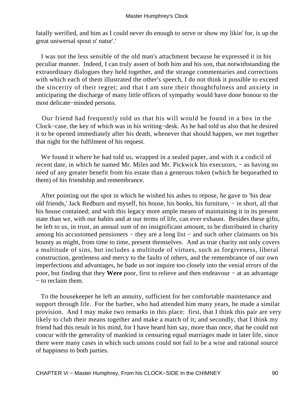fatally werified, and him as I could never do enough to serve or show my likin' for, is up the great uniwersal spout o' natur'.'

 I was not the less sensible of the old man's attachment because he expressed it in his peculiar manner. Indeed, I can truly assert of both him and his son, that notwithstanding the extraordinary dialogues they held together, and the strange commentaries and corrections with which each of them illustrated the other's speech, I do not think it possible to exceed the sincerity of their regret; and that I am sure their thoughtfulness and anxiety in anticipating the discharge of many little offices of sympathy would have done honour to the most delicate−minded persons.

 Our friend had frequently told us that his will would be found in a box in the Clock−case, the key of which was in his writing−desk. As he had told us also that he desired it to be opened immediately after his death, whenever that should happen, we met together that night for the fulfilment of his request.

 We found it where he had told us, wrapped in a sealed paper, and with it a codicil of recent date, in which he named Mr. Miles and Mr. Pickwick his executors, − as having no need of any greater benefit from his estate than a generous token (which he bequeathed to them) of his friendship and remembrance.

 After pointing out the spot in which he wished his ashes to repose, he gave to 'his dear old friends,' Jack Redburn and myself, his house, his books, his furniture, − in short, all that his house contained; and with this legacy more ample means of maintaining it in its present state than we, with our habits and at our terms of life, can ever exhaust. Besides these gifts, he left to us, in trust, an annual sum of no insignificant amount, to be distributed in charity among his accustomed pensioners − they are a long list − and such other claimants on his bounty as might, from time to time, present themselves. And as true charity not only covers a multitude of sins, but includes a multitude of virtues, such as forgiveness, liberal construction, gentleness and mercy to the faults of others, and the remembrance of our own imperfections and advantages, he bade us not inquire too closely into the venial errors of the poor, but finding that they **Were** poor, first to relieve and then endeavour − at an advantage − to reclaim them.

 To the housekeeper he left an annuity, sufficient for her comfortable maintenance and support through life. For the barber, who had attended him many years, he made a similar provision. And I may make two remarks in this place: first, that I think this pair are very likely to club their means together and make a match of it; and secondly, that I think my friend had this result in his mind, for I have heard him say, more than once, that he could not concur with the generality of mankind in censuring equal marriages made in later life, since there were many cases in which such unions could not fail to be a wise and rational source of happiness to both parties.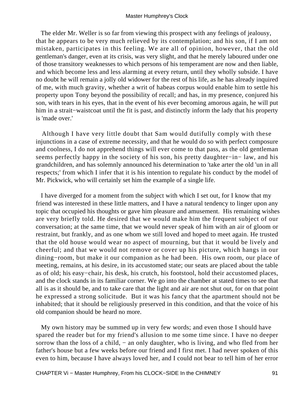The elder Mr. Weller is so far from viewing this prospect with any feelings of jealousy, that he appears to be very much relieved by its contemplation; and his son, if I am not mistaken, participates in this feeling. We are all of opinion, however, that the old gentleman's danger, even at its crisis, was very slight, and that he merely laboured under one of those transitory weaknesses to which persons of his temperament are now and then liable, and which become less and less alarming at every return, until they wholly subside. I have no doubt he will remain a jolly old widower for the rest of his life, as he has already inquired of me, with much gravity, whether a writ of habeas corpus would enable him to settle his property upon Tony beyond the possibility of recall; and has, in my presence, conjured his son, with tears in his eyes, that in the event of his ever becoming amorous again, he will put him in a strait−waistcoat until the fit is past, and distinctly inform the lady that his property is 'made over.'

 Although I have very little doubt that Sam would dutifully comply with these injunctions in a case of extreme necessity, and that he would do so with perfect composure and coolness, I do not apprehend things will ever come to that pass, as the old gentleman seems perfectly happy in the society of his son, his pretty daughter−in− law, and his grandchildren, and has solemnly announced his determination to 'take arter the old 'un in all respects;' from which I infer that it is his intention to regulate his conduct by the model of Mr. Pickwick, who will certainly set him the example of a single life.

 I have diverged for a moment from the subject with which I set out, for I know that my friend was interested in these little matters, and I have a natural tendency to linger upon any topic that occupied his thoughts or gave him pleasure and amusement. His remaining wishes are very briefly told. He desired that we would make him the frequent subject of our conversation; at the same time, that we would never speak of him with an air of gloom or restraint, but frankly, and as one whom we still loved and hoped to meet again. He trusted that the old house would wear no aspect of mourning, but that it would be lively and cheerful; and that we would not remove or cover up his picture, which hangs in our dining−room, but make it our companion as he had been. His own room, our place of meeting, remains, at his desire, in its accustomed state; our seats are placed about the table as of old; his easy−chair, his desk, his crutch, his footstool, hold their accustomed places, and the clock stands in its familiar corner. We go into the chamber at stated times to see that all is as it should be, and to take care that the light and air are not shut out, for on that point he expressed a strong solicitude. But it was his fancy that the apartment should not be inhabited; that it should be religiously preserved in this condition, and that the voice of his old companion should be heard no more.

 My own history may be summed up in very few words; and even those I should have spared the reader but for my friend's allusion to me some time since. I have no deeper sorrow than the loss of a child, – an only daughter, who is living, and who fled from her father's house but a few weeks before our friend and I first met. I had never spoken of this even to him, because I have always loved her, and I could not bear to tell him of her error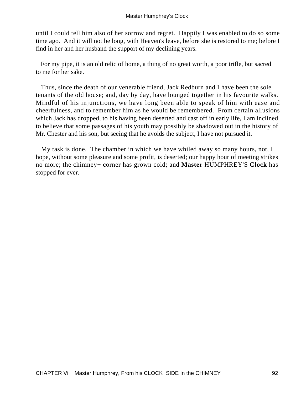until I could tell him also of her sorrow and regret. Happily I was enabled to do so some time ago. And it will not be long, with Heaven's leave, before she is restored to me; before I find in her and her husband the support of my declining years.

 For my pipe, it is an old relic of home, a thing of no great worth, a poor trifle, but sacred to me for her sake.

 Thus, since the death of our venerable friend, Jack Redburn and I have been the sole tenants of the old house; and, day by day, have lounged together in his favourite walks. Mindful of his injunctions, we have long been able to speak of him with ease and cheerfulness, and to remember him as he would be remembered. From certain allusions which Jack has dropped, to his having been deserted and cast off in early life, I am inclined to believe that some passages of his youth may possibly be shadowed out in the history of Mr. Chester and his son, but seeing that he avoids the subject, I have not pursued it.

 My task is done. The chamber in which we have whiled away so many hours, not, I hope, without some pleasure and some profit, is deserted; our happy hour of meeting strikes no more; the chimney− corner has grown cold; and **Master** HUMPHREY'S **Clock** has stopped for ever.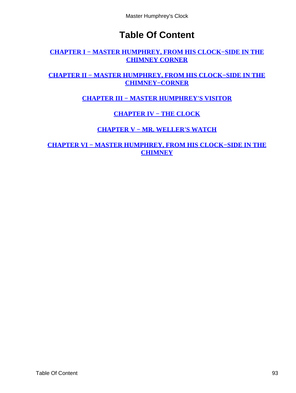# **Table Of Content**

## <span id="page-93-0"></span>**[CHAPTER I − MASTER HUMPHREY, FROM HIS CLOCK−SIDE IN THE](#page-3-0) [CHIMNEY CORNER](#page-3-0)**

## **[CHAPTER II − MASTER HUMPHREY, FROM HIS CLOCK−SIDE IN THE](#page-24-0) [CHIMNEY−CORNER](#page-24-0)**

**[CHAPTER III − MASTER HUMPHREY'S VISITOR](#page-38-0)**

# **[CHAPTER IV − THE CLOCK](#page-62-0)**

# **[CHAPTER V − MR. WELLER'S WATCH](#page-69-0)**

**[CHAPTER VI − MASTER HUMPHREY, FROM HIS CLOCK−SIDE IN THE](#page-77-0) [CHIMNEY](#page-77-0)**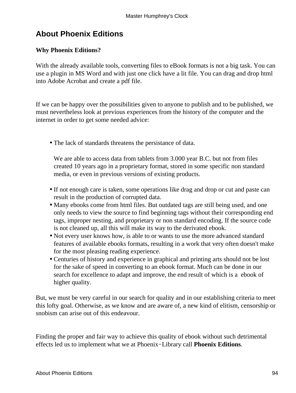# **About Phoenix Editions**

## **Why Phoenix Editions?**

With the already available tools, converting files to eBook formats is not a big task. You can use a plugin in MS Word and with just one click have a lit file. You can drag and drop html into Adobe Acrobat and create a pdf file.

If we can be happy over the possibilities given to anyone to publish and to be published, we must nevertheless look at previous experiences from the history of the computer and the internet in order to get some needed advice:

• The lack of standards threatens the persistance of data.

We are able to access data from tablets from 3.000 year B.C. but not from files created 10 years ago in a proprietary format, stored in some specific non standard media, or even in previous versions of existing products.

- If not enough care is taken, some operations like drag and drop or cut and paste can result in the production of corrupted data.
- Many ebooks come from html files. But outdated tags are still being used, and one only needs to view the source to find beginning tags without their corresponding end tags, improper nesting, and proprietary or non standard encoding. If the source code is not cleaned up, all this will make its way to the derivated ebook.
- Not every user knows how, is able to or wants to use the more advanced standard features of available ebooks formats, resulting in a work that very often doesn't make for the most pleasing reading experience.
- Centuries of history and experience in graphical and printing arts should not be lost for the sake of speed in converting to an ebook format. Much can be done in our search for excellence to adapt and improve, the end result of which is a ebook of higher quality.

But, we must be very careful in our search for quality and in our establishing criteria to meet this lofty goal. Otherwise, as we know and are aware of, a new kind of elitism, censorship or snobism can arise out of this endeavour.

Finding the proper and fair way to achieve this quality of ebook without such detrimental effects led us to implement what we at Phoenix−Library call **Phoenix Editions**.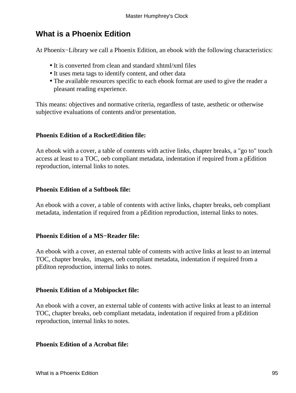# **What is a Phoenix Edition**

At Phoenix−Library we call a Phoenix Edition, an ebook with the following characteristics:

- It is converted from clean and standard xhtml/xml files
- It uses meta tags to identify content, and other data
- The available resources specific to each ebook format are used to give the reader a pleasant reading experience.

This means: objectives and normative criteria, regardless of taste, aesthetic or otherwise subjective evaluations of contents and/or presentation.

## **Phoenix Edition of a RocketEdition file:**

An ebook with a cover, a table of contents with active links, chapter breaks, a "go to" touch access at least to a TOC, oeb compliant metadata, indentation if required from a pEdition reproduction, internal links to notes.

## **Phoenix Edition of a Softbook file:**

An ebook with a cover, a table of contents with active links, chapter breaks, oeb compliant metadata, indentation if required from a pEdition reproduction, internal links to notes.

## **Phoenix Edition of a MS−Reader file:**

An ebook with a cover, an external table of contents with active links at least to an internal TOC, chapter breaks, images, oeb compliant metadata, indentation if required from a pEditon reproduction, internal links to notes.

## **Phoenix Edition of a Mobipocket file:**

An ebook with a cover, an external table of contents with active links at least to an internal TOC, chapter breaks, oeb compliant metadata, indentation if required from a pEdition reproduction, internal links to notes.

### **Phoenix Edition of a Acrobat file:**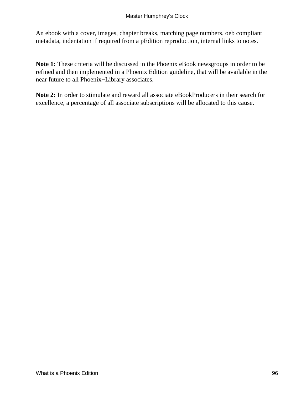An ebook with a cover, images, chapter breaks, matching page numbers, oeb compliant metadata, indentation if required from a pEdition reproduction, internal links to notes.

**Note 1:** These criteria will be discussed in the Phoenix eBook newsgroups in order to be refined and then implemented in a Phoenix Edition guideline, that will be available in the near future to all Phoenix−Library associates.

**Note 2:** In order to stimulate and reward all associate eBookProducers in their search for excellence, a percentage of all associate subscriptions will be allocated to this cause.